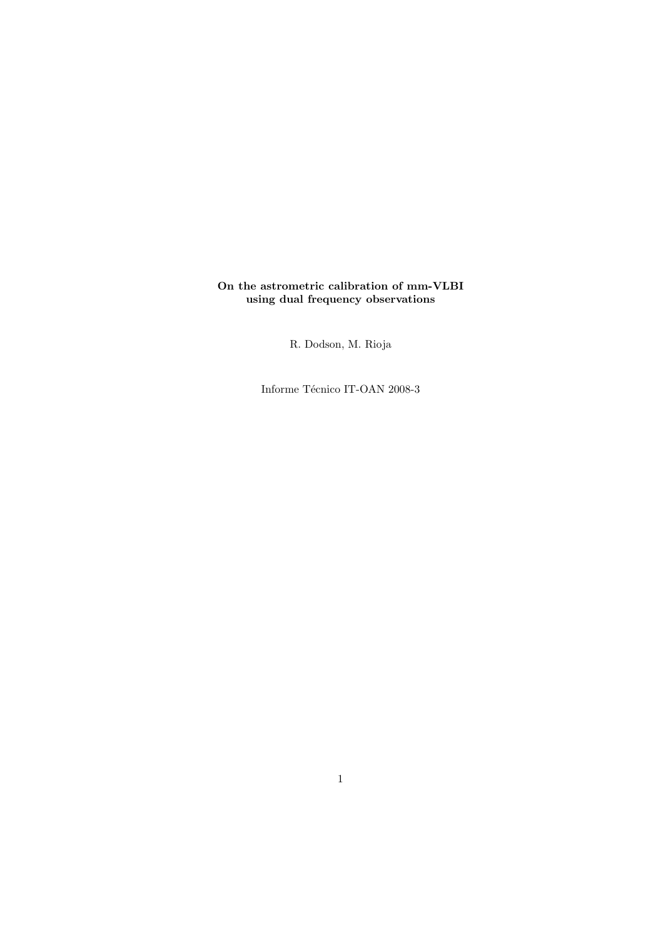### On the astrometric calibration of mm-VLBI using dual frequency observations

R. Dodson, M. Rioja

Informe Técnico IT-OAN 2008-3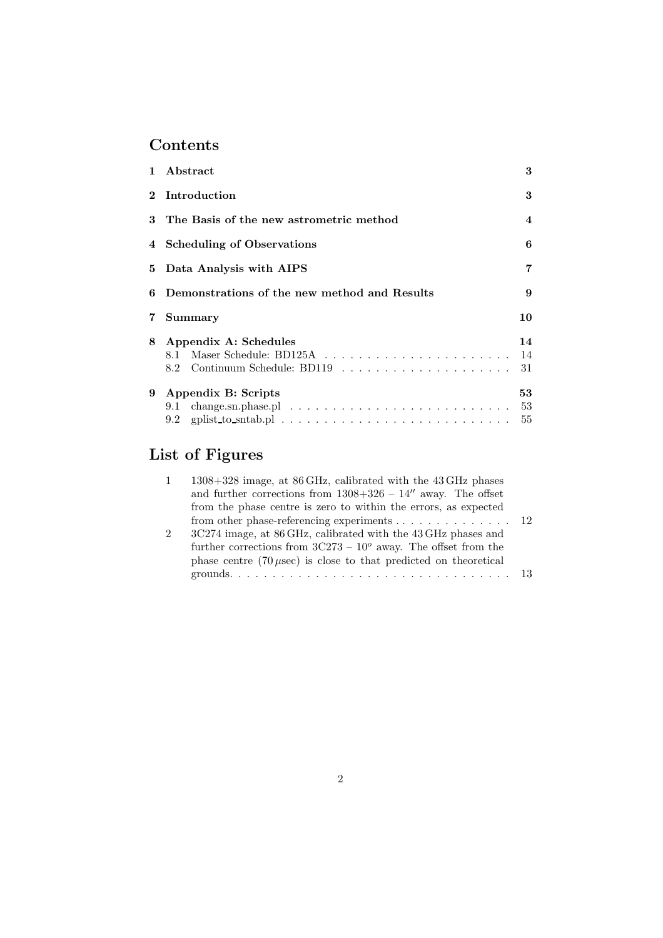# Contents

| $\mathbf{1}$ | Abstract                                                                                                   | 3              |  |  |  |  |
|--------------|------------------------------------------------------------------------------------------------------------|----------------|--|--|--|--|
| $\mathbf{2}$ | Introduction                                                                                               | 3              |  |  |  |  |
| 3            | The Basis of the new astrometric method                                                                    | 4              |  |  |  |  |
|              | 4 Scheduling of Observations                                                                               |                |  |  |  |  |
| 5            | Data Analysis with AIPS                                                                                    |                |  |  |  |  |
| 6            | Demonstrations of the new method and Results                                                               |                |  |  |  |  |
| 7            | Summary                                                                                                    | 10             |  |  |  |  |
| 8            | Appendix A: Schedules                                                                                      | 14<br>14<br>31 |  |  |  |  |
| 9            | Appendix B: Scripts<br>$change.sn.phase.pl \ldots \ldots \ldots \ldots \ldots \ldots \ldots \ldots$<br>9.1 | 53<br>53<br>55 |  |  |  |  |

# List of Figures

|                | 1308+328 image, at 86 GHz, calibrated with the 43 GHz phases                      |  |
|----------------|-----------------------------------------------------------------------------------|--|
|                | and further corrections from $1308+326 - 14''$ away. The offset                   |  |
|                | from the phase centre is zero to within the errors, as expected                   |  |
|                | from other phase-referencing experiments $\dots \dots \dots \dots \dots \dots$ 12 |  |
| $\mathfrak{D}$ | 3C274 image, at 86 GHz, calibrated with the 43 GHz phases and                     |  |
|                | further corrections from $3C273 - 10^{\circ}$ away. The offset from the           |  |
|                | phase centre $(70 \mu \text{sec})$ is close to that predicted on theoretical      |  |
|                |                                                                                   |  |
|                |                                                                                   |  |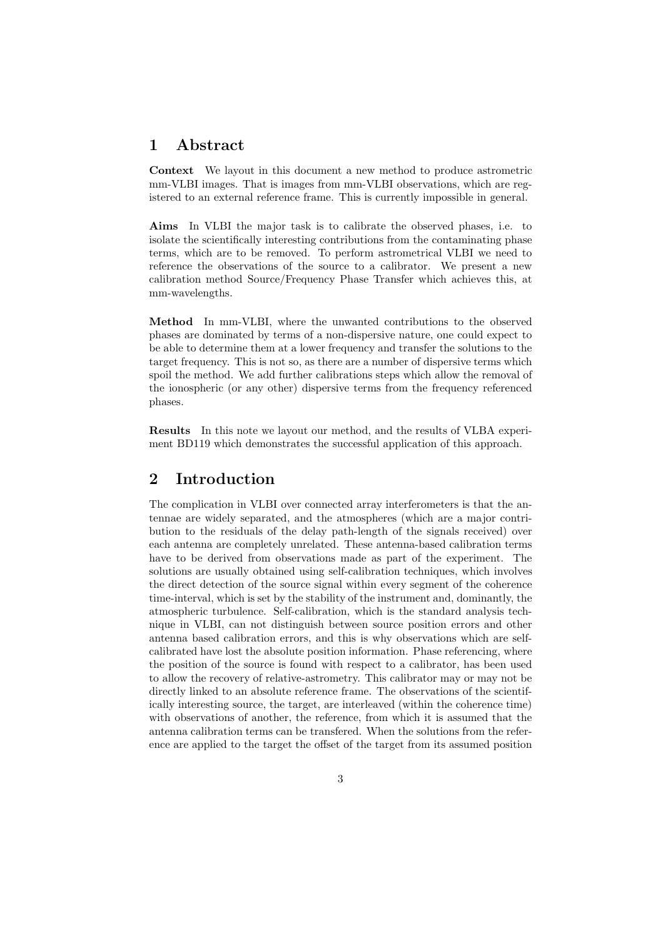# 1 Abstract

Context We layout in this document a new method to produce astrometric mm-VLBI images. That is images from mm-VLBI observations, which are registered to an external reference frame. This is currently impossible in general.

Aims In VLBI the major task is to calibrate the observed phases, i.e. to isolate the scientifically interesting contributions from the contaminating phase terms, which are to be removed. To perform astrometrical VLBI we need to reference the observations of the source to a calibrator. We present a new calibration method Source/Frequency Phase Transfer which achieves this, at mm-wavelengths.

Method In mm-VLBI, where the unwanted contributions to the observed phases are dominated by terms of a non-dispersive nature, one could expect to be able to determine them at a lower frequency and transfer the solutions to the target frequency. This is not so, as there are a number of dispersive terms which spoil the method. We add further calibrations steps which allow the removal of the ionospheric (or any other) dispersive terms from the frequency referenced phases.

Results In this note we layout our method, and the results of VLBA experiment BD119 which demonstrates the successful application of this approach.

# 2 Introduction

The complication in VLBI over connected array interferometers is that the antennae are widely separated, and the atmospheres (which are a major contribution to the residuals of the delay path-length of the signals received) over each antenna are completely unrelated. These antenna-based calibration terms have to be derived from observations made as part of the experiment. The solutions are usually obtained using self-calibration techniques, which involves the direct detection of the source signal within every segment of the coherence time-interval, which is set by the stability of the instrument and, dominantly, the atmospheric turbulence. Self-calibration, which is the standard analysis technique in VLBI, can not distinguish between source position errors and other antenna based calibration errors, and this is why observations which are selfcalibrated have lost the absolute position information. Phase referencing, where the position of the source is found with respect to a calibrator, has been used to allow the recovery of relative-astrometry. This calibrator may or may not be directly linked to an absolute reference frame. The observations of the scientifically interesting source, the target, are interleaved (within the coherence time) with observations of another, the reference, from which it is assumed that the antenna calibration terms can be transfered. When the solutions from the reference are applied to the target the offset of the target from its assumed position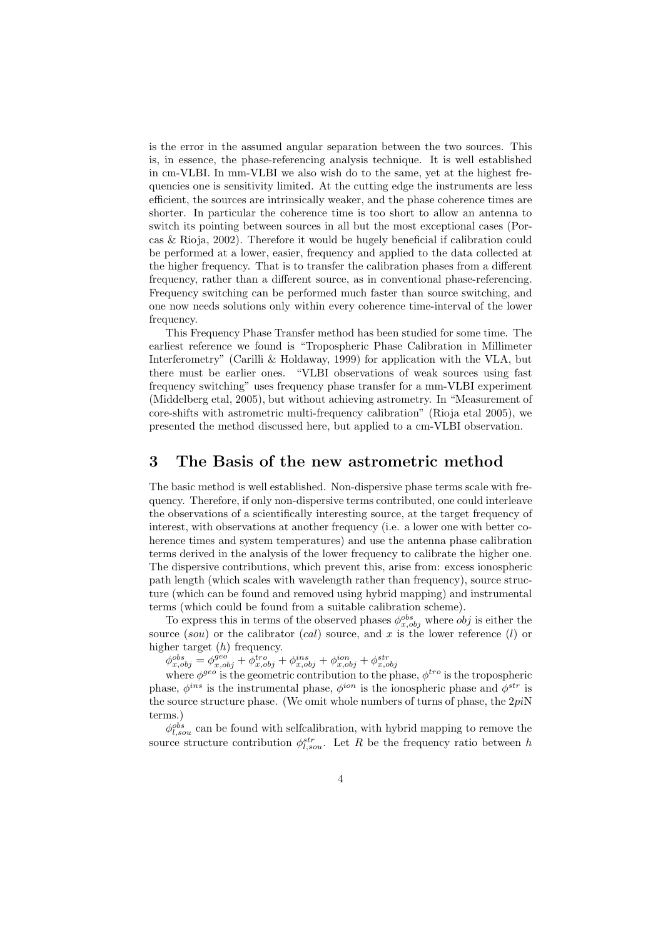is the error in the assumed angular separation between the two sources. This is, in essence, the phase-referencing analysis technique. It is well established in cm-VLBI. In mm-VLBI we also wish do to the same, yet at the highest frequencies one is sensitivity limited. At the cutting edge the instruments are less efficient, the sources are intrinsically weaker, and the phase coherence times are shorter. In particular the coherence time is too short to allow an antenna to switch its pointing between sources in all but the most exceptional cases (Porcas & Rioja, 2002). Therefore it would be hugely beneficial if calibration could be performed at a lower, easier, frequency and applied to the data collected at the higher frequency. That is to transfer the calibration phases from a different frequency, rather than a different source, as in conventional phase-referencing. Frequency switching can be performed much faster than source switching, and one now needs solutions only within every coherence time-interval of the lower frequency.

This Frequency Phase Transfer method has been studied for some time. The earliest reference we found is "Tropospheric Phase Calibration in Millimeter Interferometry" (Carilli & Holdaway, 1999) for application with the VLA, but there must be earlier ones. "VLBI observations of weak sources using fast frequency switching" uses frequency phase transfer for a mm-VLBI experiment (Middelberg etal, 2005), but without achieving astrometry. In "Measurement of core-shifts with astrometric multi-frequency calibration" (Rioja etal 2005), we presented the method discussed here, but applied to a cm-VLBI observation.

# 3 The Basis of the new astrometric method

The basic method is well established. Non-dispersive phase terms scale with frequency. Therefore, if only non-dispersive terms contributed, one could interleave the observations of a scientifically interesting source, at the target frequency of interest, with observations at another frequency (i.e. a lower one with better coherence times and system temperatures) and use the antenna phase calibration terms derived in the analysis of the lower frequency to calibrate the higher one. The dispersive contributions, which prevent this, arise from: excess ionospheric path length (which scales with wavelength rather than frequency), source structure (which can be found and removed using hybrid mapping) and instrumental terms (which could be found from a suitable calibration scheme).

To express this in terms of the observed phases  $\phi_{x,obj}^{obs}$  where  $obj$  is either the source (sou) or the calibrator (cal) source, and x is the lower reference (l) or higher target  $(h)$  frequency.

 $\phi_{x,obj}^{obs} = \phi_{x,obj}^{geo} + \bar{\phi}_{x,obj}^{tro} + \phi_{x,obj}^{ins} + \phi_{x,obj}^{ion} + \phi_{x,obj}^{str}$ 

where  $\phi^{geo}$  is the geometric contribution to the phase,  $\phi^{tro}$  is the tropospheric phase,  $\phi^{ins}$  is the instrumental phase,  $\phi^{ion}$  is the ionospheric phase and  $\phi^{str}$  is the source structure phase. (We omit whole numbers of turns of phase, the  $2pi$ N terms.)

 $\phi_{l,sou}^{obs}$  can be found with selfcalibration, with hybrid mapping to remove the source structure contribution  $\phi_{l, sou}^{str}$ . Let R be the frequency ratio between h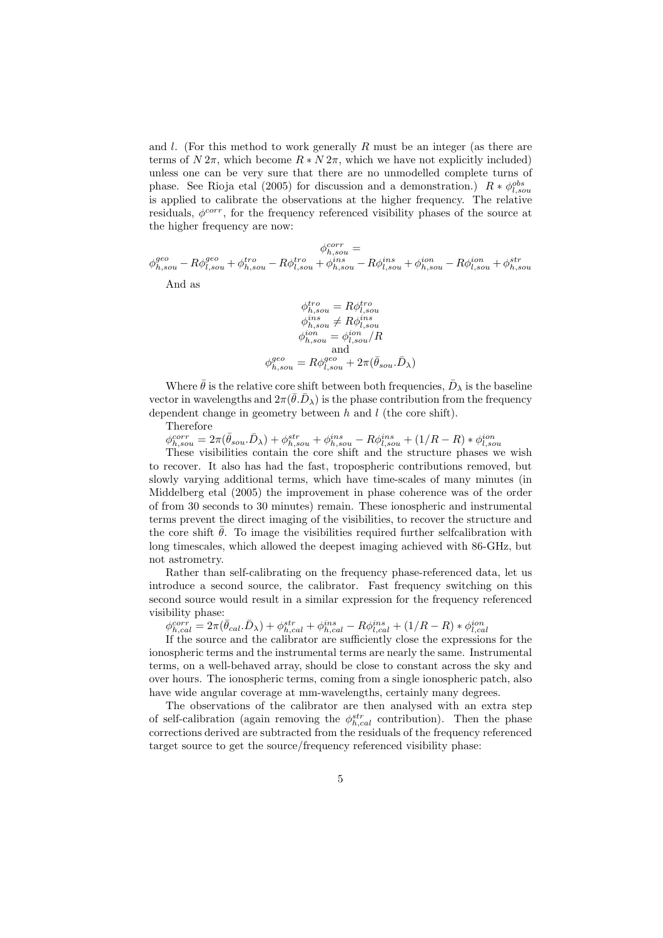and  $l$ . (For this method to work generally R must be an integer (as there are terms of  $N 2\pi$ , which become  $R * N 2\pi$ , which we have not explicitly included) unless one can be very sure that there are no unmodelled complete turns of phase. See Rioja etal (2005) for discussion and a demonstration.)  $R * \phi_{l, sou}^{obs}$ is applied to calibrate the observations at the higher frequency. The relative residuals,  $\phi^{corr}$ , for the frequency referenced visibility phases of the source at the higher frequency are now:

 $\phi_{h, sou}^{corr} =$  $\phi_{h,sou}^{geo} - R\phi_{l,sou}^{tro} + \phi_{h,sou}^{tro} - R\phi_{l,sou}^{ins} - R\phi_{l,sou}^{ins} + \phi_{h,sou}^{ion} - R\phi_{l,sou}^{ion} + \phi_{h,sou}^{str}$ 

And as

$$
\phi_{h, sou}^{tro} = R\phi_{l, sou}^{ tro}
$$
\n
$$
\phi_{h, sou}^{ins} \neq R\phi_{l, sou}^{ins}
$$
\n
$$
\phi_{h, sou}^{ion} = \phi_{l, sou}^{ion}/R
$$
\nand\n
$$
\phi_{h, sou}^{geo} = R\phi_{l, sou}^{geo} + 2\pi(\bar{\theta}_{sou}.\bar{D}_{\lambda})
$$

Where  $\bar{\theta}$  is the relative core shift between both frequencies,  $\bar{D}_{\lambda}$  is the baseline vector in wavelengths and  $2\pi(\bar{\theta}.\bar{D}_{\lambda})$  is the phase contribution from the frequency dependent change in geometry between  $h$  and  $l$  (the core shift).

Therefore

 $\phi_{h, sou}^{corr} = 2\pi(\bar{\theta}_{sou}.\bar{D}_{\lambda}) + \phi_{h, sou}^{str} + \phi_{h, sou}^{ins} - R\phi_{l, sou}^{ins} + (1/R - R) * \phi_{l, sou}^{ion}$ <br>These visibilities contain the core shift and the structure phases we wish

to recover. It also has had the fast, tropospheric contributions removed, but slowly varying additional terms, which have time-scales of many minutes (in Middelberg etal (2005) the improvement in phase coherence was of the order of from 30 seconds to 30 minutes) remain. These ionospheric and instrumental terms prevent the direct imaging of the visibilities, to recover the structure and the core shift  $\bar{\theta}$ . To image the visibilities required further selfcalibration with long timescales, which allowed the deepest imaging achieved with 86-GHz, but not astrometry.

Rather than self-calibrating on the frequency phase-referenced data, let us introduce a second source, the calibrator. Fast frequency switching on this second source would result in a similar expression for the frequency referenced visibility phase:

 $\phi_{h,cal}^{corr} = 2\pi(\bar{\theta}_{cal}.\bar{D}_{\lambda}) + \phi_{h,cal}^{str} + \phi_{h,cal}^{ins} - R\phi_{l,cal}^{ins} + (1/R - R) * \phi_{l,cal}^{ion}$ <br>If the source and the calibrator are sufficiently close the expressions for the

ionospheric terms and the instrumental terms are nearly the same. Instrumental terms, on a well-behaved array, should be close to constant across the sky and over hours. The ionospheric terms, coming from a single ionospheric patch, also have wide angular coverage at mm-wavelengths, certainly many degrees.

The observations of the calibrator are then analysed with an extra step of self-calibration (again removing the  $\phi_{h,cal}^{str}$  contribution). Then the phase corrections derived are subtracted from the residuals of the frequency referenced target source to get the source/frequency referenced visibility phase: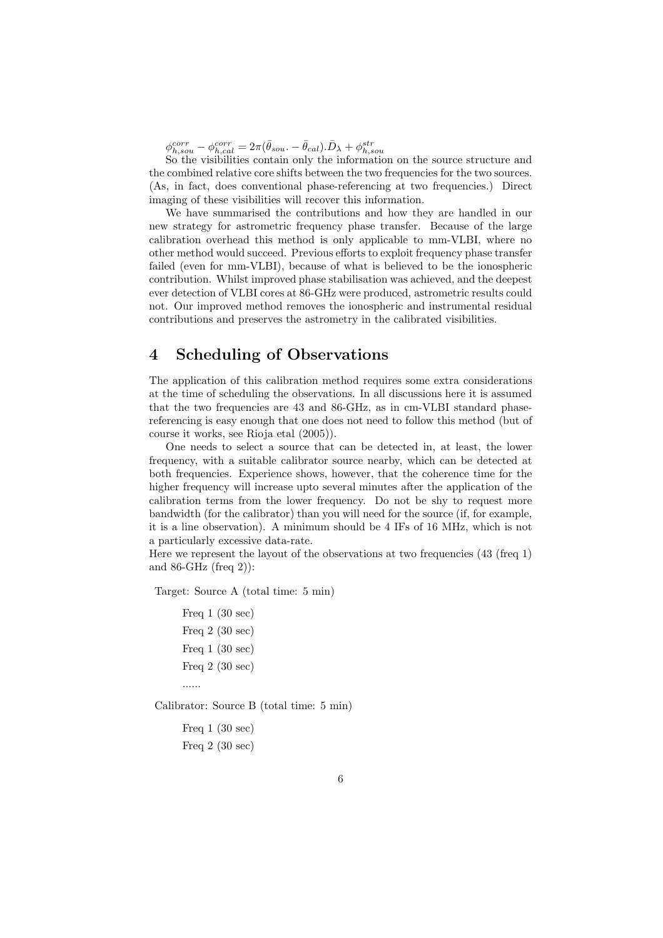$\phi_{h,sou}^{corr} - \phi_{h,cal}^{corr} = 2\pi(\bar{\theta}_{sou.} - \bar{\theta}_{cal}).\bar{D}_{\lambda} + \phi_{h,sou}^{str}$ 

So the visibilities contain only the information on the source structure and the combined relative core shifts between the two frequencies for the two sources. (As, in fact, does conventional phase-referencing at two frequencies.) Direct imaging of these visibilities will recover this information.

We have summarised the contributions and how they are handled in our new strategy for astrometric frequency phase transfer. Because of the large calibration overhead this method is only applicable to mm-VLBI, where no other method would succeed. Previous efforts to exploit frequency phase transfer failed (even for mm-VLBI), because of what is believed to be the ionospheric contribution. Whilst improved phase stabilisation was achieved, and the deepest ever detection of VLBI cores at 86-GHz were produced, astrometric results could not. Our improved method removes the ionospheric and instrumental residual contributions and preserves the astrometry in the calibrated visibilities.

# 4 Scheduling of Observations

The application of this calibration method requires some extra considerations at the time of scheduling the observations. In all discussions here it is assumed that the two frequencies are 43 and 86-GHz, as in cm-VLBI standard phasereferencing is easy enough that one does not need to follow this method (but of course it works, see Rioja etal (2005)).

One needs to select a source that can be detected in, at least, the lower frequency, with a suitable calibrator source nearby, which can be detected at both frequencies. Experience shows, however, that the coherence time for the higher frequency will increase upto several minutes after the application of the calibration terms from the lower frequency. Do not be shy to request more bandwidth (for the calibrator) than you will need for the source (if, for example, it is a line observation). A minimum should be 4 IFs of 16 MHz, which is not a particularly excessive data-rate.

Here we represent the layout of the observations at two frequencies  $(43 \text{ (freq 1)}$ and 86-GHz (freq 2)):

Target: Source A (total time: 5 min)

Freq 1 (30 sec) Freq 2 (30 sec) Freq 1 (30 sec) Freq 2 (30 sec) ......

Calibrator: Source B (total time: 5 min)

Freq 1 (30 sec) Freq 2 (30 sec)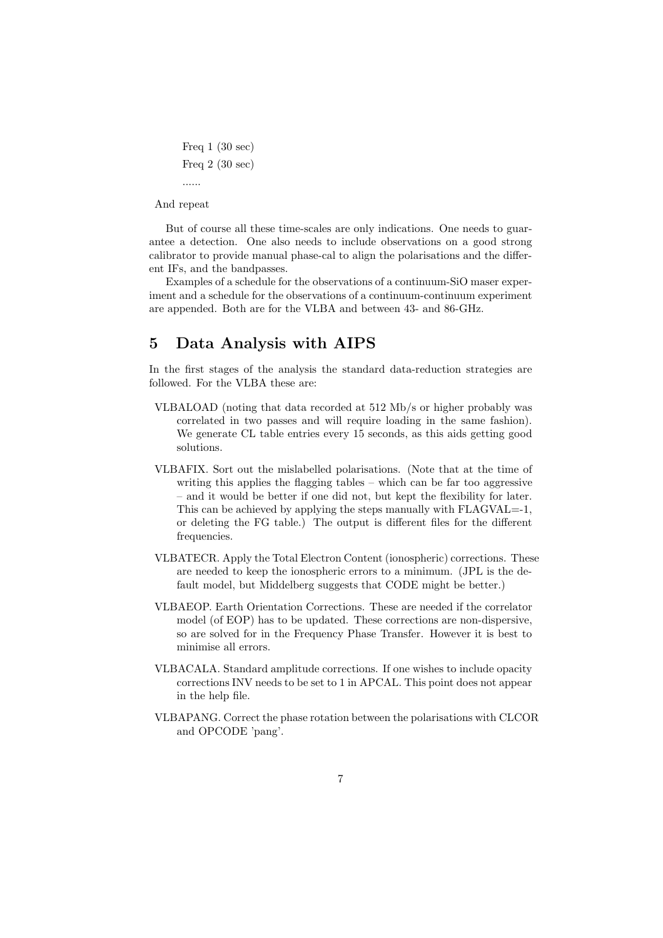```
Freq 1 (30 sec)
Freq 2 (30 sec)
......
```
And repeat

But of course all these time-scales are only indications. One needs to guarantee a detection. One also needs to include observations on a good strong calibrator to provide manual phase-cal to align the polarisations and the different IFs, and the bandpasses.

Examples of a schedule for the observations of a continuum-SiO maser experiment and a schedule for the observations of a continuum-continuum experiment are appended. Both are for the VLBA and between 43- and 86-GHz.

# 5 Data Analysis with AIPS

In the first stages of the analysis the standard data-reduction strategies are followed. For the VLBA these are:

- VLBALOAD (noting that data recorded at 512 Mb/s or higher probably was correlated in two passes and will require loading in the same fashion). We generate CL table entries every 15 seconds, as this aids getting good solutions.
- VLBAFIX. Sort out the mislabelled polarisations. (Note that at the time of writing this applies the flagging tables – which can be far too aggressive – and it would be better if one did not, but kept the flexibility for later. This can be achieved by applying the steps manually with FLAGVAL=-1. or deleting the FG table.) The output is different files for the different frequencies.
- VLBATECR. Apply the Total Electron Content (ionospheric) corrections. These are needed to keep the ionospheric errors to a minimum. (JPL is the default model, but Middelberg suggests that CODE might be better.)
- VLBAEOP. Earth Orientation Corrections. These are needed if the correlator model (of EOP) has to be updated. These corrections are non-dispersive, so are solved for in the Frequency Phase Transfer. However it is best to minimise all errors.
- VLBACALA. Standard amplitude corrections. If one wishes to include opacity corrections INV needs to be set to 1 in APCAL. This point does not appear in the help file.
- VLBAPANG. Correct the phase rotation between the polarisations with CLCOR and OPCODE 'pang'.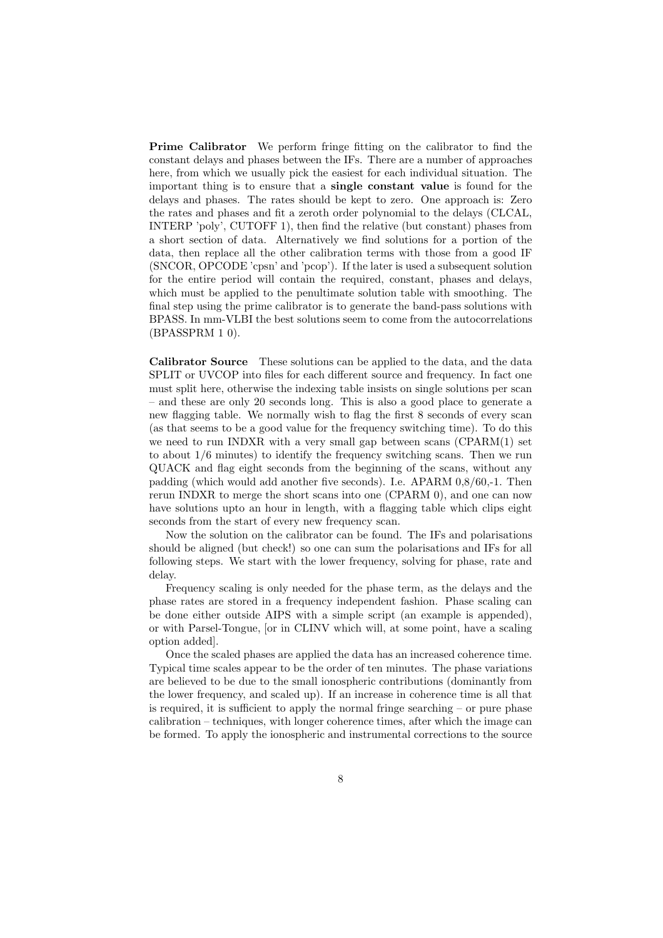Prime Calibrator We perform fringe fitting on the calibrator to find the constant delays and phases between the IFs. There are a number of approaches here, from which we usually pick the easiest for each individual situation. The important thing is to ensure that a single constant value is found for the delays and phases. The rates should be kept to zero. One approach is: Zero the rates and phases and fit a zeroth order polynomial to the delays (CLCAL, INTERP 'poly', CUTOFF 1), then find the relative (but constant) phases from a short section of data. Alternatively we find solutions for a portion of the data, then replace all the other calibration terms with those from a good IF (SNCOR, OPCODE 'cpsn' and 'pcop'). If the later is used a subsequent solution for the entire period will contain the required, constant, phases and delays, which must be applied to the penultimate solution table with smoothing. The final step using the prime calibrator is to generate the band-pass solutions with BPASS. In mm-VLBI the best solutions seem to come from the autocorrelations (BPASSPRM 1 0).

Calibrator Source These solutions can be applied to the data, and the data SPLIT or UVCOP into files for each different source and frequency. In fact one must split here, otherwise the indexing table insists on single solutions per scan – and these are only 20 seconds long. This is also a good place to generate a new flagging table. We normally wish to flag the first 8 seconds of every scan (as that seems to be a good value for the frequency switching time). To do this we need to run INDXR with a very small gap between scans (CPARM(1) set to about 1/6 minutes) to identify the frequency switching scans. Then we run QUACK and flag eight seconds from the beginning of the scans, without any padding (which would add another five seconds). I.e. APARM 0,8/60,-1. Then rerun INDXR to merge the short scans into one (CPARM 0), and one can now have solutions upto an hour in length, with a flagging table which clips eight seconds from the start of every new frequency scan.

Now the solution on the calibrator can be found. The IFs and polarisations should be aligned (but check!) so one can sum the polarisations and IFs for all following steps. We start with the lower frequency, solving for phase, rate and delay.

Frequency scaling is only needed for the phase term, as the delays and the phase rates are stored in a frequency independent fashion. Phase scaling can be done either outside AIPS with a simple script (an example is appended), or with Parsel-Tongue, [or in CLINV which will, at some point, have a scaling option added].

Once the scaled phases are applied the data has an increased coherence time. Typical time scales appear to be the order of ten minutes. The phase variations are believed to be due to the small ionospheric contributions (dominantly from the lower frequency, and scaled up). If an increase in coherence time is all that is required, it is sufficient to apply the normal fringe searching  $-$  or pure phase calibration – techniques, with longer coherence times, after which the image can be formed. To apply the ionospheric and instrumental corrections to the source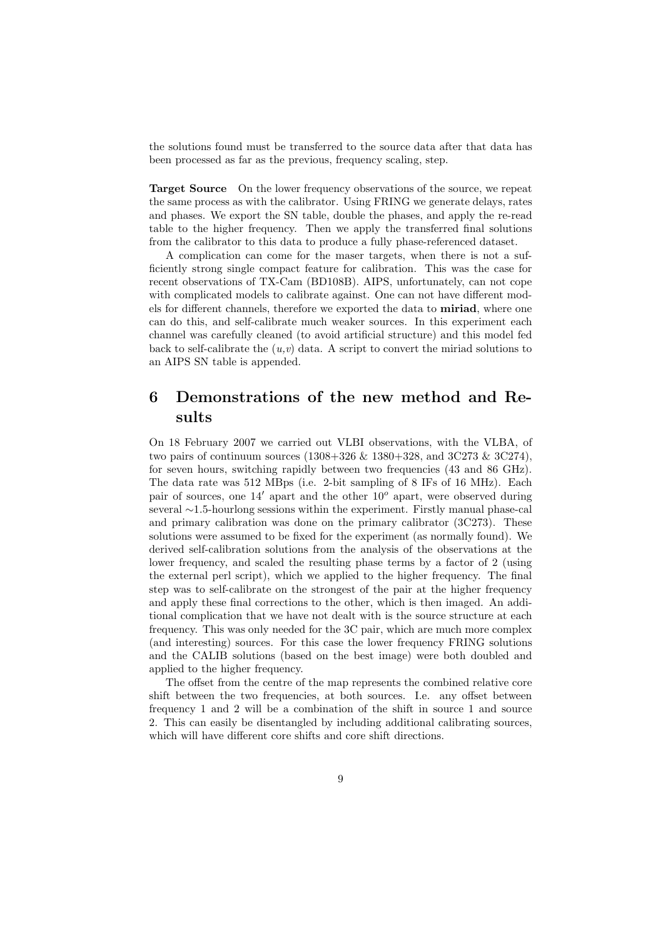the solutions found must be transferred to the source data after that data has been processed as far as the previous, frequency scaling, step.

Target Source On the lower frequency observations of the source, we repeat the same process as with the calibrator. Using FRING we generate delays, rates and phases. We export the SN table, double the phases, and apply the re-read table to the higher frequency. Then we apply the transferred final solutions from the calibrator to this data to produce a fully phase-referenced dataset.

A complication can come for the maser targets, when there is not a sufficiently strong single compact feature for calibration. This was the case for recent observations of TX-Cam (BD108B). AIPS, unfortunately, can not cope with complicated models to calibrate against. One can not have different models for different channels, therefore we exported the data to miriad, where one can do this, and self-calibrate much weaker sources. In this experiment each channel was carefully cleaned (to avoid artificial structure) and this model fed back to self-calibrate the  $(u, v)$  data. A script to convert the miriad solutions to an AIPS SN table is appended.

# 6 Demonstrations of the new method and Results

On 18 February 2007 we carried out VLBI observations, with the VLBA, of two pairs of continuum sources (1308+326 & 1380+328, and 3C273 & 3C274), for seven hours, switching rapidly between two frequencies (43 and 86 GHz). The data rate was 512 MBps (i.e. 2-bit sampling of 8 IFs of 16 MHz). Each pair of sources, one  $14'$  apart and the other  $10^{\circ}$  apart, were observed during several ∼1.5-hourlong sessions within the experiment. Firstly manual phase-cal and primary calibration was done on the primary calibrator (3C273). These solutions were assumed to be fixed for the experiment (as normally found). We derived self-calibration solutions from the analysis of the observations at the lower frequency, and scaled the resulting phase terms by a factor of 2 (using the external perl script), which we applied to the higher frequency. The final step was to self-calibrate on the strongest of the pair at the higher frequency and apply these final corrections to the other, which is then imaged. An additional complication that we have not dealt with is the source structure at each frequency. This was only needed for the 3C pair, which are much more complex (and interesting) sources. For this case the lower frequency FRING solutions and the CALIB solutions (based on the best image) were both doubled and applied to the higher frequency.

The offset from the centre of the map represents the combined relative core shift between the two frequencies, at both sources. I.e. any offset between frequency 1 and 2 will be a combination of the shift in source 1 and source 2. This can easily be disentangled by including additional calibrating sources, which will have different core shifts and core shift directions.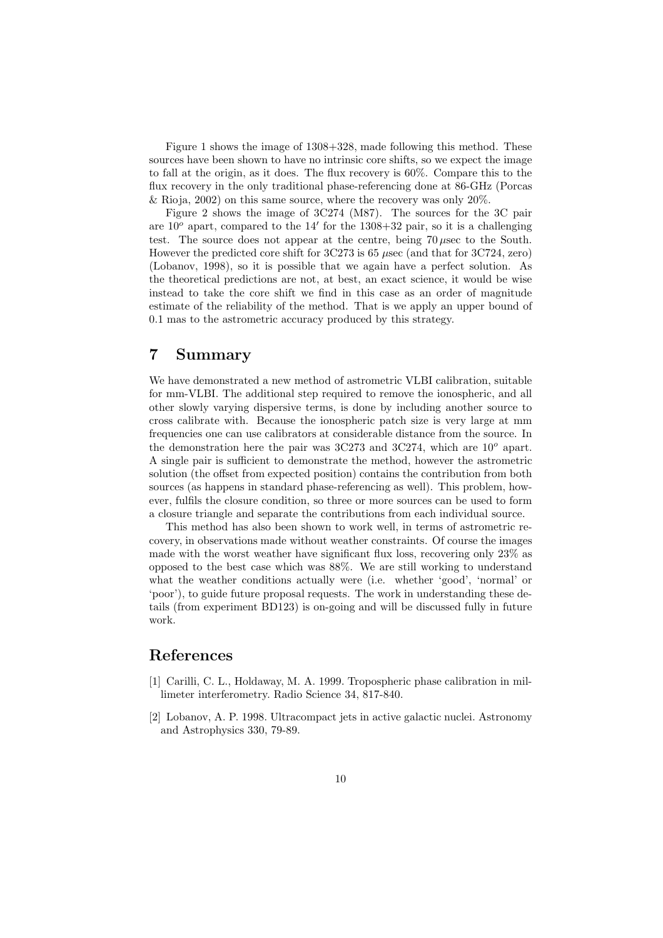Figure 1 shows the image of 1308+328, made following this method. These sources have been shown to have no intrinsic core shifts, so we expect the image to fall at the origin, as it does. The flux recovery is 60%. Compare this to the flux recovery in the only traditional phase-referencing done at 86-GHz (Porcas & Rioja,  $2002$ ) on this same source, where the recovery was only  $20\%$ .

Figure 2 shows the image of 3C274 (M87). The sources for the 3C pair are  $10^{\circ}$  apart, compared to the 14' for the 1308+32 pair, so it is a challenging test. The source does not appear at the centre, being 70 µsec to the South. However the predicted core shift for 3C273 is 65 µsec (and that for 3C724, zero) (Lobanov, 1998), so it is possible that we again have a perfect solution. As the theoretical predictions are not, at best, an exact science, it would be wise instead to take the core shift we find in this case as an order of magnitude estimate of the reliability of the method. That is we apply an upper bound of 0.1 mas to the astrometric accuracy produced by this strategy.

### 7 Summary

We have demonstrated a new method of astrometric VLBI calibration, suitable for mm-VLBI. The additional step required to remove the ionospheric, and all other slowly varying dispersive terms, is done by including another source to cross calibrate with. Because the ionospheric patch size is very large at mm frequencies one can use calibrators at considerable distance from the source. In the demonstration here the pair was  $3C273$  and  $3C274$ , which are  $10^{\circ}$  apart. A single pair is sufficient to demonstrate the method, however the astrometric solution (the offset from expected position) contains the contribution from both sources (as happens in standard phase-referencing as well). This problem, however, fulfils the closure condition, so three or more sources can be used to form a closure triangle and separate the contributions from each individual source.

This method has also been shown to work well, in terms of astrometric recovery, in observations made without weather constraints. Of course the images made with the worst weather have significant flux loss, recovering only 23% as opposed to the best case which was 88%. We are still working to understand what the weather conditions actually were (i.e. whether 'good', 'normal' or 'poor'), to guide future proposal requests. The work in understanding these details (from experiment BD123) is on-going and will be discussed fully in future work.

# References

- [1] Carilli, C. L., Holdaway, M. A. 1999. Tropospheric phase calibration in millimeter interferometry. Radio Science 34, 817-840.
- [2] Lobanov, A. P. 1998. Ultracompact jets in active galactic nuclei. Astronomy and Astrophysics 330, 79-89.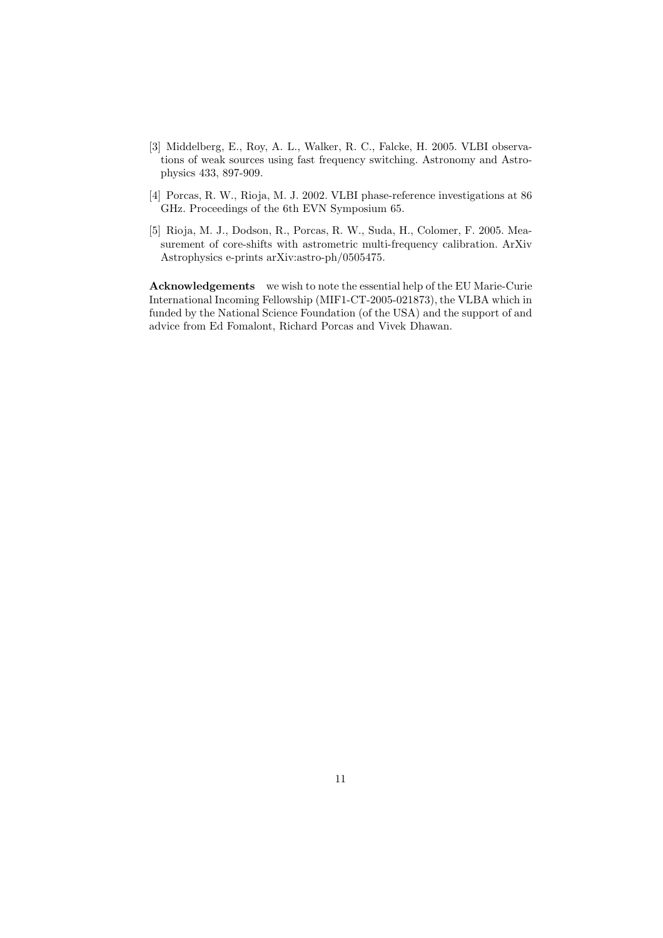- [3] Middelberg, E., Roy, A. L., Walker, R. C., Falcke, H. 2005. VLBI observations of weak sources using fast frequency switching. Astronomy and Astrophysics 433, 897-909.
- [4] Porcas, R. W., Rioja, M. J. 2002. VLBI phase-reference investigations at 86 GHz. Proceedings of the 6th EVN Symposium 65.
- [5] Rioja, M. J., Dodson, R., Porcas, R. W., Suda, H., Colomer, F. 2005. Measurement of core-shifts with astrometric multi-frequency calibration. ArXiv Astrophysics e-prints arXiv:astro-ph/0505475.

Acknowledgements we wish to note the essential help of the EU Marie-Curie International Incoming Fellowship (MIF1-CT-2005-021873), the VLBA which in funded by the National Science Foundation (of the USA) and the support of and advice from Ed Fomalont, Richard Porcas and Vivek Dhawan.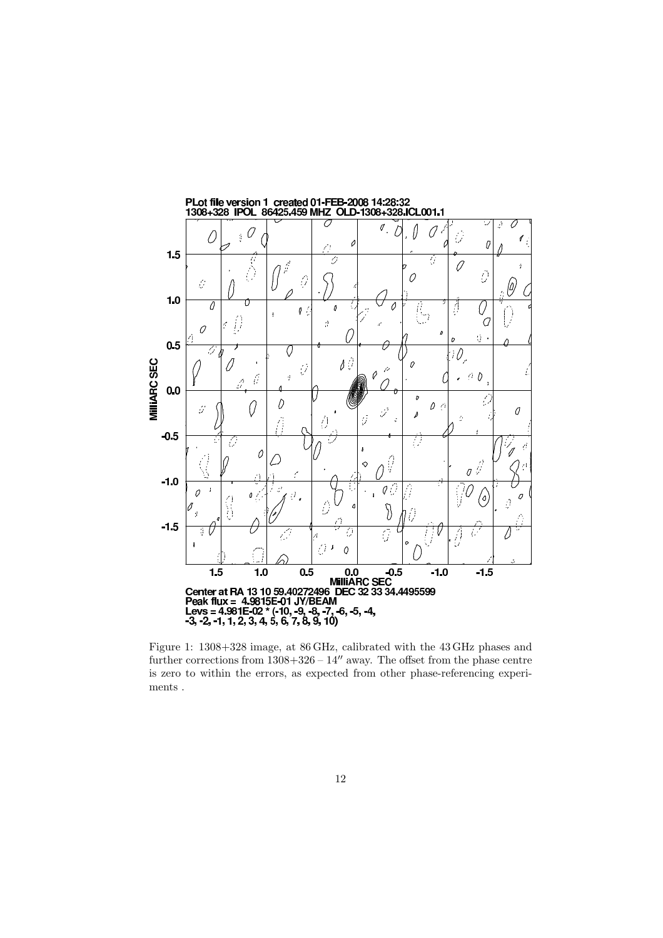

further corrections from  $1308+326-14''$  away. The offset from the phase centre is zero to within the errors, as expected from other phase-referencing experiments .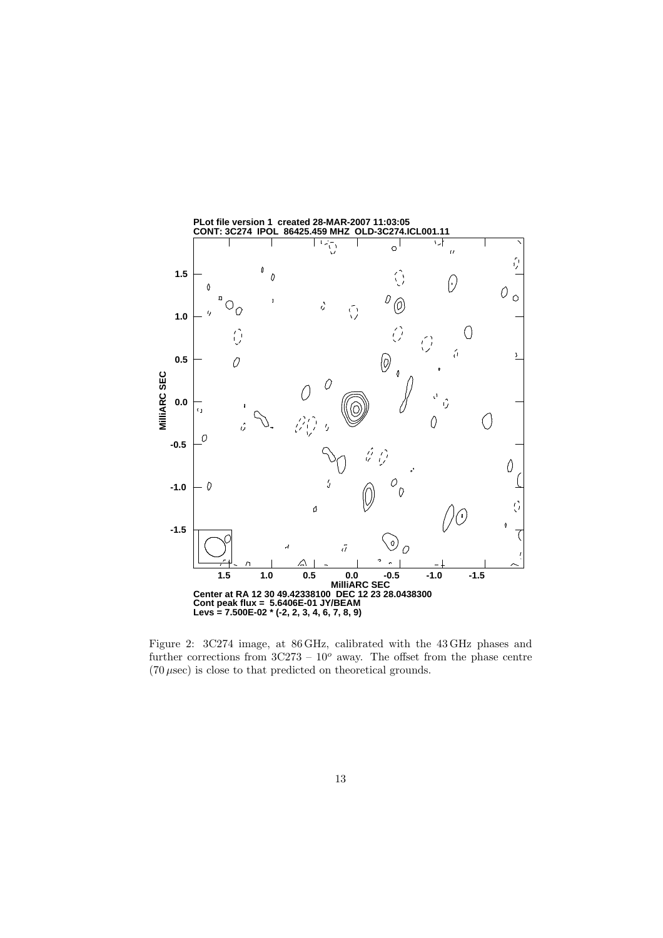

Figure 2: 3C274 image, at 86 GHz, calibrated with the 43 GHz phases and further corrections from  $3C273 - 10^o$  away. The offset from the phase centre  $(70 \,\mu \text{sec})$  is close to that predicted on theoretical grounds.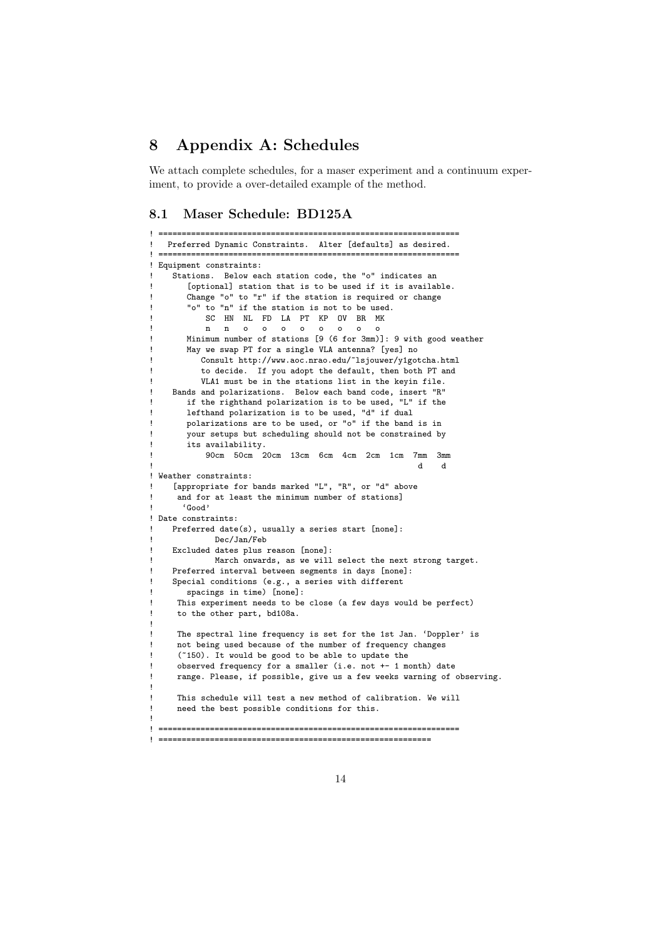# 8 Appendix A: Schedules

We attach complete schedules, for a maser experiment and a continuum experiment, to provide a over-detailed example of the method.

```
8.1 Maser Schedule: BD125A
```
! ================================================================

```
Preferred Dynamic Constraints. Alter [defaults] as desired.
! ================================================================
! Equipment constraints:
    Stations. Below each station code, the "o" indicates an
       [optional] station that is to be used if it is available.
       Change "o" to "r" if the station is required or change
       "o" to "n" if the station is not to be used.
           SC HN NL FD LA PT KP OV BR MK
           n n o o o o o o o o
       ! Minimum number of stations [9 (6 for 3mm)]: 9 with good weather
       May we swap PT for a single VLA antenna? [yes] no
          ! Consult http://www.aoc.nrao.edu/~lsjouwer/y1gotcha.html
          to decide. If you adopt the default, then both PT and
          VLA1 must be in the stations list in the keyin file.
    Bands and polarizations. Below each band code, insert "R"
       if the righthand polarization is to be used, "L" if the
! lefthand polarization is to be used, "d" if dual
! polarizations are to be used, or "o" if the band is in
       your setups but scheduling should not be constrained by
       .<br>its availability.
           ! 90cm 50cm 20cm 13cm 6cm 4cm 2cm 1cm 7mm 3mm
! d d
! Weather constraints:
    [appropriate for bands marked "L", "R", or "d" above
     and for at least the minimum number of stations]
      ! 'Good'
! Date constraints:
    Preferred date(s), usually a series start [none]:
            ! Dec/Jan/Feb
    Excluded dates plus reason [none]:
            March onwards, as we will select the next strong target.
    ! Preferred interval between segments in days [none]:
    Special conditions (e.g., a series with different
       spacings in time) [none]:
     This experiment needs to be close (a few days would be perfect)
     to the other part, bd108a.
!
     The spectral line frequency is set for the 1st Jan. 'Doppler' is
     not being used because of the number of frequency changes
     (~150). It would be good to be able to update the
     observed frequency for a smaller (i.e. not +- 1 month) date
     range. Please, if possible, give us a few weeks warning of observing.
!
     This schedule will test a new method of calibration. We will
     need the best possible conditions for this.
!
     ! ================================================================
! ==========================================================
```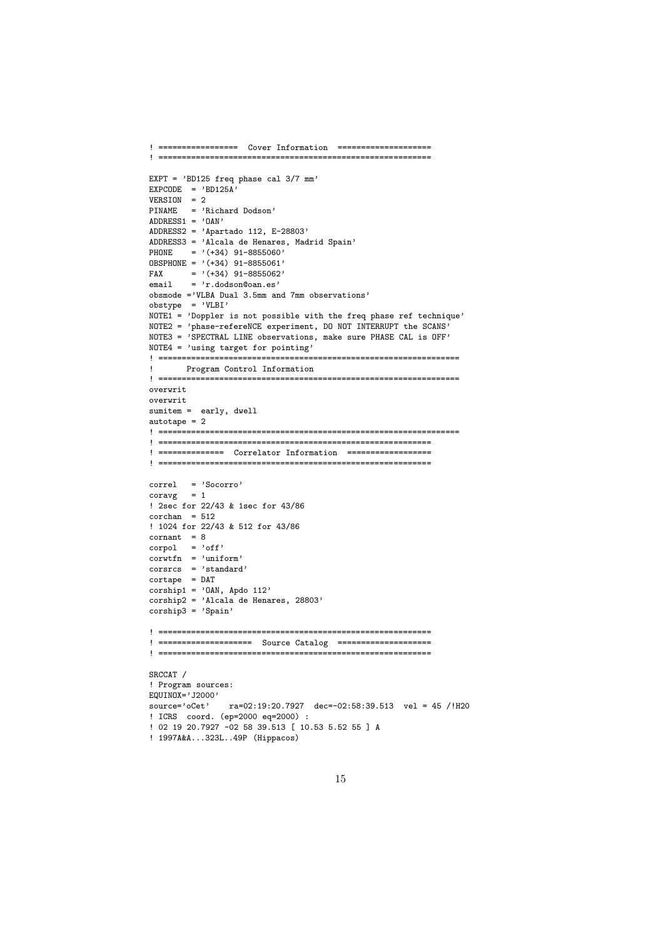```
! ================= Cover Information ====================
! ==========================================================
EXPT = 'BD125 freq phase cal 3/7 mm'
EXPCODE = 'BD125A'VERSION = 2
PINAME = 'Richard Dodson'
ADDRESS1 = 'OAN'ADDRESS2 = 'Apartado 112, E-28803'
ADDRESS3 = 'Alcala de Henares, Madrid Spain'
PHONE = '(+34) 91-8855060'
OBSPHONE = '(+34) 91-8855061'FAX = ' (+34) 91-8855062'email = 'r.dodson@oan.es'
obsmode ='VLBA Dual 3.5mm and 7mm observations'
obstype = 'VLBI'
NOTE1 = 'Doppler is not possible with the freq phase ref technique'
NOTE2 = 'phase-refereNCE experiment, DO NOT INTERRUPT the SCANS'
NOTE3 = 'SPECTRAL LINE observations, make sure PHASE CAL is OFF'
NOTE4 = 'using target for pointing'
! ================================================================
! Program Control Information
                                    ! ================================================================
overwrit
overwrit
sumitem = early, dwell
autotape = 2
! ================================================================
! ==========================================================
! ============== Correlator Information ==================
                         ! ==========================================================
correl = 'Socorro'
\text{coravg} = 1! 2sec for 22/43 & 1sec for 43/86
corchan = 512! 1024 for 22/43 & 512 for 43/86
\text{format} = 8corpol = 'off'\frac{1}{\text{corwtfn}} = \frac{1}{\text{uniform}}corsrcs = 'standard'
cortape = DAT
corship1 = '0AN, Apdo 112'
corship2 = 'Alcala de Henares, 28803'
corship3 = 'Spain'! ==========================================================
! ==================== Source Catalog ====================
! ==========================================================
SRCCAT /
! Program sources:
EQUINOX='J2000'
source='oCet' ra=02:19:20.7927 dec=-02:58:39.513 vel = 45 /!H20
! ICRS coord. (ep=2000 eq=2000) :
! 02 19 20.7927 -02 58 39.513 [ 10.53 5.52 55 ] A
! 1997A&A...323L..49P (Hippacos)
```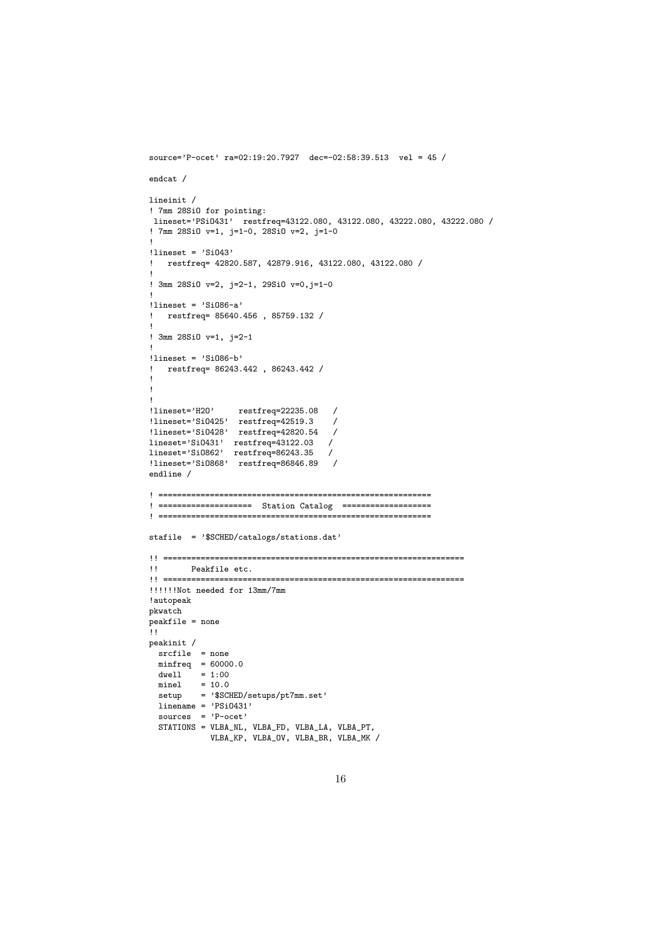```
source='P-ocet' ra=02:19:20.7927 dec=-02:58:39.513 vel = 45 /
endcat /
lineinit /
! 7mm 28SiO for pointing:
lineset='PSiO431' restfreq=43122.080, 43122.080, 43222.080, 43222.080 /
! 7mm 28SiO v=1, j=1-0, 28SiO v=2, j=1-0
!
!lineset = 'SiO43'
! restfreq= 42820.587, 42879.916, 43122.080, 43122.080 /
!
! 3mm 28SiO v=2, j=2-1, 29SiO v=0,j=1-0
!
llineset = 'Si086-a'
  ! restfreq= 85640.456 , 85759.132 /
!
! 3mm 28SiO v=1, j=2-1
!
!lineset = 'SiO86-b'
! restfreq= 86243.442 , 86243.442 /
!
!
!lineset='H2O'
                 restfreq=22235.08 /
!lineset='SiO425' restfreq=42519.3 /
!lineset='SiO428' restfreq=42820.54 /
lineset='SiO431' restfreq=43122.03 /
lineset='SiO862' restfreq=86243.35 /
!lineset='SiO868' restfreq=86846.89 /
endline /
! ==========================================================
.<br>! ===================== Station Catalog ===================
! ==========================================================
stafile = '$SCHED/catalogs/stations.dat'
!! ================================================================
!! Peakfile etc.
!! ================================================================
!!!!!!Not needed for 13mm/7mm
!autopeak
pkwatch
peakfile = none
\overline{11}peakinit /
 srcfile = none
 minfreq = 60000.0dwell = 1:00minel = 10.0setup = '$SCHED/setups/pt7mm.set'
 linename = 'PSi0431'sources = 'P-ocet'
  STATIONS = VLBA_NL, VLBA_FD, VLBA_LA, VLBA_PT,
            VLBA_KP, VLBA_OV, VLBA_BR, VLBA_MK /
```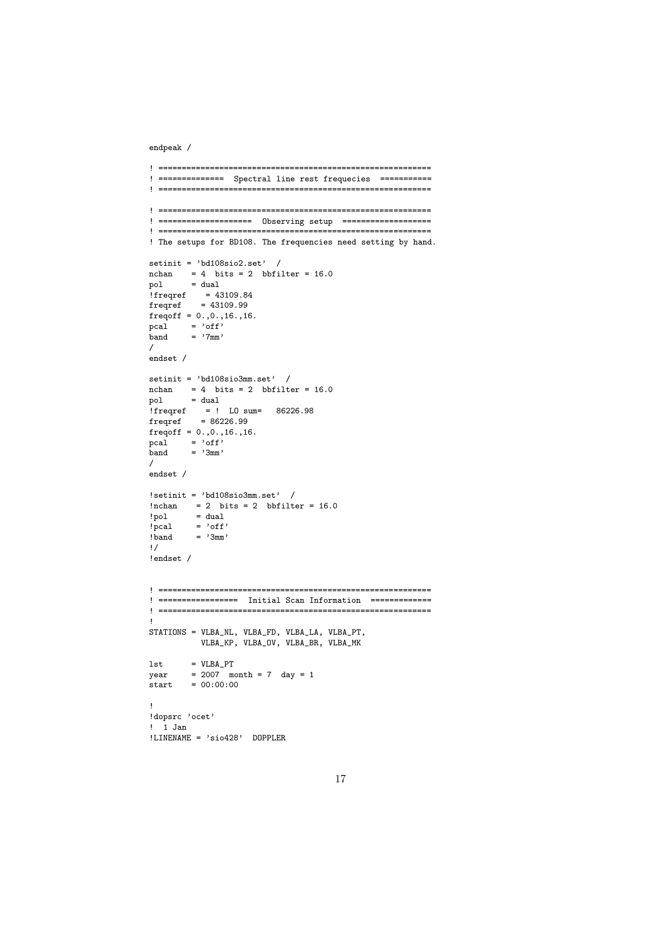endpeak /

```
! ==========================================================
! ============== Spectral line rest frequecies ===========
! ==========================================================
! ==========================================================
! ==================== Observing setup ===================
! ==========================================================
! The setups for BD108. The frequencies need setting by hand.
setinit = 'bd108sio2.set' /
nchan = 4 \; bits = 2 \; bbfilter = 16.0pol = dual!freqref = 43109.84
freqref = 43109.99
freqoff = 0., 0., 16., 16.pcal = \text{``off'}band = '7mm'/
endset /
setinit = 'bd108sio3mm.set' /
nchan = 4 bits = 2 bbfilter = 16.0<br>pol = dual
pol = dual
!freqref = ! LO sum= 86226.98
frequency = 86226.99freqoff = 0., 0., 16., 16.pcal = 'off'
band = '3mm'/
endset /
!setinit = 'bd108sio3mm.set' /
!nchan = 2 bits = 2 bbfitter = 16.0!pol = dual
!pcal = 'off'! band = '3mm'!/
!endset /
! ==========================================================
! ================= Initial Scan Information =============
! ==========================================================
!
STATIONS = VLBA_NL, VLBA_FD, VLBA_LA, VLBA_PT,
          VLBA_KP, VLBA_OV, VLBA_BR, VLBA_MK
1st = VLBA_PTyear = 2007 month = 7 day = 1\text{start} = 00:00:00!
!dopsrc 'ocet'
! 1 Jan
!LINENAME = 'sio428' DOPPLER
```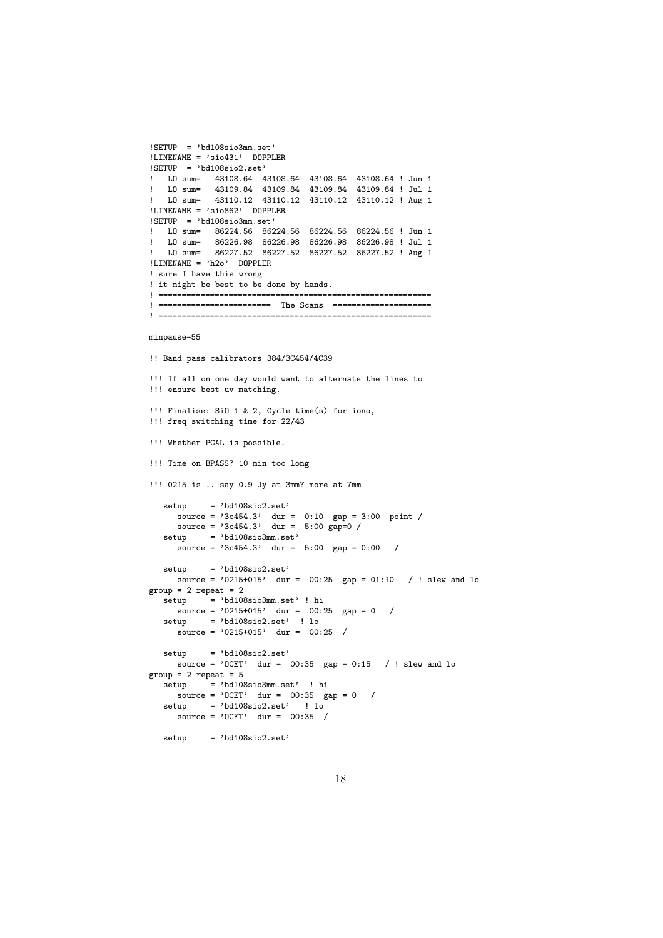```
!SETUP = 'bd108sio3mm.set'
'LLINENAME = 'sio431' DOPPLER
!SETUP = 'bd108sio2.set'
! LO sum= 43108.64 43108.64 43108.64 43108.64 ! Jun 1
! LO sum= 43109.84 43109.84 43109.84 43109.84 ! Jul 1
! LO sum= 43110.12 43110.12 43110.12 43110.12 ! Aug 1
!LINENAME = 'sio862' DOPPLER
!SETUP = 'bd108sio3mm.set'
! LO sum= 86224.56 86224.56 86224.56 86224.56 ! Jun 1
! LO sum= 86226.98 86226.98 86226.98 86226.98 ! Jul 1
  LO sum= 86227.52 86227.52 86227.52 86227.52 ! Aug 1
!LINENAME = 'h2o' DOPPLER
! sure I have this wrong
! it might be best to be done by hands.
! ==========================================================
! ======================== The Scans =====================
! ==========================================================
minpause=55
!! Band pass calibrators 384/3C454/4C39
!!! If all on one day would want to alternate the lines to
!!! ensure best uv matching.
!!! Finalise: SiO 1 & 2, Cycle time(s) for iono,
!!! freq switching time for 22/43
!!! Whether PCAL is possible.
!!! Time on BPASS? 10 min too long
!!! 0215 is .. say 0.9 Jy at 3mm? more at 7mm
  setup = 'bd108sio2.set'
     source = '3c454.3' dur = 0:10 gap = 3:00 point /
     source = '3c454.3' dur = 5:00 gap=0 /
  setup = 'bd108sio3mm.set'
     \frac{1}{\text{source}} = \frac{1}{3c454.3}, dur = 5:00 gap = 0:00 /
  setup = 'bd108sio2.set'
    source = '0215+015' dur = 00:25 gap = 01:10 / ! slew and lo
group = 2 repeat = 2\text{setup} = 'bd108sio3mm.set' ! hi
    source = '0215+015' dur = 00:25 gap = 0 /
  setup = 'bd108sio2.set' ! lo
     source = '0215+015' dur = 00:25 /
  setup = 'bd108sio2.set'
    source = '0CET' dur = 00:35 gap = 0:15 / ! slew and lo
group = 2 repeat = 5setup = 'bd108sio3mm.set' ! hi
     source = '0CET' dur = 00:35 gap = 0 /
  setup = 'bd108sio2.set' ! lo
    source = 'OCET' dur = 00:35 /
  setup = 'bd108sio2.set'
```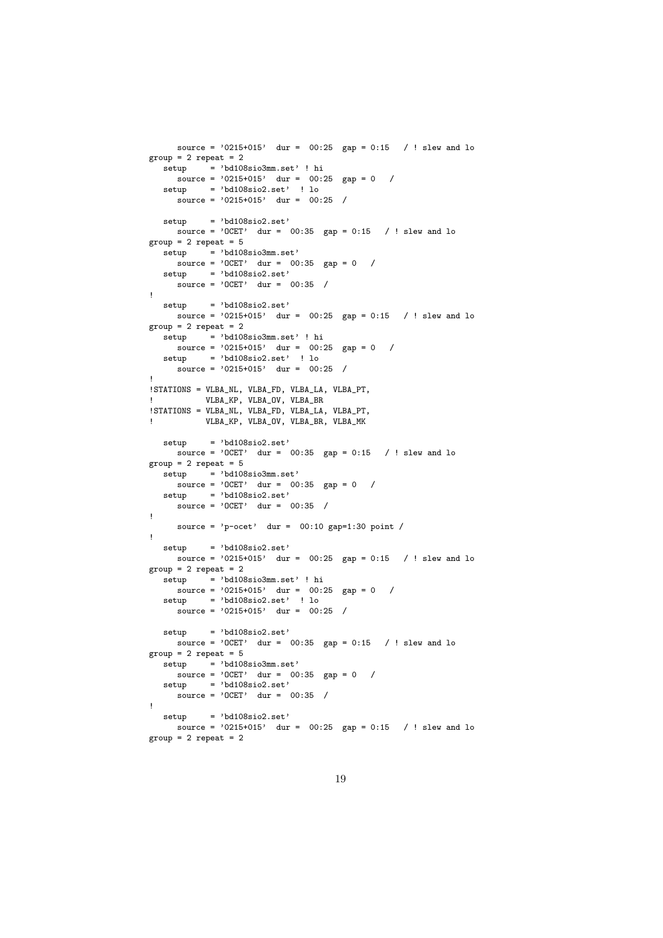```
source = '0215+015' dur = 00:25 gap = 0:15 / ! slew and lo
group = 2 repeat = 2setup = 'bd108sio3mm.set' ! hi
    \frac{1}{\text{source}} = \frac{1}{2}0215 + 015, dur = 00:25 gap = 0 /
  setup = 'bd108sio2.set' ! lo
     source = '0215+015' dur = 00:25 /
  setup = 'bd108sio2.set'
    source = '0CET' dur = 00:35 gap = 0:15 / ! slew and lo
group = 2 repeat = 5\text{setup} = 'bd108sio3mm.set'
    \frac{1}{\text{source}} = \text{'OCET'} dur = 00:35 gap = 0 /
  setup = 'bd108sio2.set'
    source = 'OCET' dur = 00:35 /
!
  setup = 'bd108sio2.set'
    source = '0215+015' dur = 00:25 gap = 0:15 / ! slew and lo
group = 2 repeat = 2setup = 'bd108sio3mm.set' ! hi
    s_{\text{source}} = '0215+015' \text{ dur} = 00:25 \text{ gap} = 0 /
  setup = 'bd108sio2.set' ! lo
     source = '0215+015' dur = 00:25 /
!
!STATIONS = VLBA_NL, VLBA_FD, VLBA_LA, VLBA_PT,
           ! VLBA_KP, VLBA_OV, VLBA_BR
!STATIONS = VLBA_NL, VLBA_FD, VLBA_LA, VLBA_PT,
! VLBA_KP, VLBA_OV, VLBA_BR, VLBA_MK
  setup = 'bd108sio2.set'
    source = '0CET' dur = 00:35 gap = 0:15 / ! slew and lo
group = 2 repeat = 5setup = 'bd108sio3mm.set'\frac{1}{\text{source}} = \text{'OCET'} dur = 00:35 gap = 0 /
  setup = 'bd108sio2.set'source = 'OCET' dur = 00:35 /
!
    source = 'p-ocet' dur = 00:10 gap=1:30 point /
!
  setup = 'bd108sio2.set'
    source = '0215+015' dur = 00:25 gap = 0:15 / ! slew and lo
group = 2 repeat = 2\text{setup} = 'bd108sio3mm.set' ! hi
    source = '0215+015' dur = 00:25 gap = 0 /
  setup = 'bd108sio2.set' ! lo
     source = '0215+015' dur = 00:25 /
  setup = 'bd108sio2.set'
    source = '0CET' dur = 00:35 gap = 0:15 / ! slew and lo
group = 2 repeat = 5\text{setup} = 'bd108sio3mm.set'
    source = 'OCET' dur = 00:35 gap = 0 /
  setup = 'bd108sio2.set'
    \frac{1}{\text{source}} = \text{'OCET'} \quad \text{dur} = \text{00:35} /
!
  set up = 'bd108sio2.set'source = '0215+015' dur = 00:25 gap = 0:15 / ! slew and lo
group = 2 repeat = 2
```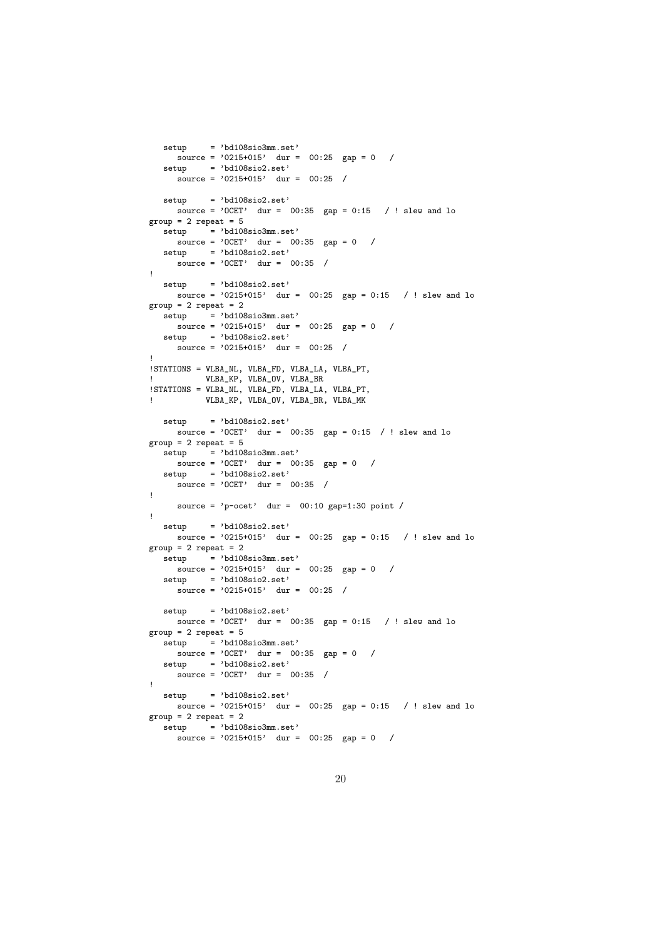```
setup = 'bd108sio3mm.set'
     s^{0.6} source = '0215+015' dur = 00:25 gap = 0 /
  setup = 'bd108sio2.set'
     source = '0215+015' dur = 00:25 /
  setup = 'bd108sio2.set'
    source = '0CET' dur = 00:35 gap = 0:15 / ! slew and lo
group = 2 repeat = 5\text{setup} = 'bd108sio3mm.set'
    \frac{1}{\text{source}} = \text{'OCET'} dur = 00:35 gap = 0 /
  setup = 'bd108sio2.set'\frac{1}{\text{source}} = \text{'OCET'} dur = 00:35 /
!
  setup = 'bd108sio2.set'
    source = '0215+015' dur = 00:25 gap = 0:15 / ! slew and lo
group = 2 repeat = 2setup = 'bd108sio3mm.set'
    source = '0215+015' dur = 00:25 gap = 0 /
  setup = 'bd108sio2.set'source = '0215+015' dur = 00:25 /
!
!STATIONS = VLBA_NL, VLBA_FD, VLBA_LA, VLBA_PT,
! VLBA_KP, VLBA_OV, VLBA_BR
!STATIONS = VLBA_NL, VLBA_FD, VLBA_LA, VLBA_PT,
! VLBA_KP, VLBA_OV, VLBA_BR, VLBA_MK
  setup = 'bd108sio2.set'
    \frac{1}{\text{source}} = 'OCET' dur = 00:35 gap = 0:15 / ! slew and lo
group = 2 repeat = 5setup = 'bd108sio3mm.set'
    s_{\text{source}} = '0 \text{CET'} dur = 00:35 gap = 0 /
  setup = 'bd108sio2.set'
    source = 'OCET' dur = 00:35 /
!
     source = \primep-ocet' dur = 00:10 gap=1:30 point /
!
  setup = 'bd108sio2.set'
    source = '0215+015' dur = 00:25 gap = 0:15 / ! slew and lo
group = 2 repeat = 2\text{setup} = 'bd108sio3mm.set'
     source = '0215+015' dur = 00:25 gap = 0 /
  set up = 'bd108sio2.set'source = '0215+015' dur = 00:25 /
  setup = 'bd108sio2.set'
    source = '0CET' dur = 00:35 gap = 0:15 / ! slew and lo
group = 2 repeat = 5setup = 'bd108sio3mm.set'
    \frac{1}{\text{source}} = \text{'OCET'} dur = 00:35 gap = 0 /
  setup = 'bd108sio2.set'
     source = 'OCET' dur = 00:35 /
!
  setup = 'bd108sio2.set'source = '0215+015' dur = 00:25 gap = 0:15 / ! slew and lo
group = 2 repeat = 2\frac{1}{\text{setup}} = 'bd108sio3mm.set'
     source = '0215+015' dur = 00:25 gap = 0 /
```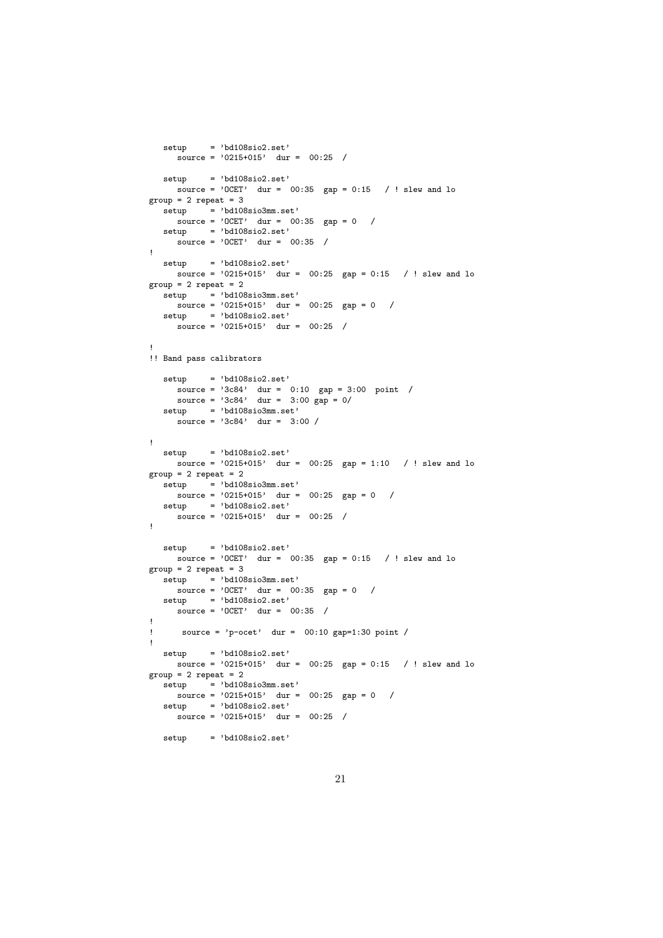```
setup = 'bd108sio2.set'
     source = '0215+015' dur = 00:25 /
  setup = 'bd108sio2.set'
    source = '0CET' dur = 00:35 gap = 0:15 / ! slew and lo
group = 2 repeat = 3\frac{1}{\text{setup}} = 'bd108sio3mm.set'
    \frac{1}{\text{source}} = \text{'OCET'} dur = 00:35 gap = 0 /
  setup = 'bd108sio2.set'
    source = 'OCET' dur = 00:35 /
!
  setup = 'bd108sio2.set'
    source = '0215+015' dur = 00:25 gap = 0:15 / ! slew and lo
group = 2 repeat = 2set up = 'bd108sio3mm.set'source = '0215+015' dur = 00:25 gap = 0 /
  setup = 'bd108sio2.set'
     \frac{1}{\text{source}} = \frac{1}{215 + 015}, dur = 00:25 /
!
!! Band pass calibrators
  set up = 'bd108sio2.set'source = '3c84' dur = 0:10 gap = 3:00 point /
      source = '3c84' dur = 3:00 gap = 0/
  setun = 'bd108sio3mm.set'source = '3c84' dur = 3:00 /
!
  setup = 'bd108sio2.set'
    source = '0215+015' dur = 00:25 gap = 1:10 / ! slew and lo
group = 2 repeat = 2\text{setup} = 'bd108sio3mm.set'
    source = '0215+015' dur = 00:25 gap = 0 /
  setup = 'bd108sio2.set'
    source = '0215+015' dur = 00:25 /
!
  setup = 'bd108sio2.set'source = '0CET' dur = 00:35 gap = 0:15 / ! slew and lo
group = 2 repeat = 3\text{setup} = 'bd108sio3mm.set'
    source = 'OCET' dur = 00:35 gap = 0 /
  setup = 'bd108sio2.set'
    source = 'OCET' dur = 00:35 /
!
     source = 'p-ocet' dur = 00:10 gap=1:30 point /
!
  setup = 'bd108sio2.set'
    source = '0215+015' dur = 00:25 gap = 0:15 / ! slew and lo
group = 2 repeat = 2\text{setup} = 'bd108sio3mm.set'
    source = '0215+015' dur = 00:25 gap = 0 /
  setup = 'bd108sio2.set'
    source = '0215+015' dur = 00:25 /
  setup = 'bd108sio2.set'
```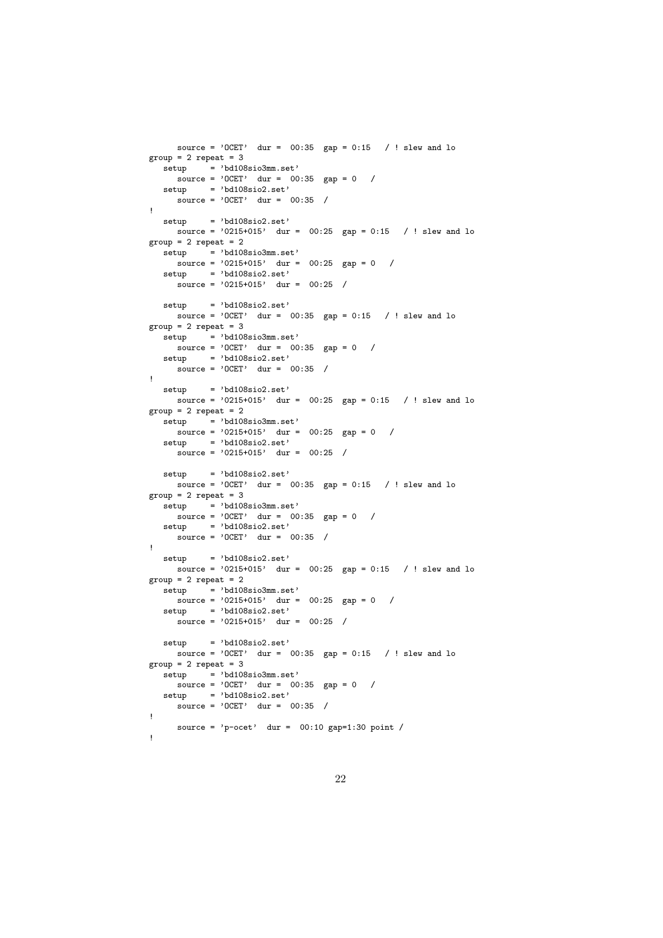```
source = '0CET' dur = 00:35 gap = 0:15 / ! slew and lo
group = 2 repeat = 3setup = 'bd108sio3mm.set'
    \frac{1}{\text{source}} = \text{'OCET'} dur = 00:35 gap = 0 /
  setup = 'bd108sio2.set'
    source = 'OCET' dur = 00:35 /
!
  setup = 'bd108sio2.set'
    source = '0215+015' dur = 00:25 gap = 0:15 / ! slew and lo
group = 2 repeat = 2\text{setup} = 'bd108sio3mm.set'
    source = '0215+015' dur = 00:25 gap = 0 /
  setup = 'bd108sio2.set'
    source = '0215+015' dur = 00:25 /
  setup = 'bd108sio2.set'
    source = '0CET' dur = 00:35 gap = 0:15 / ! slew and lo
group = 2 repeat = 3setup = 'bd108sio3mm.set'\frac{1}{\text{source}} = \text{'OCET'} dur = 00:35 gap = 0 /
  setup = 'bd108sio2.set'
    source = 'OCET' dur = 00:35 /
!
  setup = 'bd108sio2.set'
    source = '0215+015' dur = 00:25 gap = 0:15 / ! slew and lo
group = 2 repeat = 2setup = 'bd108sio3mm.set'
    source = '0215+015' dur = 00:25 gap = 0 /
  setup = 'bd108sio2.set'source = '0215+015' dur = 00:25 /
  setup = 'bd108sio2.set'
    source = '0CET' dur = 00:35 gap = 0:15 / ! slew and lo
group = 2 repeat = 3setup = 'bd108sio3mm.set'
    \frac{1}{\text{source}} = \text{'OCET'} dur = 00:35 gap = 0 /
  setup = 'bd108sio2.set'
    source = 'OCET' dur = 00:35 /
!
  setup = 'bd108sio2.set'source = '0215+015' dur = 00:25 gap = 0:15 / ! slew and lo
group = 2 repeat = 2setup = 'bd108sio3mm.set'
    \frac{1}{\text{source}} = \frac{1}{215 + 015} dur = 00:25 gap = 0 /
  setup = 'bd108sio2.set'
    source = '0215+015' dur = 00:25 /
  setup = 'bd108sio2.set'
    source = '0CET' dur = 00:35 gap = 0:15 / ! slew and lo
group = 2 repeat = 3setup = 'bd108sio3mm.set'
    source = 'OCET' dur = 00:35 gap = 0 /
  setup = 'bd108sio2.set'
     source = 'OCET' dur = 00:35 /
!
    source = 'p-ocet' dur = 00:10 gap=1:30 point /
!
```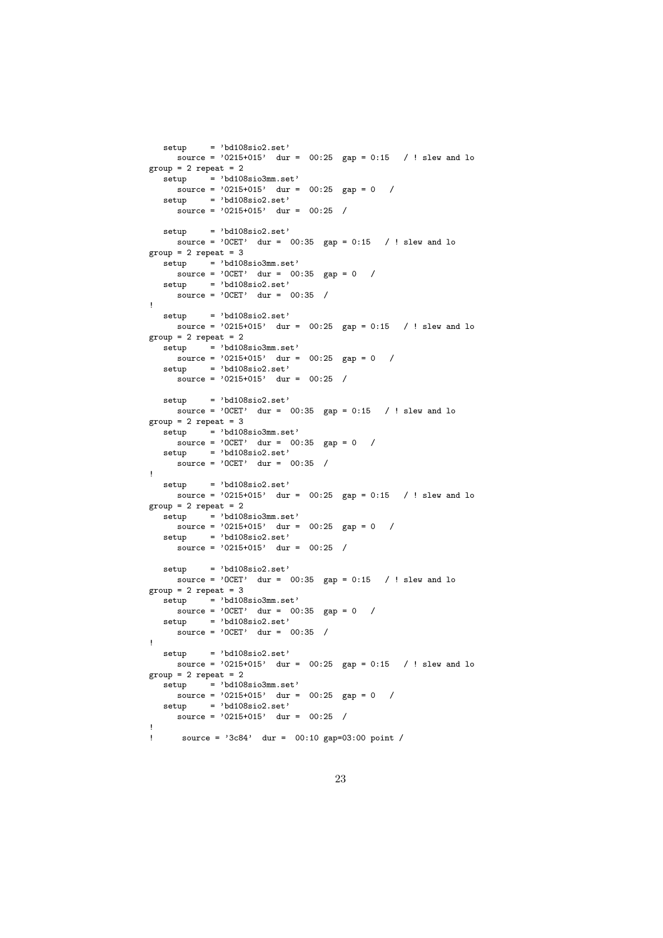```
setup = 'bd108sio2.set'
     source = '0215+015' dur = 00:25 gap = 0:15 / ! slew and lo
group = 2 repeat = 2\text{setup} = 'bd108sio3mm.set'
    source = '0215+015' dur = 00:25 gap = 0 /
   setup = 'bd108sio2.set'
     source = '0215+015' dur = 00:25 /
  setup = 'bd108sio2.set'
    source = '0CET' dur = 00:35 gap = 0:15 / ! slew and lo
group = 2 repeat = 3\frac{1}{\text{setup}} = 'bd108sio3mm.set'
    source = 'OCET' dur = 00:35 gap = 0 /
   setup = 'bd108sio2.set'
     \frac{1}{\text{source}} = \text{'OCET'} dur = 00:35 /
!
  setup = 'bd108sio2.set'
     source = '0215+015' dur = 00:25 gap = 0:15 / ! slew and lo
group = 2 repeat = 2setup = 'bd108sio3mm.set'
    \frac{1}{\text{source}} = \frac{1}{215 + 015} dur = 00:25 gap = 0 /
   setup = 'bd108sio2.set'
     source = '0215+015' dur = 00:25 /
  setup = 'bd108sio2.set'
    s source = 'OCET' dur = 00:35 gap = 0:15 / ! slew and lo
group = 2 repeat = 3setup = 'bd108sio3mm.set'
    \frac{1}{\text{source}} = \text{'OCET'} dur = 00:35 gap = 0 /
   setup = 'bd108sio2.set'
    source = 'OCET' dur = 00:35 /
!
  setup = 'bd108sio2.set'
    source = '0215+015' dur = 00:25 gap = 0:15 / ! slew and lo
group = 2 repeat = 2\text{setup} = 'bd108sio3mm.set'
    \frac{1}{\text{source}} = \frac{1}{215 + 015} dur = 00:25 gap = 0 /
   setup = 'bd108sio2.set'
     source = '0215+015' dur = 00:25 /
  setup = 'bd108sio2.set'
    source = {}^{'}0CET' dur = 00:35 gap = 0:15 / ! slew and lo
group = 2 repeat = 3\text{setup} = 'bd108sio3mm.set'
    \frac{1}{\text{source}} = \text{'OCET'} dur = 00:35 gap = 0 /
   setup = 'bd108sio2.set'
     source = 'OCET' dur = 00:35 /
!
  setup = 'bd108sio2.set'
    source = '0215+015' dur = 00:25 gap = 0:15 / ! slew and lo
group = 2 repeat = 2\text{setup} = 'bd108sio3mm.set'
     \frac{1}{\text{source}} = \frac{1}{215} + 015, dur = 00:25 gap = 0 /
  setup = 'bd108sio2.set'
    source = '0215+015' dur = 00:25 /
!
      ! source = '3c84' dur = 00:10 gap=03:00 point /
```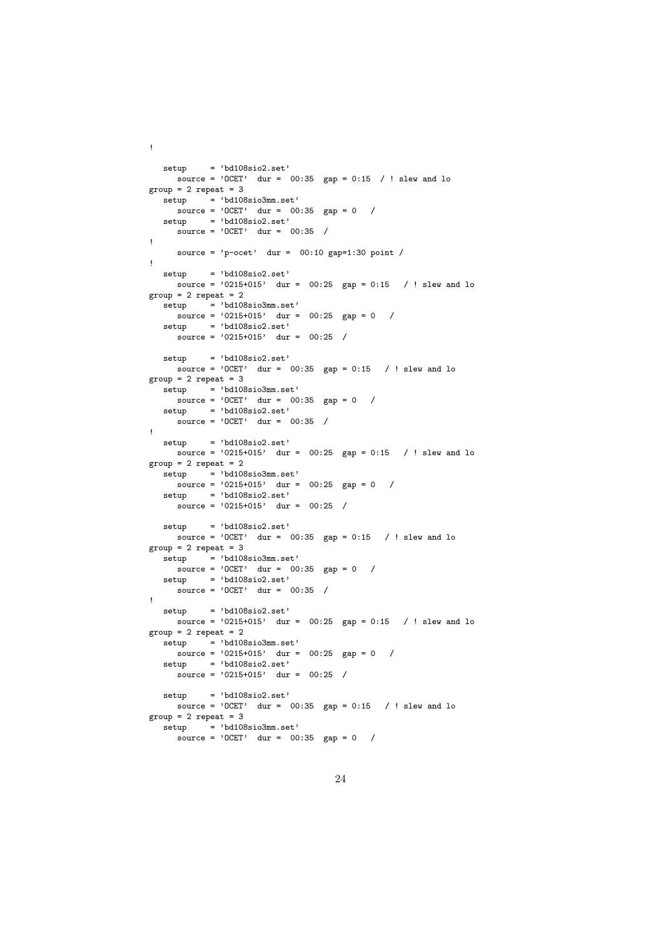```
setup = 'bd108sio2.set'
   source = 'OCET' dur = 00:35 gap = 0:15 / ! slew and lo
group = 2 repeat = 3\text{setup} = 'bd108sio3mm.set'
   source = 'OCET' dur = 00:35 gap = 0 /
  setup = 'bd108sio2.set'
    source = 'OCET' dur = 00:35 /
!
    source = \primep-ocet' dur = 00:10 gap=1:30 point /
!
  setup = 'bd108sio2.set'
    source = '0215+015' dur = 00:25 gap = 0:15 / ! slew and lo
group = 2 repeat = 2setup = 'bd108sio3mm.set'
   source = '0215+015' dur = 00:25 gap = 0 /
  setup = 'bd108sio2.set'
    source = '0215+015' dur = 00:25 /
  setup = 'bd108sio2.set'
    source = '0CET' dur = 00:35 gap = 0:15 / ! slew and lo
group = 2 repeat = 3setup = 'bd108sio3mm.set'
    source = 'OCET' dur = 00:35 gap = 0 /
  setun = 'bd108sio2.set'source = 'OCET' dur = 00:35 /
!
  setup = 'bd108sio2.set'
    source = '0215+015' dur = 00:25 gap = 0:15 / ! slew and lo
group = 2 repeat = 2setup = 'bd108sio3mm.set'source = '0215+015' dur = 00:25 gap = 0 /
  setup = 'bd108sio2.set'
     \frac{1}{\text{source}} = \frac{1}{215 + 015} dur = 00:25 /
  setup = 'bd108sio2.set'
    source = '0CET' dur = 00:35 gap = 0:15 / ! slew and lo
group = 2 repeat = 3\text{setup} = 'bd108sio3mm.set'
    source = 'OCET' dur = 00:35 gap = 0 /
  setup = 'bd108sio2.set'
    source = 'OCET' dur = 00:35 /
!
  setup = 'bd108sio2.set'
    source = '0215+015' dur = 00:25 gap = 0:15 / ! slew and lo
group = 2 repeat = 2setup = 'bd108sio3mm.set'
    source = '0215+015' dur = 00:25 gap = 0 /
  setup = 'bd108sio2.set'source = '0215+015' dur = 00:25 /
  setup = 'bd108sio2.set'
    source = '0CET' dur = 00:35 gap = 0:15 / ! slew and lo
group = 2 repeat = 3\text{setup} = 'bd108sio3mm.set'
     source = 'OCET' dur = 00:35 gap = 0 /
```
!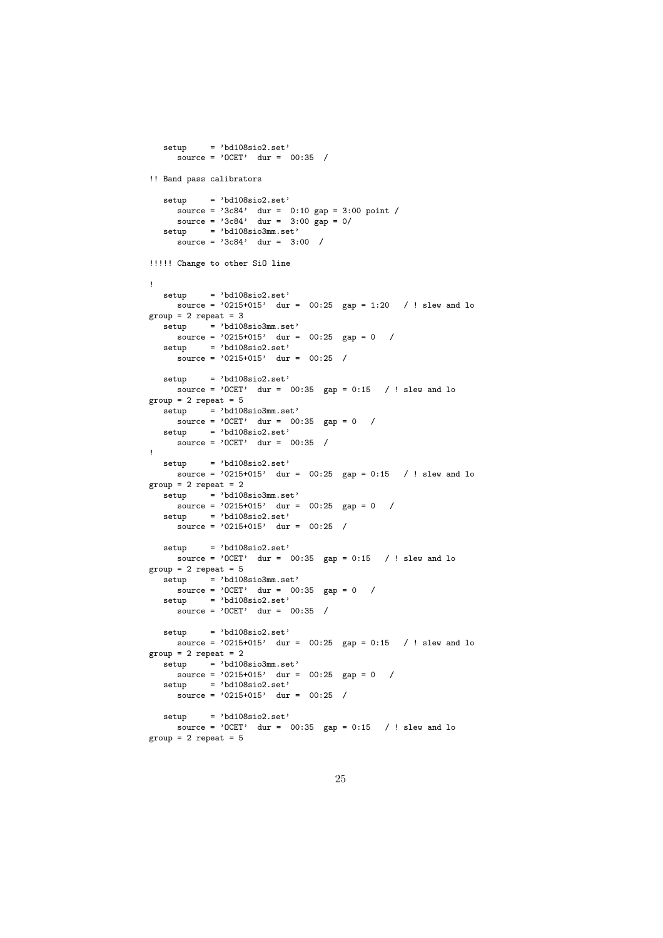```
setup = 'bd108sio2.set'
     \text{source} = \text{'0CET'} \quad \text{dur} = \text{00:35} /
!! Band pass calibrators
   setup = 'bd108sio2.set'
      source = '3c84' dur = 0:10 gap = 3:00 point /
      source = '3c84' dur = 3:00 gap = 0/
  setup = 'bd108sio3mm.set'
     \frac{1}{\text{source}} = \frac{1}{3c84}, dur = 3:00 /
!!!!! Change to other SiO line
!
  setup = 'bd108sio2.set'source = '0215+015' dur = 00:25 gap = 1:20 / ! slew and lo
group = 2 repeat = 3\text{setup} = 'bd108sio3mm.set'
    source = '0215+015' dur = 00:25 gap = 0 /
   setup = 'bd108sio2.set'
     source = '0215+015' dur = 00:25 /
  setup = 'bd108sio2.set'
     source = '0CET' dur = 00:35 gap = 0:15 / ! slew and lo
group = 2 repeat = 5\text{setup} = 'bd108sio3mm.set'
    \frac{1}{\text{source}} = \text{'OCET'} dur = 00:35 gap = 0 /
  setup = 'bd108sio2.set'
     source = '0CET' \quad dur = 00:35 /
!
  setup = 'bd108sio2.set'
    source = '0215+015' dur = 00:25 gap = 0:15 / ! slew and lo
group = 2 repeat = 2\text{setup} = 'bd108sio3mm.set'
    \frac{1}{\text{source}} = \frac{1}{215} + 015, dur = 00:25 gap = 0 /
   setup = 'bd108sio2.set'
     \frac{1}{\text{source}} = \frac{1}{215} + 015, \frac{1}{\text{dur}} = 00:25setup = 'bd108sio2.set'source = '0CET' dur = 00:35 gap = 0:15 / ! slew and lo
group = 2 repeat = 5\text{setup} = 'bd108sio3mm.set'
     source = 'OCET' dur = 00:35 gap = 0 /
  setup = 'bd108sio2.set'
     source = 'OCET' dur = 00:35 /
  set up = 'bd108sio2.set'source = '0215+015' dur = 00:25 gap = 0:15 / ! slew and lo
group = 2 repeat = 2\text{setup} = 'bd108sio3mm.set'
    source = '0215+015' dur = 00:25 gap = 0 /
   setup = 'bd108sio2.set'
     source = '0215+015' dur = 00:25 /
  set up = 'bd108sio2.set'\frac{1}{\sqrt{2}} source = 'OCET' dur = 00:35 gap = 0:15 / ! slew and lo
group = 2 repeat = 5
```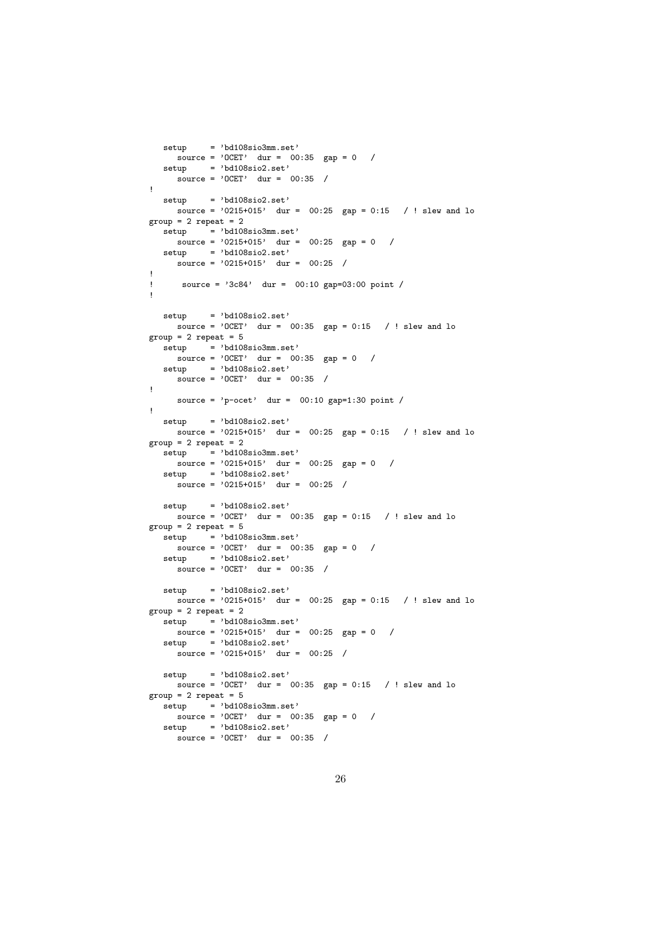```
setup = 'bd108sio3mm.set'
     \frac{1}{\text{source}} = \text{'OCET'} dur = 00:35 gap = 0 /
  setup = 'bd108sio2.set'
    \frac{1}{\text{source}} = \text{'OCET'} \quad \text{dur} = 00:35 /
!
  setup = 'bd108sio2.set'
    source = '0215+015' dur = 00:25 gap = 0:15 / ! slew and lo
group = 2 repeat = 2\text{setup} = 'bd108sio3mm.set'
    source = '0215+015' dur = 00:25 gap = 0 /
  setup = 'bd108sio2.set'source = '0215+015' dur = 00:25 /
!
! source = '3c84' dur = 00:10 gap=03:00 point /
!
  setup = 'bd108sio2.set'
     source = '0CET' dur = 00:35 gap = 0:15 / ! slew and lo
group = 2 repeat = 5setup = 'bd108sio3mm.set'
    \frac{1}{\text{source}} = \text{'OCET'} dur = 00:35 gap = 0 /
  setup = 'bd108sio2.set'
     \frac{1}{\text{source}} = \text{'OCET'} dur = 00:35 /
!
    source = 'p-ocet' dur = 00:10 gap=1:30 point /
!
  setup = 'bd108sio2.set'
    source = '0215+015' dur = 00:25 gap = 0:15 / ! slew and lo
group = 2 repeat = 2setup = 'bd108sio3mm.set'
    source = '0215+015' dur = 00:25 gap = 0 /
  setup = 'bd108sio2.set'
     source = '0215+015' dur = 00:25 /
  setup = 'bd108sio2.set'
   \frac{1}{2} source = 'OCET' dur = 00:35 gap = 0:15 / ! slew and lo
group = 2 repeat = 5setup = 'bd108sio3mm.set'
    \frac{1}{\text{source}} = \frac{1}{\text{OCET}} dur = 00:35 gap = 0 /
  setup = 'bd108sio2.set'
     source = 'OCET' dur = 00:35 /
  setup = 'bd108sio2.set'
    source = '0215+015' dur = 00:25 gap = 0:15 / ! slew and lo
group = 2 repeat = 2setup = 'bd108sio3mm.set'
    source = '0215+015' dur = 00:25 gap = 0 /
  setup = 'bd108sio2.set'source = '0215+015' dur = 00:25 /
   setup = 'bd108sio2.set'
    source = '0CET' dur = 00:35 gap = 0:15 / ! slew and lo
group = 2 repeat = 5setup = 'bd108sio3mm.set'
    source = 'OCET' dur = 00:35 gap = 0 /
  setup = 'bd108sio2.set'source = 'OCET' dur = 00:35 /
```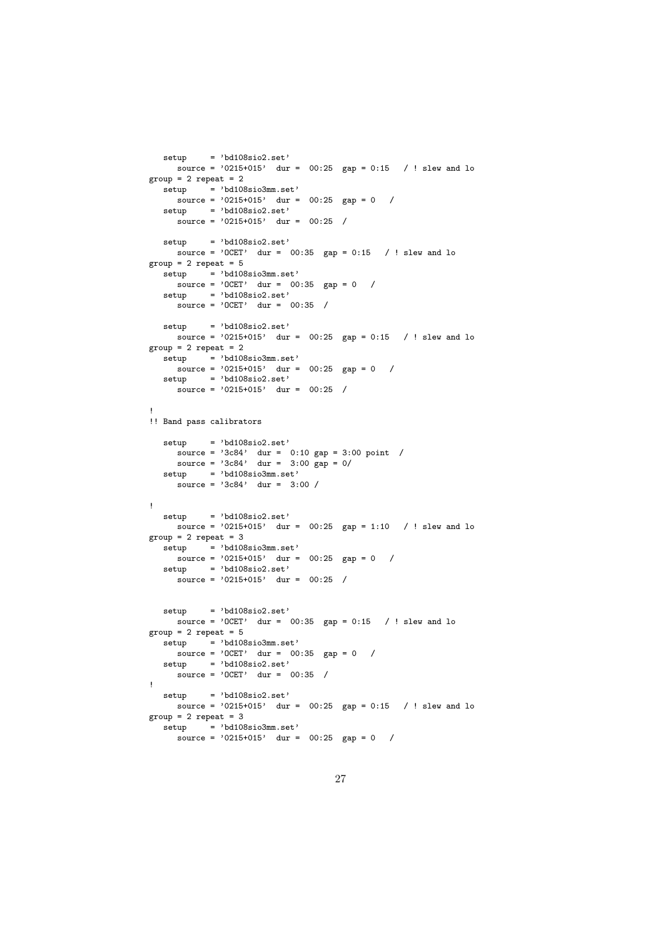```
setup = 'bd108sio2.set'source = '0215+015' dur = 00:25 gap = 0:15 / ! slew and lo
group = 2 repeat = 2setup = 'bd108sio3mm.set'
    \frac{1}{\text{source}} = \frac{1}{215} + 015, dur = 00:25 gap = 0 /
  setup = 'bd108sio2.set'
    source = '0215+015' dur = 00:25 /
  setup = 'bd108sio2.set'source = '0CET' dur = 00:35 gap = 0:15 / ! slew and lo
group = 2 repeat = 5setup = 'bd108sio3mm.set'
    source = 'OCET' dur = 00:35 gap = 0 /
  setup = 'bd108sio2.set'\frac{1}{\text{source}} = \text{'OCET'} \quad \text{dur} = \text{00:35} /
  setup = 'bd108sio2.set'source = '0215+015' dur = 00:25 gap = 0:15 / ! slew and lo
group = 2 repeat = 2\text{setup} = 'bd108sio3mm.set'
    sare = '0215+015' dur = 00:25 gap = 0 /
  setup = 'bd108sio2.set'source = '0215+015' dur = 00:25 /
!
!! Band pass calibrators
  setup = 'bd108sio2.set'
      source = '3c84' dur = 0:10 gap = 3:00 point /
      source = '3c84' dur = 3:00 gap = 0/
  setup = 'bd108sio3mm.set'
    source = '3c84' dur = 3:00 /
!
  setup = 'bd108sio2.set'
    source = '0215+015' dur = 00:25 gap = 1:10 / ! slew and lo
group = 2 repeat = 3\text{setup} = 'bd108sio3mm.set'
    s_{\text{sup}} = 0.215 + 0.015, dur = 00:25 gap = 0 /
  setup = 'bd108sio2.set'
    source = '0215+015' dur = 00:25 /
  setup = 'bd108sio2.set'
    source = '0CET' dur = 00:35 gap = 0:15 / ! slew and lo
group = 2 repeat = 5setup = 'bd108sio3mm.set'
    \frac{1}{\text{source}} = \text{'OCET'} dur = 00:35 gap = 0 /
  setup = 'bd108sio2.set'
     source = 'OCET' dur = 00:35 /
!
  set up = 'bd108sio2.set'source = '0215+015' dur = 00:25 gap = 0:15 / ! slew and lo
group = 2 repeat = 3\text{setup} = 'bd108sio3mm.set'
    source = '0215+015' dur = 00:25 gap = 0 /
```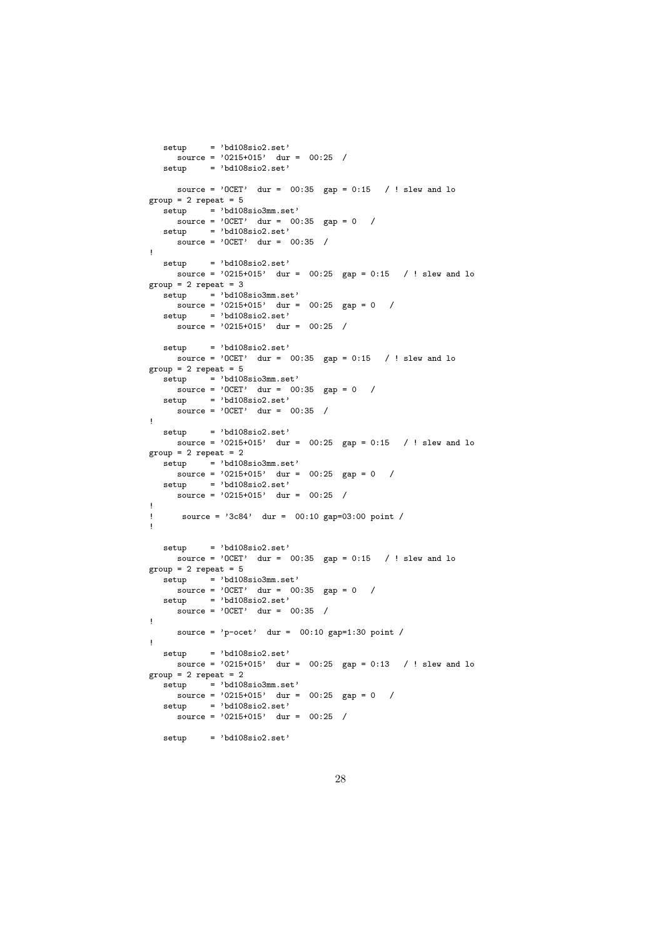```
setup = 'bd108sio2.set'
   \text{source} = \text{'0215+015'} \quad \text{dur} = \text{00:25} /<br>setup = 'bd108sio2.set'
          = 'bd108sio2.set'
     source = '0CET' dur = 00:35 gap = 0:15 / ! slew and lo
group = 2 repeat = 5\frac{1}{\text{setup}} = 'bd108sio3mm.set'
     \frac{1}{\text{source}} = \text{'OCET'} dur = 00:35 gap = 0 /
  setup = 'bd108sio2.set'
     source = 'OCET' dur = 00:35 /
!
  setup = 'bd108sio2.set'
     source = '0215+015' dur = 00:25 gap = 0:15 / ! slew and lo
group = 2 repeat = 3set up = 'bd108sio3mm.set'source = '0215+015' dur = 00:25 gap = 0 /
   setup = 'bd108sio2.set'
     source = '0215+015' dur = 00:25 /
   setup = 'bd108sio2.set'
     source = '0CET' dur = 00:35 gap = 0:15 / ! slew and lo
group = 2 repeat = 5\text{setup} = 'bd108sio3mm.set'
     \frac{1}{\text{source}} = \text{'OCET'} dur = 00:35 gap = 0 /
  setup = 'bd108sio2.set'
     source = \sqrt{0}CET' dur = 00:35 /
!
  setup = 'bd108sio2.set'
     source = '0215+015' dur = 00:25 gap = 0:15 / ! slew and lo
group = 2 repeat = 2\text{setup} = 'bd108sio3mm.set'
    \frac{1}{\text{source}} = \frac{1}{215} + 0.015, dur = 00:25 gap = 0 /
   setup = 'bd108sio2.set'
     source = '0215+015' dur = 00:25 /
!
! source = '3c84' dur = 00:10 gap=03:00 point /
!
   setup = 'bd108sio2.set'source = '0CET' dur = 00:35 gap = 0:15 / ! slew and lo
group = 2 repeat = 5\text{setup} = 'bd108sio3mm.set'
     source = 'OCET' dur = 00:35 gap = 0 /
  setup = 'bd108sio2.set'
     \frac{1}{\text{source}} = \text{'OCET'} dur = 00:35 /
!
     source = \text{'p-ocet'} dur = 00:10 gap=1:30 point /
!
  setup = 'bd108sio2.set'
    source = '0215+015' dur = 00:25 gap = 0:13 / ! slew and lo
group = 2 repeat = 2\text{setup} = 'bd108sio3mm.set'
    source = '0215+015' dur = 00:25 gap = 0 /
   setup = 'bd108sio2.set'
    source = '0215+015' dur = 00:25 /
   setup = 'bd108sio2.set'
```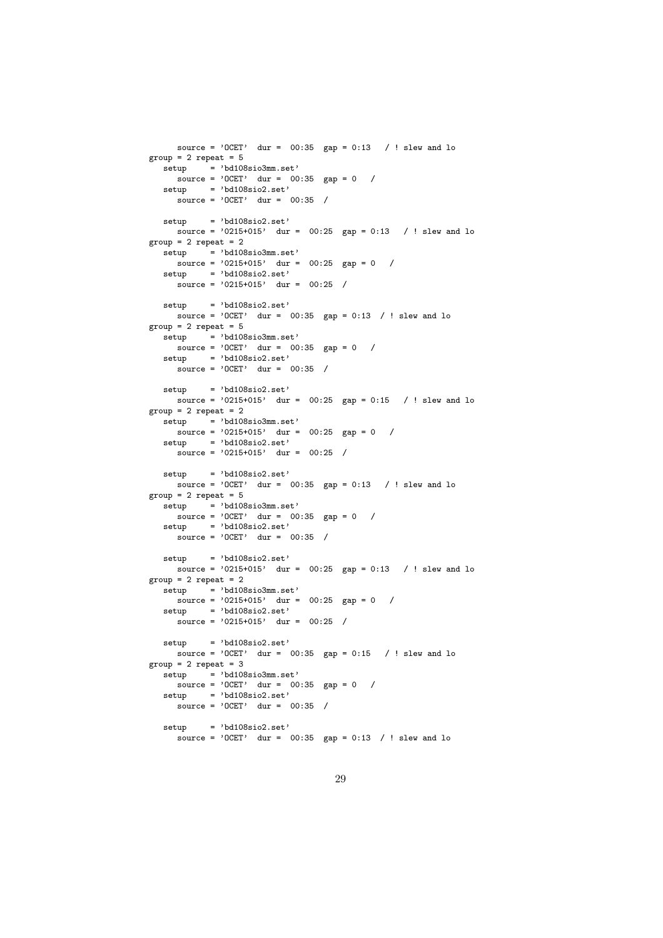```
source = '0CET' dur = 00:35 gap = 0:13 / ! slew and lo
group = 2 repeat = 5setup = 'bd108sio3mm.set'
   \frac{1}{\text{source}} = \text{'OCET'} dur = 00:35 gap = 0 /
  setup = 'bd108sio2.set'
    source = 'OCET' dur = 00:35 /
  setup = 'bd108sio2.set'
    source = '0215+015' dur = 00:25 gap = 0:13 / ! slew and lo
group = 2 repeat = 2\text{setup} = 'bd108sio3mm.set'
    source = '0215+015' dur = 00:25 gap = 0 /
  setup = 'bd108sio2.set'
    source = '0215+015' dur = 00:25 /
  setup = 'bd108sio2.set'
   source = '0CET' dur = 00:35 gap = 0:13 / ! slew and lo
group = 2 repeat = 5\text{setup} = 'bd108sio3mm.set'
    \frac{1}{\text{source}} = \text{'OCET'} dur = 00:35 gap = 0 /
  setup = 'bd108sio2.set'
     source = 'OCET' dur = 00:35 /
  setup = 'bd108sio2.set'
    source = '0215+015' dur = 00:25 gap = 0:15 / ! slew and lo
group = 2 repeat = 2setup = 'bd108sio3mm.set'
    source = '0215+015' dur = 00:25 gap = 0 /
  setup = 'bd108sio2.set'
    source = '0215+015' dur = 00:25 /
  setup = 'bd108sio2.set'
    source = '0CET' dur = 00:35 gap = 0:13 / ! slew and lo
group = 2 repeat = 5setup = 'bd108sio3mm.set'
   \frac{1}{\text{source}} = \text{'OCET'} dur = 00:35 gap = 0 /
  setup = 'bd108sio2.set'
     source = 'OCET' dur = 00:35 /
  setup = 'bd108sio2.set'
    source = '0215+015' dur = 00:25 gap = 0:13 / ! slew and lo
group = 2 repeat = 2setup = 'bd108sio3mm.set'
    source = '0215+015' dur = 00:25 gap = 0 /
  setup = 'bd108sio2.set'
    source = '0215+015' dur = 00:25 /
  setup = 'bd108sio2.set'
    source = '0CET' dur = 00:35 gap = 0:15 / ! slew and lo
group = 2 repeat = 3setup = 'bd108sio3mm.set'
    source = '0CET' dur = 00:35 gap = 0 /
  setup = 'bd108sio2.set'source = '0CET' dur = 00:35 /
  setup = 'bd108sio2.set'
     source = '0CET' dur = 00:35 gap = 0:13 / ! slew and lo
```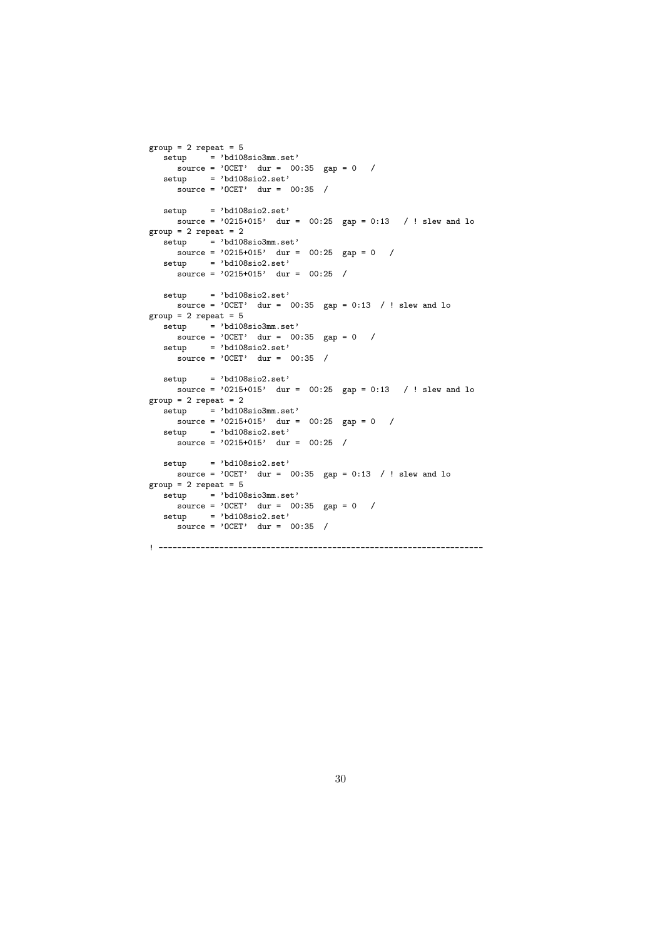```
group = 2 repeat = 5setup = 'bd108sio3mm.set'
    \frac{1}{\text{source}} = \text{?OCET'} dur = 00:35 gap = 0 /
  setup = 'bd108sio2.set'
     \frac{1}{\text{source}} = \text{'OCET'} \quad \text{dur} = \text{00:35} /
  setup = 'bd108sio2.set'
    source = '0215+015' dur = 00:25 gap = 0:13 / ! slew and lo
group = 2 repeat = 2\text{setup} = 'bd108sio3mm.set'
    source = '0215+015' dur = 00:25 gap = 0 /
  setup = 'bd108sio2.set'
     source = '0215+015' dur = 00:25 /
  set up = 'bd108sio2.set'source = '0CET' dur = 00:35 gap = 0:13 / ! slew and lo
group = 2 repeat = 5\text{setup} = 'bd108sio3mm.set'
    \frac{1}{\text{source}} = \text{'OCET'} dur = 00:35 gap = 0 /
   setup = 'bd108sio2.set'
     source = 'OCET' \quad dur = 00:35 /
  setup = 'bd108sio2.set'source = '0215+015' dur = 00:25 gap = 0:13 / ! slew and lo
group = 2 repeat = 2\text{setup} = 'bd108sio3mm.set'
    source = '0215+015' dur = 00:25 gap = 0 /
  setup = 'bd108sio2.set'
     source = '0215+015' dur = 00:25 /
  setup = 'bd108sio2.set'
    source = '0CET' dur = 00:35 gap = 0:13 / ! slew and lo
group = 2 repeat = 5\frac{1}{\text{setup}} = 'bd108sio3mm.set'
    \frac{1}{\text{source}} = \text{'OCET'} dur = 00:35 gap = 0 /
   setup = 'bd108sio2.set'
     source = 'OCET' dur = 00:35 /
```
! ---------------------------------------------------------------------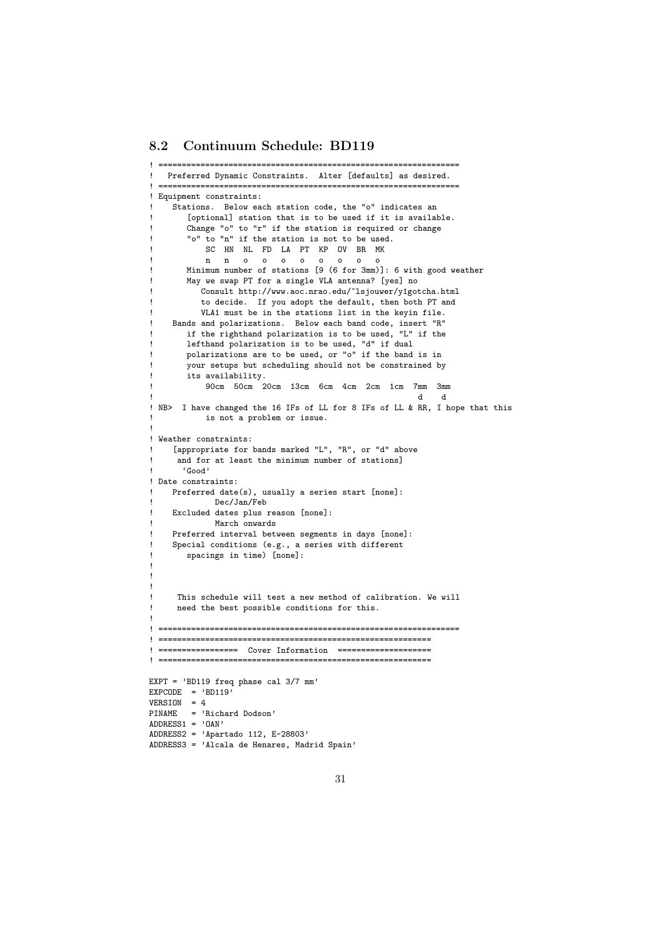#### 8.2 Continuum Schedule: BD119

```
! ================================================================
   Preferred Dynamic Constraints. Alter [defaults] as desired.
 ! ================================================================
! Equipment constraints:
    ! Stations. Below each station code, the "o" indicates an
        [optional] station that is to be used if it is available.
       Change "o" to "r" if the station is required or change
       "o" to "n" if the station is not to be used.
           SC HN NL FD LA PT KP OV BR MK
           n n o o o o o o o o
       Minimum number of stations [9 (6 for 3mm)]: 6 with good weather
       May we swap PT for a single VLA antenna? [yes] no
          Consult http://www.aoc.nrao.edu/~lsjouwer/y1gotcha.html
          to decide. If you adopt the default, then both PT and
          VLA1 must be in the stations list in the keyin file.
    Bands and polarizations. Below each band code, insert "R"
       if the righthand polarization is to be used, "L" if the
       lefthand polarization is to be used, "d" if dual
       polarizations are to be used, or "o" if the band is in
       your setups but scheduling should not be constrained by
       .<br>its availability.
           90cm 50cm 20cm 13cm 6cm 4cm 2cm 1cm 7mm 3mm
! d d
! NB> I have changed the 16 IFs of LL for 8 IFs of LL & RR, I hope that this
           is not a problem or issue.
!
! Weather constraints:
    [appropriate for bands marked "L", "R", or "d" above
     and for at least the minimum number of stations]
! 'Good'
! Date constraints:
    Preferred date(s), usually a series start [none]:
            ! Dec/Jan/Feb
    Excluded dates plus reason [none]:
            March onwards
    Preferred interval between segments in days [none]:
    Special conditions (e.g., a series with different
       spacings in time) [none]:
!
!
!
     This schedule will test a new method of calibration. We will
     need the best possible conditions for this.
!
! ================================================================
! ==========================================================
! ================= Cover Information ====================
! ==========================================================
EXPT = 'BD119 freq phase cal 3/7 mm'
EXPCODE = 'BD119'VERSION = 4
PINAME = 'Richard Dodson'
ADDRESS1 = 'OAN'ADDRESS2 = 'Apartado 112, E-28803'
ADDRESS3 = 'Alcala de Henares, Madrid Spain'
```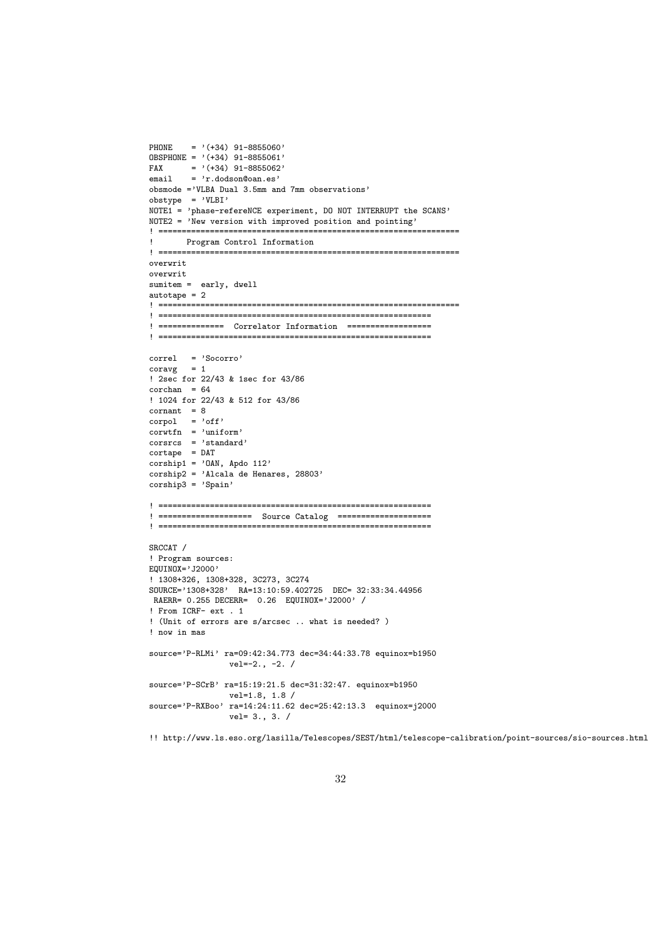```
PHONE = '(+34) 91-8855060'
OBSPHONE = '(+34) 91-8855061'<br>FAX = '(+34) 91-8855062'
        = '(+34) 91-8855062'
email = 'r.dodson@oan.es'obsmode ='VLBA Dual 3.5mm and 7mm observations'
obstype = 'VLBI'
NOTE1 = 'phase-refereNCE experiment, DO NOT INTERRUPT the SCANS'
NOTE2 = 'New version with improved position and pointing'
! ================================================================
! Program Control Information
! ================================================================
overwrit
overwrit
sumitem = early, dwell
autotane = 2! ================================================================
! ==========================================================
! ============== Correlator Information ==================
! ==========================================================
correl = 'Socorro'
coravg = 1! 2sec for 22/43 & 1sec for 43/86
corchan = 64! 1024 for 22/43 & 512 for 43/86
\text{constant} = 8corpol = 'off'corwtfn = 'uniform'corsrcs = 'standard'
cortape = DAT
\text{corship1} = '0AN, Apdo 112'
corship2 = 'Alcala de Henares, 28803'
corship3 = 'Spain'! ==========================================================
! ==================== Source Catalog ====================
! ==========================================================
SRCCAT /
! Program sources:
EQUINOX='J2000'
! 1308+326, 1308+328, 3C273, 3C274
SOURCE='1308+328' RA=13:10:59.402725 DEC= 32:33:34.44956
 RAERR= 0.255 DECERR= 0.26 EQUINOX='J2000' /
! From ICRF- ext . 1
! (Unit of errors are s/arcsec .. what is needed? )
! now in mas
source='P-RLMi' ra=09:42:34.773 dec=34:44:33.78 equinox=b1950
                 vel=-2., -2. /
source='P-SCrB' ra=15:19:21.5 dec=31:32:47. equinox=b1950
                 vel=1.8, 1.8 /
source='P-RXBoo' ra=14:24:11.62 dec=25:42:13.3 equinox=j2000
                 vel= 3., 3. /
```
!! http://www.ls.eso.org/lasilla/Telescopes/SEST/html/telescope-calibration/point-sources/sio-sources.html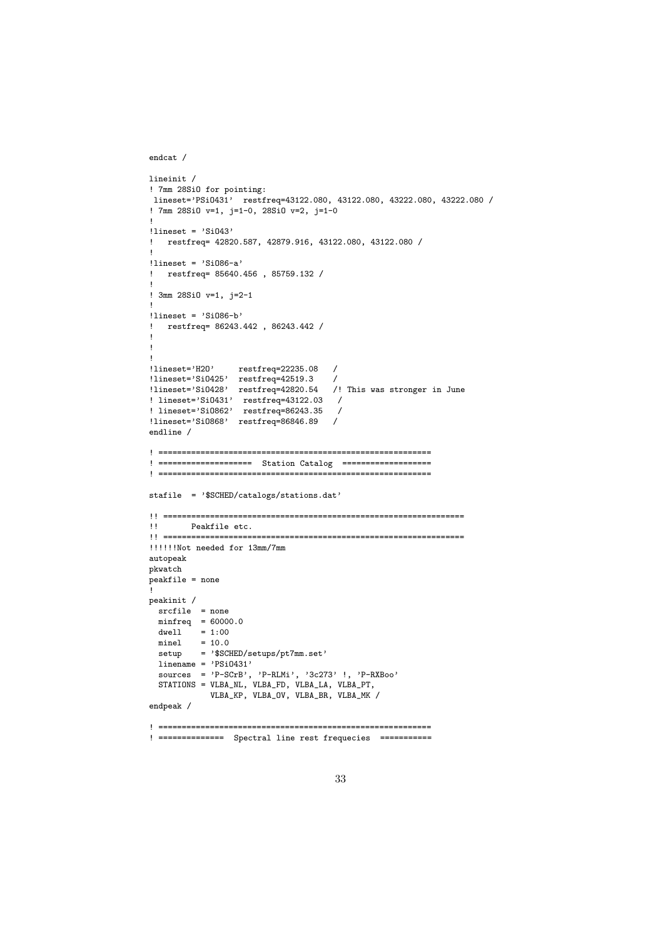```
endcat /
```

```
lineinit /
! 7mm 28SiO for pointing:
lineset='PSiO431' restfreq=43122.080, 43122.080, 43222.080, 43222.080 /
! 7mm 28SiO v=1, j=1-0, 28SiO v=2, j=1-0
!
!lineset = 'SiO43'
  ! restfreq= 42820.587, 42879.916, 43122.080, 43122.080 /
!
!lineset = 'SiO86-a'
! restfreq= 85640.456 , 85759.132 /
!
! 3mm 28SiO v=1, j=2-1
!
!lineset = 'SiO86-b'
! restfreq= 86243.442 , 86243.442 /
!
!
!
!lineset='H2O' restfreq=22235.08 /
!lineset='SiO425' restfreq=42519.3 /
!lineset='SiO428' restfreq=42820.54 /! This was stronger in June
! lineset='SiO431' restfreq=43122.03 /
! lineset='SiO862' restfreq=86243.35 /
!lineset='SiO868' restfreq=86846.89 /
endline /
! ==========================================================
! ==================== Station Catalog ===================
! ==========================================================
stafile = '$SCHED/catalogs/stations.dat'
!! ================================================================
!! Peakfile etc.
!! ================================================================
!!!!!!Not needed for 13mm/7mm
autopeak
pkwatch
.<br>peakfile = none
!
peakinit /
 srcfile = none
 minfreq = 60000.0dwell = 1:00minel = 10.0setup = '$SCHED/setups/pt7mm.set'
 line = 'PSi0431'sources = 'P-SCrB', 'P-RLMi', 3c273' !, 'P-RXBoo'STATIONS = VLBA_NL, VLBA_FD, VLBA_LA, VLBA_PT,
            VLBA_KP, VLBA_OV, VLBA_BR, VLBA_MK /
endpeak /
! ==========================================================
! ============== Spectral line rest frequecies ===========
```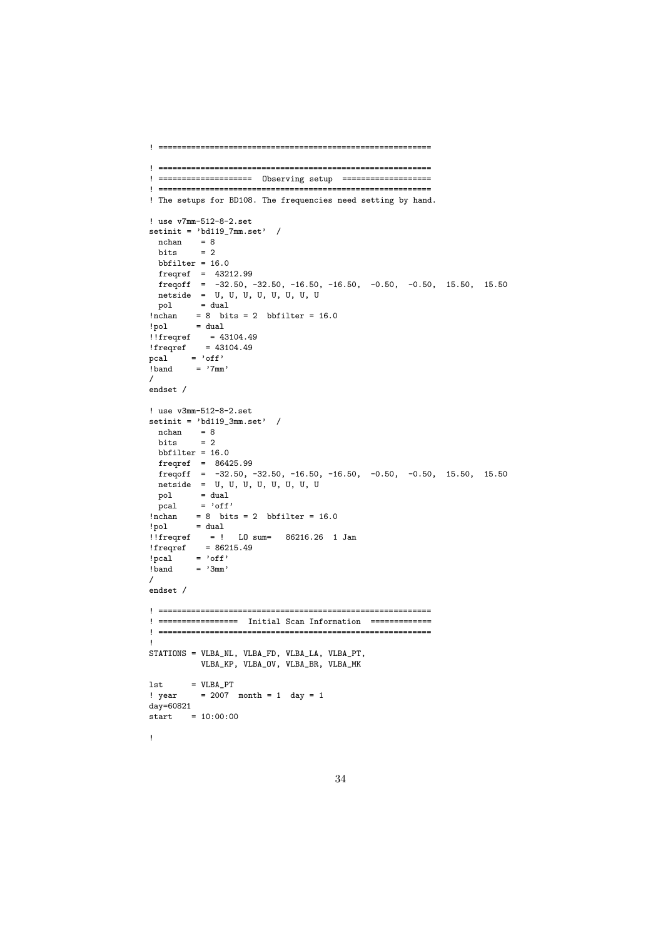```
! ==========================================================
! ==========================================================
! ==================== Observing setup ===================
! ==========================================================
! The setups for BD108. The frequencies need setting by hand.
! use v7mm-512-8-2.set
setinit = 'bd119_7mm.set' /
  nchan = 8bits = 2bbbfilter = 16.0
 freqref = 43212.99
  freqoff = -32.50, -32.50, -16.50, -16.50, -0.50, -0.50, 15.50, 15.50
  netside = U, U, U, U, U, U, U, U
\begin{array}{rcl} \text{pol} & = \text{dual} \\ \text{Inchan} & = 8 \quad \text{bit} \end{array}\frac{1}{2} nchan = 8 bits = 2 bbfilter = 16.0<br>\frac{1}{2} = dual
!pol = dual
!!freqref = 43104.49
!freqref = 43104.49
pcal = 'off'
! band = '7mm'
/
endset /
! use v3mm-512-8-2.set
setinit = 'bd119_3mm.set' /
 nchan = 8<br>bits = 2bitsbbfilter = 16.0freqref = 86425.99
  freqoff = -32.50, -32.50, -16.50, -16.50, -0.50, -0.50, 15.50, 15.50
 netside = U, U, U, U, U, U, U, U<br>pol = dual
           = dual
 pcal = 'off'
!\begin{array}{rcl}\n 1 \text{nchan} & = & 8 \text{ bits } = & 2 \text{ bbfilter } = & 16.0 \\
 1 \text{pol} & = & \text{dual}\n \end{array}! pol!!freqref = ! LO sum= 86216.26 1 Jan
!freqref = 86215.49
! pcal = 'off'<br>! band = '3mm'
          = '3mm'
/
endset /
! ==========================================================
! ================= Initial Scan Information =============
! ==========================================================
!
STATIONS = VLBA_NL, VLBA_FD, VLBA_LA, VLBA_PT,
           VLBA_KP, VLBA_OV, VLBA_BR, VLBA_MK
1st = VLBA_PT! year = 2007 month = 1 day = 1
day=60821
start = 10:00:00!
```
34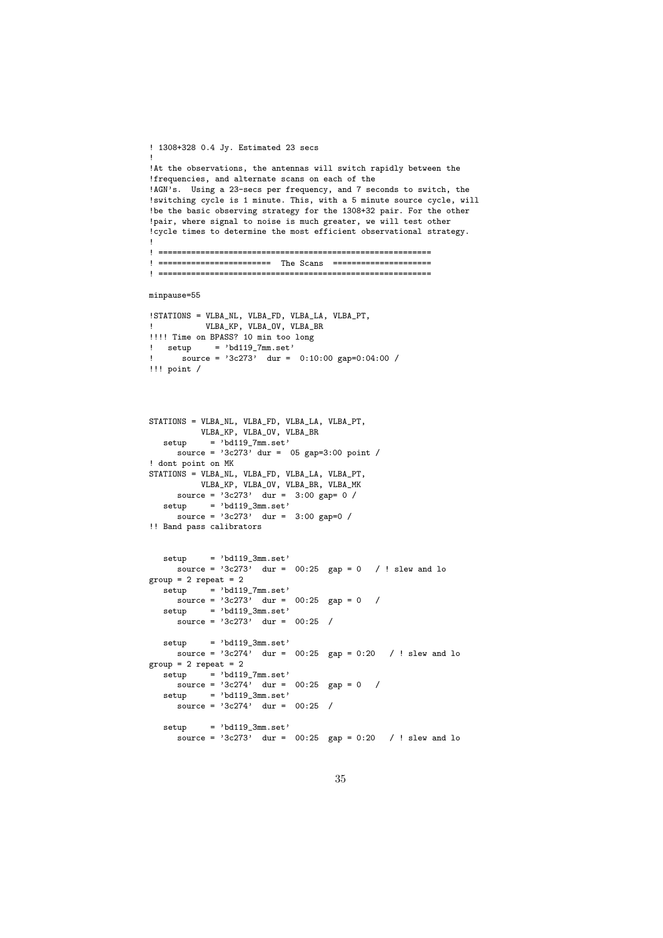```
! 1308+328 0.4 Jy. Estimated 23 secs
!
!At the observations, the antennas will switch rapidly between the
!frequencies, and alternate scans on each of the
!AGN's. Using a 23-secs per frequency, and 7 seconds to switch, the
!switching cycle is 1 minute. This, with a 5 minute source cycle, will
!be the basic observing strategy for the 1308+32 pair. For the other
!pair, where signal to noise is much greater, we will test other
!cycle times to determine the most efficient observational strategy.
!
! ==========================================================
! ======================== The Scans =====================
! ==========================================================
minpause=55
!STATIONS = VLBA_NL, VLBA_FD, VLBA_LA, VLBA_PT,
! VLBA_KP, VLBA_OV, VLBA_BR
!!!!! Time on BPASS? 10 min too long
! setup = 'bd119_7mm.set'
! source = '3c273' dur = 0:10:00 gap=0:04:00 /
!!! point /
STATIONS = VLBA_NL, VLBA_FD, VLBA_LA, VLBA_PT,
         VLBA_KP, VLBA_OV, VLBA_BR
  setup = 'bd119.7mm.set'source = '3c273' dur = 05 gap=3:00 point /
! dont point on MK
STATIONS = VLBA_NL, VLBA_FD, VLBA_LA, VLBA_PT,
         VLBA_KP, VLBA_OV, VLBA_BR, VLBA_MK
     source = '3c273' dur = 3:00 gap= 0 /
  setup = 'bd119_3mm.set'
    source = '3c273' dur = 3:00 gap=0 /
!! Band pass calibrators
  setup = 'bd119_3mm.set'
    source = 3c273' dur = 00:25 gap = 0 / ! slew and lo
group = 2 repeat = 2\text{setup} = 'bd119_7mm.set'
    \frac{1}{\text{source}} = \frac{1}{3c273}, dur = 00:25 gap = 0 /
  setup = 'bd119_3mm.set'
     source = '3c273' dur = 00:25 /
  setup = 'bd119_3mm.set'source = 3c274' dur = 00:25 gap = 0:20 / ! slew and lo
group = 2 repeat = 2setup = 'bd119_7mm.set'
    source = 3c274' dur = 00:25 gap = 0 /
  \text{setup} = 'bd119_3mm.set'
     source = '3c274' dur = 00:25 /
  setup = 'bd119_3mm.set'source = '3c273' dur = 00:25 gap = 0:20 / ! slew and lo
```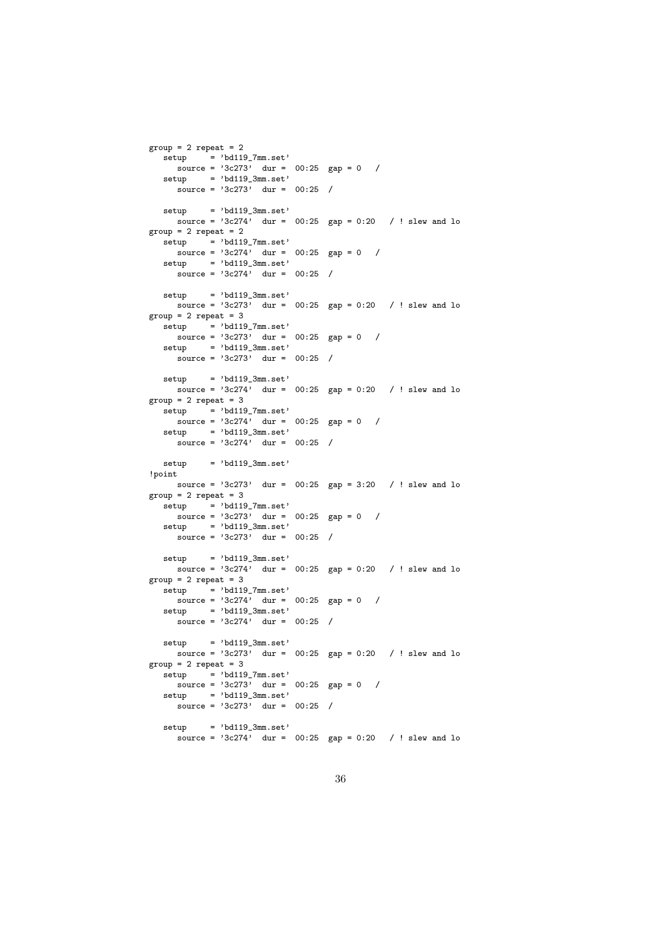```
group = 2 repeat = 2\text{setup} = 'bd119_7mm.set'
    \frac{1}{\text{source}} = \frac{1}{3c273}, dur = 00:25 gap = 0 /
  setup = 'bd119_3mm.set'\frac{1}{\text{source}} = \frac{1}{3c273}, dur = 00:25 /
  set up = 'bd119.3mm.set'source = 3c274, dur = 00:25 gap = 0:20 / ! slew and lo
group = 2 repeat = 2\text{setup} = 'bd119 \text{7mm.set'}source = '3c274' dur = 00:25 gap = 0 /
  setup = 'bd119_3mm.set'\frac{1}{\text{source}} = \frac{1}{3c274}, \quad \text{dur} = 00:25 /
  setup = 'bd119.3mm.set'source = 3c273 dur = 00:25 gap = 0:20 / ! slew and lo
group = 2 repeat = 3\text{setup} = 'bd119_7mm.set'
    \frac{1}{\text{source}} = \frac{1}{3c273}, dur = 00:25 gap = 0 /
   setup = 'bd119_3mm.set'source = 3c273, dur = 00:25 /
  setup = 'bd119.3mm.set'source = 3c274, dur = 00:25 gap = 0:20 / ! slew and lo
group = 2 repeat = 3\text{setup} = 'bd119 \text{7mm.set'}\frac{1}{\text{source}} = \frac{1}{3c274}, \quad \text{dur} = 00:25 \quad \text{gap} = 0 /
  setup = 'bd119_3mm.set'
     source = '3c274' dur = 00:25 /
  setup = 'bd119.3mm.set'!point
    source = 3c273' dur = 00:25 gap = 3:20 / ! slew and lo
group = 2 repeat = 3setup = 'bd119_7mm.set'
    \frac{1}{\text{source}} = \frac{1}{3c273}, dur = 00:25 gap = 0 /
  setup = 'bd119_3mm.set'source = '3c273' dur = 00:25 /
  setup = 'bd119_3mm.set'
     source = 3c274' dur = 00:25 gap = 0:20 / ! slew and lo
group = 2 repeat = 3\text{setup} = 'bd119_7mm.set'
    \frac{1}{\text{source}} = \frac{1}{3c274}, dur = 00:25 gap = 0 /
   setup = 'bd119_3mm.set'source = '3c274' dur = 00:25 /
  setup = 'bd119_3mm.set'source = 3c273' dur = 00:25 gap = 0:20 / ! slew and lo
group = 2 repeat = 3setup = 'bd119_7mm.set'
    source = 3c273' dur = 00:25 gap = 0 /
  \text{setup} = 'bd119_3mm.set'
     source = '3c273' dur = 00:25 /
  setup = 'bd119_3mm.set'source = '3c274' dur = 00:25 gap = 0:20 / ! slew and lo
```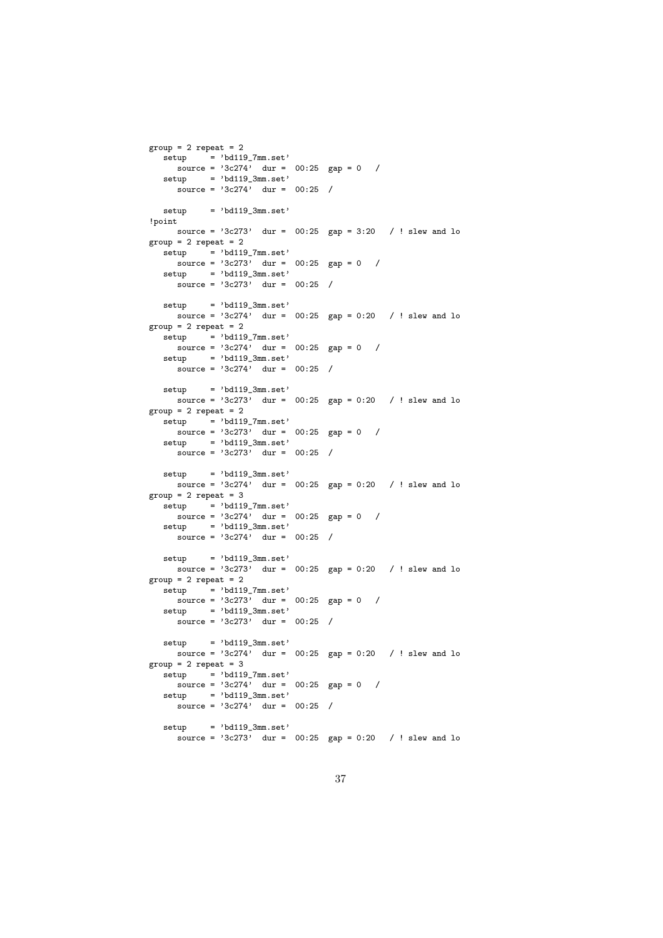```
group = 2 repeat = 2\text{setup} = 'bd119_7mm.set'
    \frac{1}{\text{source}} = \frac{1}{3c274}, dur = 00:25 gap = 0 /
  setup = 'bd119_3mm.set'\frac{1}{\text{source}} = \frac{1}{3c274}, \quad \text{dur} = 00:25 /
  setup = 'bd119.3mm.set'!point
    source = 3c273' dur = 00:25 gap = 3:20 / ! slew and lo
group = 2 repeat = 2\text{setup} = 'bd119_7mm.set'
    \frac{1}{\text{source}} = \frac{1}{3c273}, dur = 00:25 gap = 0 /
   setup = 'bd119_3mm.set'source = '3c273' dur = 00:25 /
  setup = 'bd119_3mm.set'
    source = 3c274' dur = 00:25 gap = 0:20 / ! slew and lo
group = 2 repeat = 2setup = 'bd119_7mm.set'\frac{1}{\text{source}} = \frac{1}{3c274}, dur = 00:25 gap = 0 /
  setup = 'bd119_3mm.set'source = '3c274' dur = 00:25 /
  setup = 'bd119_3mm.set'
    source = 3c273' dur = 00:25 gap = 0:20 / ! slew and lo
group = 2 repeat = 2setup = 'bd119_7mm.set'\frac{1}{\text{source}} = \frac{1}{3c273}, dur = 00:25 gap = 0 /
   setup = 'bd119_3mm.set'source = '3c273' dur = 00:25 /
   setup = 'bd119_3mm.set'
    source = 3c274' dur = 00:25 gap = 0:20 / ! slew and lo
group = 2 repeat = 3setup = 'bd119_7mm.set'
    \frac{1}{\text{source}} = \frac{1}{3c274}, dur = 00:25 gap = 0 /
  setup = 'bd119_3mm.set'source = '3c274' dur = 00:25 /
  setup = 'bd119_3mm.set'
    source = 3c273' dur = 00:25 gap = 0:20 / ! slew and lo
group = 2 repeat = 2\text{setup} = 'bd119_7mm.set'
    \frac{1}{\text{source}} = \frac{1}{3c273}, dur = 00:25 gap = 0 /
   setup = 'bd119_3mm.set'source = '3c273' dur = 00:25 /
  setup = 'bd119_3mm.set'source = 3c274' dur = 00:25 gap = 0:20 / ! slew and lo
group = 2 repeat = 3setup = 'bd119_7mm.set'
    source = 3c274' dur = 00:25 gap = 0 /
  \text{setup} = 'bd119_3mm.set'
     source = '3c274' dur = 00:25 /
  setup = 'bd119_3mm.set'
     source = '3c273' dur = 00:25 gap = 0:20 / ! slew and lo
```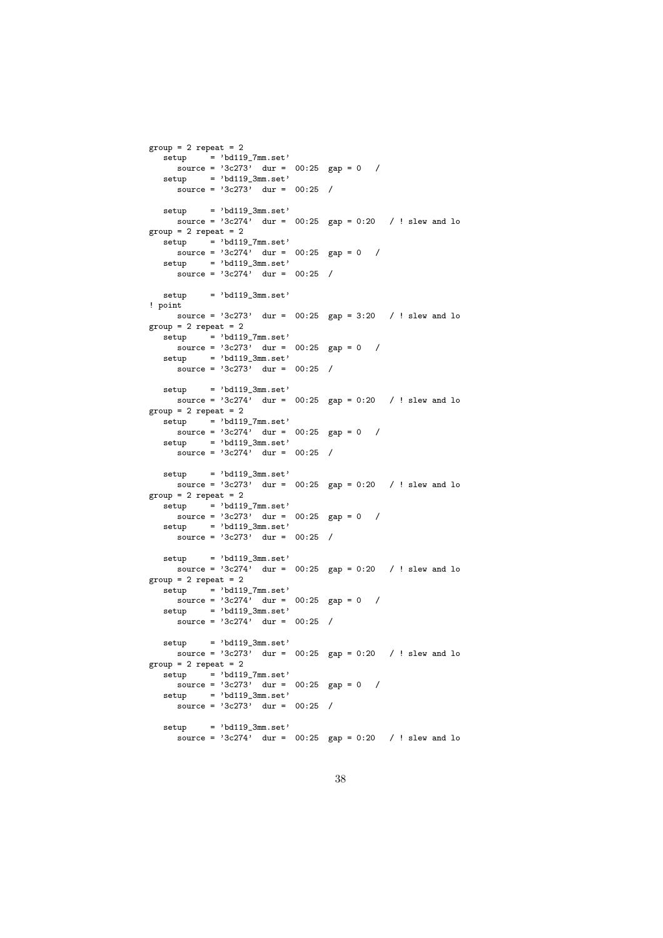```
group = 2 repeat = 2\text{setup} = 'bd119_7mm.set'
    \frac{1}{\text{source}} = \frac{1}{3c273}, dur = 00:25 gap = 0 /
  setup = 'bd119_3mm.set'\frac{1}{\text{source}} = \frac{1}{3c273}, dur = 00:25 /
  set up = 'bd119.3mm.set'source = 3c274, dur = 00:25 gap = 0:20 / ! slew and lo
group = 2 repeat = 2\text{set} = 'bd119 \text{7mm}.set'
    \frac{1}{\text{source}} = \frac{1}{3c274}, dur = 00:25 gap = 0 /
  setup = 'bd119_3mm.set'\frac{1}{\text{source}} = \frac{1}{3c274}, \quad \text{dur} = 00:25 /
  set up = 'bd119.3mm.set'! point
    source = 3c273' dur = 00:25 gap = 3:20 / ! slew and lo
group = 2 repeat = 2setup = 'bd119_7mm.set'\frac{1}{\text{source}} = \frac{1}{3c273}, dur = 00:25 gap = 0 /
  setup = 'bd119_3mm.set'source = '3c273' dur = 00:25 /
  setup = 'bd119_3mm.set'
    source = 3c274' dur = 00:25 gap = 0:20 / ! slew and lo
group = 2 repeat = 2setup = 'bd119_7mm.set'\frac{1}{\text{source}} = \frac{1}{3c274}, dur = 00:25 gap = 0 /
   setup = 'bd119_3mm.set'source = '3c274' dur = 00:25 /
   setup = 'bd119_3mm.set'
    source = 3c273' dur = 00:25 gap = 0:20 / ! slew and lo
group = 2 repeat = 2setup = 'bd119_7mm.set'
    \frac{1}{\text{source}} = \frac{1}{3c273}, dur = 00:25 gap = 0 /
  setup = 'bd119_3mm.set'source = '3c273' dur = 00:25 /
  setup = 'bd119_3mm.set'
     source = 3c274' dur = 00:25 gap = 0:20 / ! slew and lo
group = 2 repeat = 2\text{setup} = 'bd119_7mm.set'
    \frac{1}{\text{source}} = \frac{1}{3c274}, dur = 00:25 gap = 0 /
   setup = 'bd119_3mm.set'source = '3c274' dur = 00:25 /
  setup = 'bd119_3mm.set'source = 3c273' dur = 00:25 gap = 0:20 / ! slew and lo
group = 2 repeat = 2setup = 'bd119_7mm.set'
    source = 3c273' dur = 00:25 gap = 0 /
  \text{setup} = 'bd119_3mm.set'
     source = '3c273' dur = 00:25 /
  setup = 'bd119_3mm.set'
     source = '3c274' dur = 00:25 gap = 0:20 / ! slew and lo
```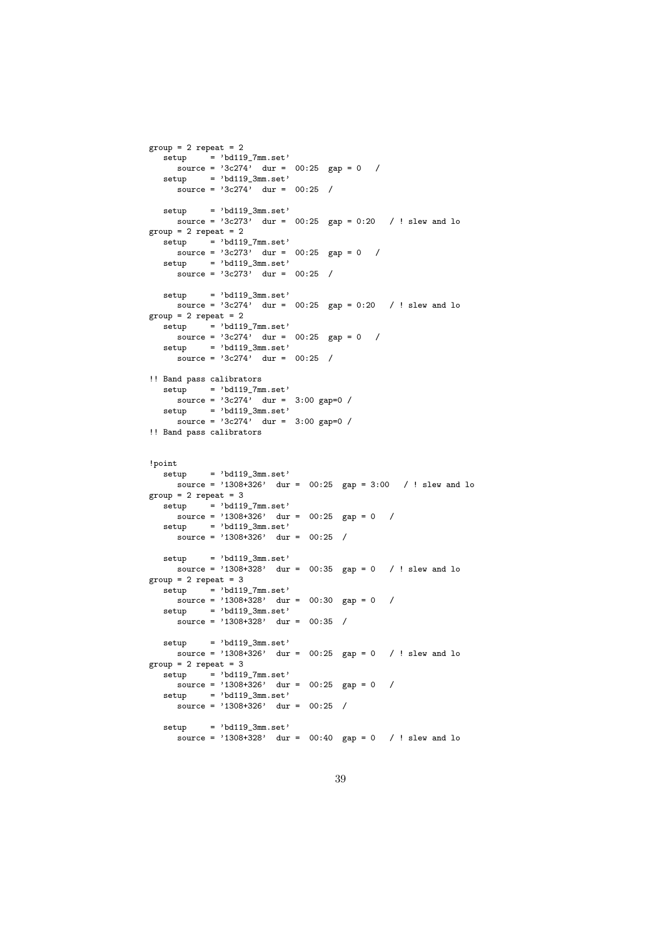```
group = 2 repeat = 2\text{setup} = 'bd119_7mm.set'
    \frac{1}{\text{source}} = \frac{1}{3c274}, \quad \text{dur} = 00:25 \quad \text{gap} = 0 /
  setup = 'bd119_3mm.set'\frac{1}{\text{source}} = \frac{1}{3c274}, dur = 00:25 /
  set up = 'bd119.3mm.set'source = 3c273 dur = 00:25 gap = 0:20 / ! slew and lo
group = 2 repeat = 2\text{setup} = 'bd119 \text{7mm.set'}source = '3c273' dur = 00:25 gap = 0 /
  setup = 'bd119_3mm.set'\frac{1}{\text{source}} = \frac{1}{3c273} dur = 00:25 /
  setup = 'bd119.3mm.set'source = 3c274' dur = 00:25 gap = 0:20 / ! slew and lo
group = 2 repeat = 2\text{setup} = 'bd119_7mm.set'
    \frac{1}{\text{source}} = \frac{1}{3c274}, dur = 00:25 gap = 0 /
   setup = 'bd119_3mm.set'source = '3c274' dur = 00:25 /
!! Band pass calibrators
  setup = 'bd119_7mm.set'
     \frac{1}{\text{source}} = \frac{1}{3c274}, dur = 3:00 gap=0 /
   setup = 'bd119.3mm.set'source = '3c274' dur = 3:00 gap=0 /
!! Band pass calibrators
!point
  setup = 'bd119_3mm.set'source = '1308+326' dur = 00:25 gap = 3:00 / ! slew and lo
group = 2 repeat = 3setup = 'bd119_7mm.set'
    source = '1308+326' dur = 00:25 gap = 0 /
  setup = 'bd119_3mm.set'source = '1308+326' dur = 00:25 /
  setup = 'bd119_3mm.set'source = '1308+328' dur = 00:35 gap = 0 / ! slew and lo
group = 2 repeat = 3\text{setup} = 'bd119_7mm.set'
    \frac{1}{\text{source}} = \frac{1308 + 328}{\text{day}} = \frac{00:30}{\text{gap}} = 0 /
   setup = 'bd119_3mm.set'
     source = '1308+328' dur = 00:35 /
  setup = 'bd119_3mm.set'source = '1308+326' dur = 00:25 gap = 0 / ! slew and lo
group = 2 repeat = 3setup = 'bd119_7mm.set'
    source = '1308+326' dur = 00:25 gap = 0 /
  setup = 'bd119_3mm.set'source = '1308+326' dur = 00:25 /
  setup = 'bd119_3mm.set'source = '1308+328' dur = 00:40 gap = 0 / ! slew and lo
```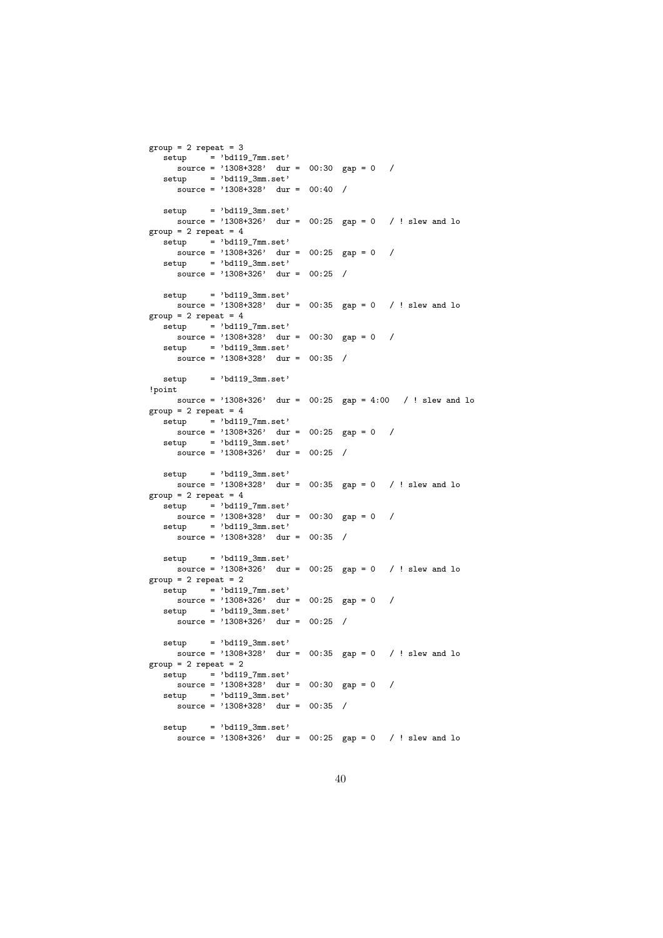```
group = 2 repeat = 3\text{setup} = 'bd119_7mm.set'
    source = '1308+328' dur = 00:30 gap = 0 /
  setup = 'bd119_3mm.set'
     \frac{1}{\text{source}} = \frac{1}{1308 + 328}, dur = 00:40 /
  set up = 'bd119.3mm.set'source = '1308+326' dur = 00:25 gap = 0 / ! slew and lo
group = 2 repeat = 4setup = 'd1197mm.set'source = '1308+326' dur = 00:25 gap = 0 /
  setup = 'bd119_3mm.set'source = '1308+326' dur = 00:25 /
  setup = 'bd119.3mm.set'source = '1308+328' dur = 00:35 gap = 0 / ! slew and lo
group = 2 repeat = 4\text{setup} = 'bd119 \text{7mm}.set'
    \frac{1}{\text{source}} = \frac{1308+328}{\text{day}} = 0.30 \text{ gap} = 0 /
  setup = 'bd119_3mm.set'
     source = '1308+328' dur = 00:35 /
  setup = 'bd119.3mm.set'!point
    source = '1308+326' dur = 00:25 gap = 4:00 / ! slew and lo
group = 2 repeat = 4setup = 'bd119_7mm.set'source = '1308+326' dur = 00:25 gap = 0 /
  setup = 'bd119_3mm.set'source = '1308+326' dur = 00:25 /
  setup = 'bd119_3mm.set'
    source = '1308+328' dur = 00:35 gap = 0 / ! slew and lo
group = 2 repeat = 4setup = 'bd119_7mm.set'
    \frac{1}{\text{source}} = \frac{1308 + 328}{\text{day}} = 00:30 \text{ gap} = 0 /
  setup = 'bd119_3mm.set'
     source = '1308+328' dur = 00:35 /
  setup = 'bd119_3mm.set'source = '1308+326' dur = 00:25 gap = 0 / ! slew and lo
group = 2 repeat = 2\text{setup} = 'bd119_7mm.set'
    \frac{1}{\text{source}} = \frac{1308 + 326}{\text{day}} = \frac{00:25}{\text{gap}} = 0 /
  setup = 'bd119_3mm.set'
     source = '1308+326' dur = 00:25 /
  setup = 'bd119_3mm.set'source = '1308+328' dur = 00:35 gap = 0 / ! slew and lo
group = 2 repeat = 2setup = 'bd119_7mm.set'
    source = '1308+328' dur = 00:30 gap = 0 /
  setup = 'bd119_3mm.set'
     source = '1308+328' dur = 00:35 /
  setup = 'bd119_3mm.set'source = '1308+326' dur = 00:25 gap = 0 / ! slew and lo
```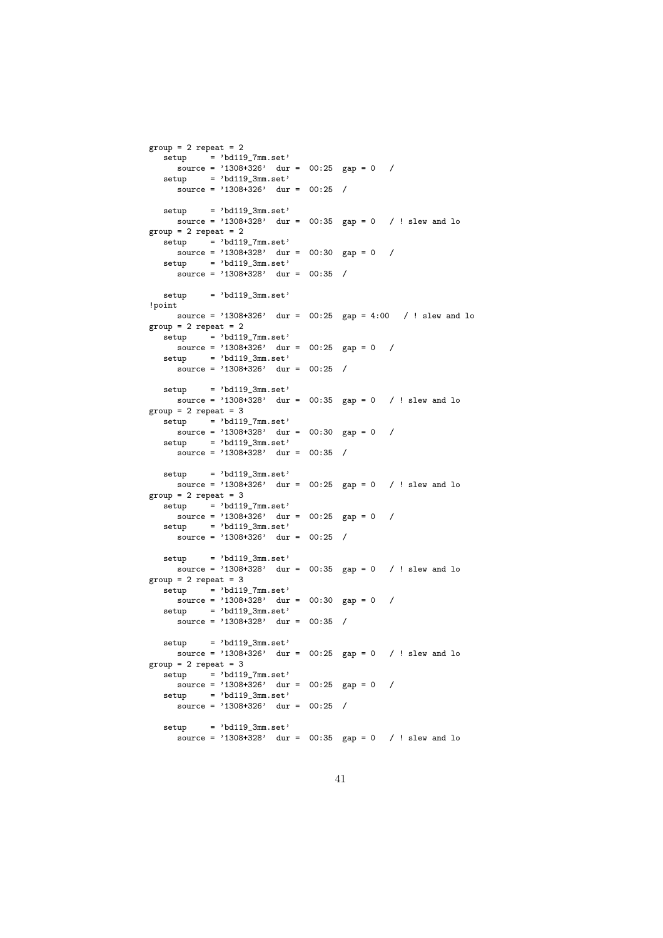```
group = 2 repeat = 2\text{setup} = 'bd119_7mm.set'
    source = '1308+326' dur = 00:25 gap = 0 /
  setup = 'bd119_3mm.set'
     source = '1308+326' dur = 00:25 /
  set up = 'bd119.3mm.set'source = '1308+328' dur = 00:35 gap = 0 / ! slew and lo
group = 2 repeat = 2setup = 'd1197mm.set'source = '1308+328' dur = 00:30 gap = 0 /
  setup = 'bd119_3mm.set'source = '1308+328' dur = 00:35 /
  set up = 'bd119.3mm.set'!point
   source = '1308+326' dur = 00:25 gap = 4:00 / ! slew and lo
\text{group} = 2 \text{repeat} = 2setup = 'bd119_7mm.set'\frac{1}{\text{source}} = \frac{1308 + 326}{1308 + 326} dur = 00:25 gap = 0 /
  setup = 'bd119_3mm.set'source = '1308+326' dur = 00:25 /
  setup = 'bd119_3mm.set'source = '1308+328' dur = 00:35 gap = 0 / ! slew and lo
group = 2 repeat = 3setup = 'bd119_7mm.set'source = '1308+328' dur = 00:30 gap = 0 /
  setup = 'bd119_3mm.set'source = '1308+328' dur = 00:35 /
  setup = 'bd119_3mm.set'
    source = '1308+326' dur = 00:25 gap = 0 / ! slew and lo
group = 2 repeat = 3setup = 'bd119_7mm.set'
   \frac{1}{\text{source}} = \frac{1308 + 326}{\text{day}} = 00:25 \text{ gap} = 0 /
  setup = 'bd119_3mm.set'source = '1308+326' dur = 00:25 /
  setup = 'bd119_3mm.set'source = '1308+328' dur = 00:35 gap = 0 / ! slew and lo
group = 2 repeat = 3\text{setup} = 'bd119_7mm.set'
    \frac{1}{\text{source}} = \frac{1308 + 328}{\text{day}} = \frac{00:30}{\text{gap}} = 0 /
  setup = 'bd119_3mm.set'
    source = '1308+328' dur = 00:35 /
  setup = 'bd119_3mm.set'source = '1308+326' dur = 00:25 gap = 0 / ! slew and lo
group = 2 repeat = 3setup = 'bd119_7mm.set'
    source = '1308+326' dur = 00:25 gap = 0 /
  setup = 'bd119_3mm.set'source = '1308+326' dur = 00:25 /
  setup = 'bd119_3mm.set'source = '1308+328' dur = 00:35 gap = 0 / ! slew and lo
```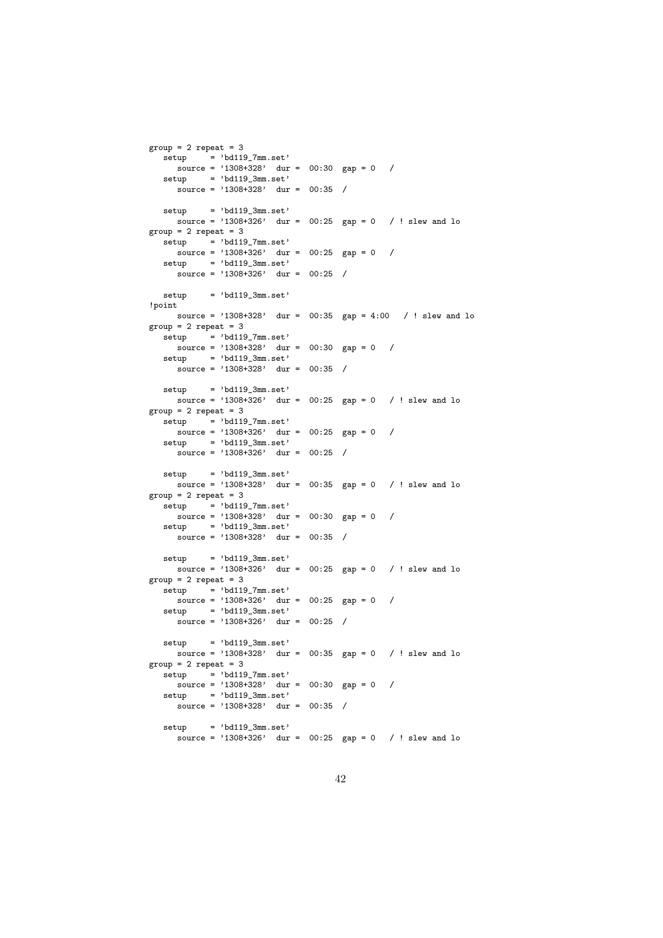```
group = 2 repeat = 3\text{setup} = 'bd119_7mm.set'
    source = '1308+328' dur = 00:30 gap = 0 /
  setup = 'bd119_3mm.set'
     source = \frac{1}{1308+328}, dur = 00:35 /
  set up = 'bd119.3mm.set'source = '1308+326' dur = 00:25 gap = 0 / ! slew and lo
group = 2 repeat = 3satun = 'bd119.7mmest'source = '1308+326' dur = 00:25 gap = 0 /
  setup = 'bd119_3mm.set'source = '1308+326' dur = 00:25 /
  set up = 'bd119.3mm.set'!point
   source = '1308+328' dur = 00:35 gap = 4:00 / ! slew and lo
\text{grow} = 2 \text{ repeat} = 3setup = 'bd119_7mm.set'\frac{1}{\text{source}} = \frac{1308 + 328}{1308 + 328} dur = 00:30 gap = 0 /
  setup = 'bd119_3mm.set'source = '1308+328' dur = 00:35 /
  setup = 'bd119_3mm.set'source = '1308+326' dur = 00:25 gap = 0 / ! slew and lo
group = 2 repeat = 3setup = 'bd119_7mm.set'source = '1308+326' dur = 00:25 gap = 0 /
  setup = 'bd119_3mm.set'source = '1308+326' dur = 00:25 /
  setup = 'bd119_3mm.set'
    source = '1308+328' dur = 00:35 gap = 0 / ! slew and lo
group = 2 repeat = 3setup = 'bd119_7mm.set'
   \frac{1}{\text{source}} = \frac{1308 + 328}{\text{day}} = 00:30 \text{ gap} = 0 /
  setup = 'bd119_3mm.set'source = '1308+328' dur = 00:35 /
  setup = 'bd119_3mm.set'source = '1308+326' dur = 00:25 gap = 0 / ! slew and lo
group = 2 repeat = 3\text{setup} = 'bd119_7mm.set'
    \frac{1}{\text{source}} = \frac{1308 + 326}{\text{day}} = \frac{00:25}{\text{gap}} = 0 /
  setup = 'bd119_3mm.set'
     source = '1308+326' dur = 00:25 /
  setup = 'bd119_3mm.set'source = '1308+328' dur = 00:35 gap = 0 / ! slew and lo
group = 2 repeat = 3setup = 'bd119_7mm.set'
    source = '1308+328' dur = 00:30 gap = 0 /
  setup = 'bd119_3mm.set'
     source = '1308+328' dur = 00:35 /
  setup = 'bd119_3mm.set'source = '1308+326' dur = 00:25 gap = 0 / ! slew and lo
```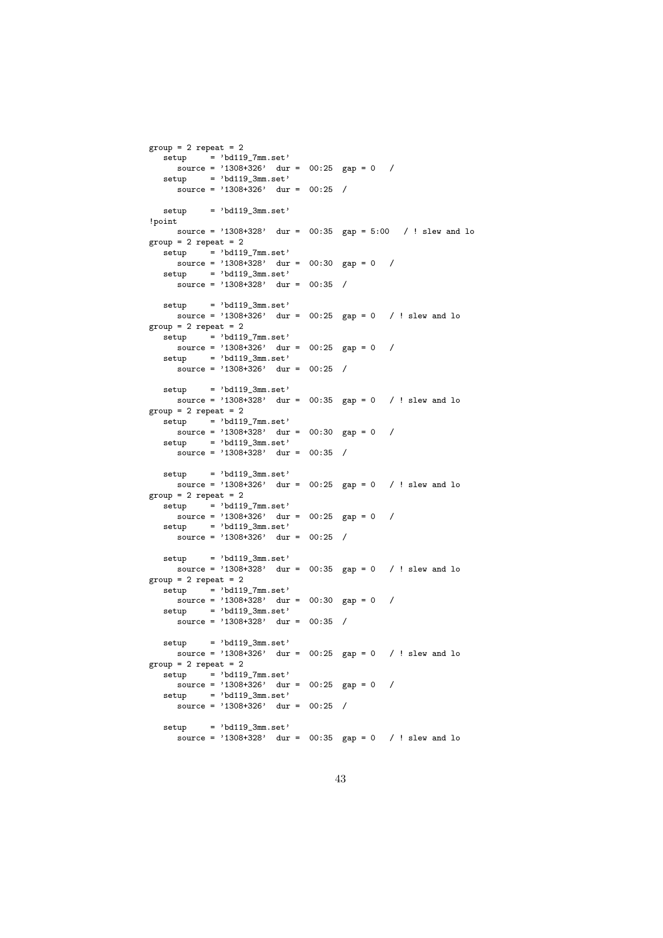```
group = 2 repeat = 2\text{setup} = 'bd119_7mm.set'
    source = '1308+326' dur = 00:25 gap = 0 /
  setup = 'bd119_3mm.set'
     source = '1308+326' dur = 00:25 /
  setup = 'bd119.3mm.set'!point
    source = '1308+328' dur = 00:35 gap = 5:00 / ! slew and lo
group = 2 repeat = 2\text{setup} = 'bd119_7mm.set'
    source = '1308+328' dur = 00:30 gap = 0 /
  setup = 'bd119_3mm.set'source = '1308+328' dur = 00:35 /
  setup = 'bd119_3mm.set'
   source = '1308+326' dur = 00:25 gap = 0 / ! slew and lo
group = 2 repeat = 2setup = 'bd119_7mm.set'\frac{1}{\text{source}} = \frac{1308 + 326}{1308 + 326} dur = 00:25 gap = 0 /
  setup = 'bd119_3mm.set'
     source = '1308+326' dur = 00:25 /
  setup = 'bd119_3mm.set'source = '1308+328' dur = 00:35 gap = 0 / ! slew and lo
group = 2 repeat = 2setup = 'bd119_7mm.set'source = '1308+328' dur = 00:30 gap = 0 /
  setup = 'bd119_3mm.set'source = '1308+328' dur = 00:35 /
  setup = 'bd119_3mm.set'
    source = '1308+326' dur = 00:25 gap = 0 / ! slew and lo
group = 2 repeat = 2setup = 'bd119_7mm.set'
   \frac{1}{\text{source}} = \frac{1308 + 326}{\text{day}} = 00:25 \text{ gap} = 0 /
  setup = 'bd119_3mm.set'source = '1308+326' dur = 00:25 /
  setup = 'bd119_3mm.set'source = '1308+328' dur = 00:35 gap = 0 / ! slew and lo
group = 2 repeat = 2\text{setup} = 'bd119_7mm.set'
    \frac{1}{\text{source}} = \frac{1308 + 328}{\text{day}} = \frac{00:30}{\text{gap}} = 0 /
  setup = 'bd119_3mm.set'
    source = '1308+328' dur = 00:35 /
  setup = 'bd119_3mm.set'source = '1308+326' dur = 00:25 gap = 0 / ! slew and lo
group = 2 repeat = 2setup = 'bd119_7mm.set'
    source = '1308+326' dur = 00:25 gap = 0 /
  setup = 'bd119_3mm.set'source = '1308+326' dur = 00:25 /
  setup = 'bd119_3mm.set'source = '1308+328' dur = 00:35 gap = 0 / ! slew and lo
```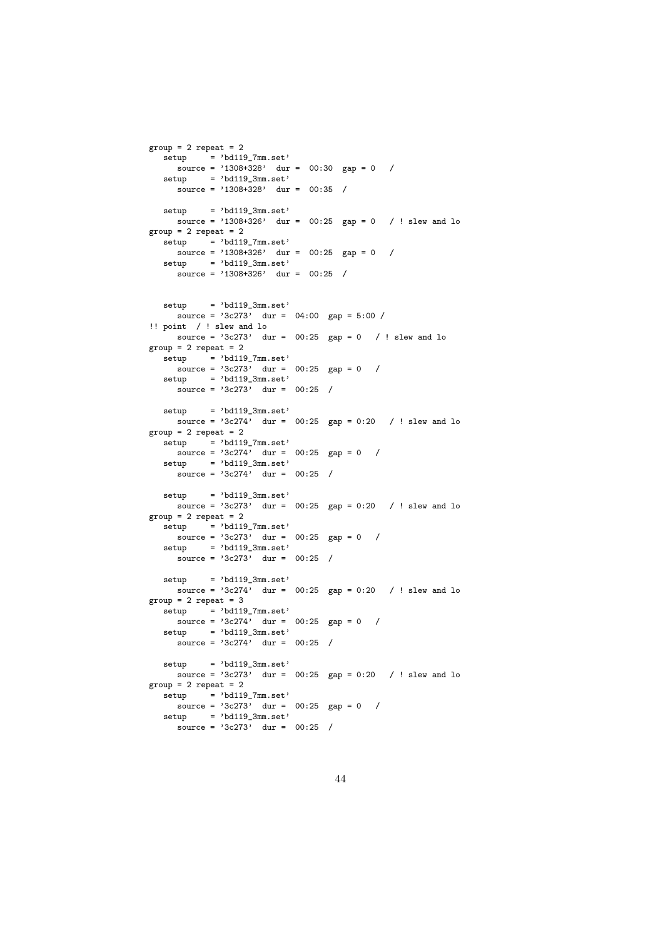```
group = 2 repeat = 2\text{setup} = 'bd119_7mm.set'
    source = '1308+328' dur = 00:30 gap = 0 /
  setup = 'bd119_3mm.set'
     source = \frac{1}{1308+328}, dur = 00:35 /
  set up = 'bd119.3mm.set'source = '1308+326' dur = 00:25 gap = 0 / ! slew and lo
group = 2 repeat = 2setup = 'bd1197mm.set'
    source = '1308+326' dur = 00:25 gap = 0 /
  setup = 'bd119_3mm.set'source = '1308+326' dur = 00:25 /
  setup = 'bd119_3mm.set'
    source = '3c273' dur = 04:00 gap = 5:00 /
!! point / ! slew and lo
     source = 3c273' dur = 00:25 gap = 0 / ! slew and lo
group = 2 repeat = 2\text{setup} = 'bd119_7mm.set'
     source = '3c273' dur = 00:25 gap = 0 /
  setup = 'bd119.3mm.set'source = 3c273, dur = 00:25 /
  setun = 'bd119.3mm.set'\frac{1}{\text{source}} = \frac{1}{3c274}, dur = 00:25 gap = 0:20 / ! slew and lo
group = 2 repeat = 2setup = 'bd119_7mm.set'source = '3c274' dur = 00:25 gap = 0 /
  set up = 'bd119.3mm.set'\frac{1}{\text{source}} = \frac{1}{3c274}, \quad \text{dur} = 00:25 /
  setup = 'bd119_3mm.set'source = '3c273' dur = 00:25 gap = 0:20 / ! slew and lo
group = 2 repeat = 2setup = 'bd119_7mm.set'
     source = '3c273' dur = 00:25 gap = 0 /
  setup = 'bd119.3mm.set'\frac{1}{\text{source}} = \frac{1}{3c273}, dur = 00:25 /
  setup = 'bd119.3mm.set'\frac{1}{\text{source}} = \frac{1}{3c274}, \text{dur} = 00:25 gap = 0:20 / ! slew and lo
group = 2 repeat = 3\text{setup} = 'bd119_7mm.set'
     source = '3c274' dur = 00:25 gap = 0 /
  setup = 'bd119.3mm.set'\frac{1}{\text{source}} = \frac{1}{3c274}, dur = 00:25 /
  setup = 'bd119.3mm.set'source = 3c273 dur = 00:25 gap = 0:20 / ! slew and lo
group = 2 repeat = 2\text{setup} = 'bd119_7mm.set'
    source = '3c273' dur = 00:25 gap = 0 /
  setup = 'bd119.3mm.set'source = 3c273, dur = 00:25 /
```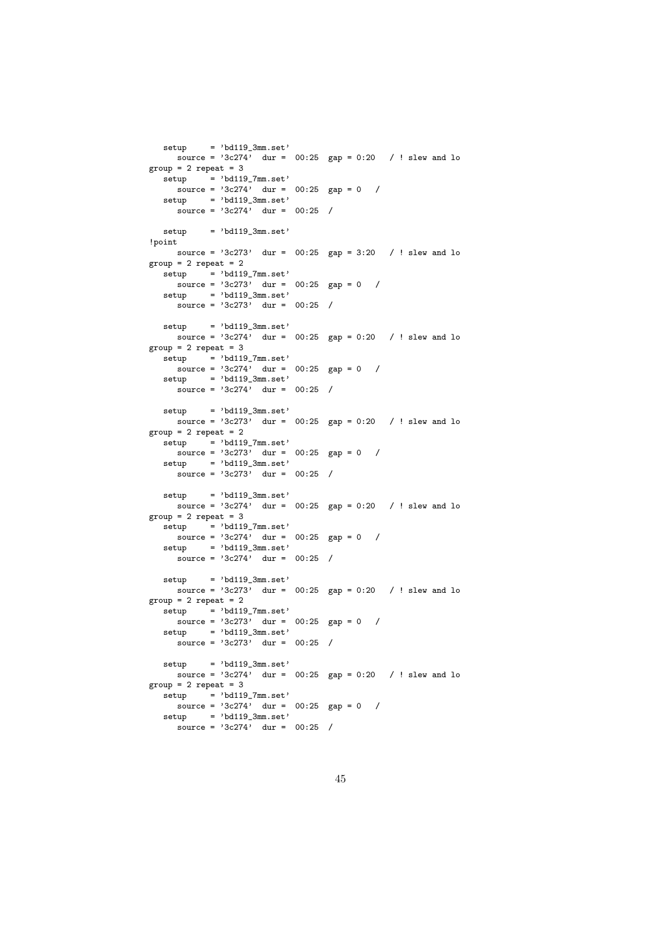```
setup = 'bd119_3mm.set'source = 3c274<sup>,</sup> dur = 00:25 gap = 0:20 / ! slew and lo
group = 2 repeat = 3\text{setup} = 'bd119_7mm.set'
     \frac{1}{\text{source}} = \frac{1}{3c274}, dur = 00:25 gap = 0 /
  setup = 'bd119_3mm.set'
     \frac{1}{\text{source}} = \frac{1}{3c274}, dur = 00:25 /
  setup = 'bd119_3mm.set'!point
    source = '3c273' dur = 00:25 gap = 3:20 / ! slew and lo
group = 2 repeat = 2\text{setup} = 'bd119_7mm.set'
    source = '3c273' dur = 00:25 gap = 0 /
  setup = 'bd119.3mm.set'\frac{1}{\text{source}} = \frac{1}{3c273}, dur = 00:25 /
  setup = 'bd119.3mm.set'source = 3c274, dur = 00:25 gap = 0:20 / ! slew and lo
group = 2 repeat = 3\text{setup} = 'bd119_7mm.set'
     source = '3c274' dur = 00:25 gap = 0 /
  setup = 'bd119.3mm.set'source = '3c274' dur = 00:25 /
  setun = 'bd119.3mm.set'source = 3c273 dur = 00:25 gap = 0:20 / ! slew and lo
group = 2 repeat = 2setup = 'bd119_7mm.set'source = '3c273' dur = 00:25 gap = 0 /
  set up = 'bd119.3mm.set'\frac{1}{\text{source}} = \frac{1}{3c273}, dur = 00:25 /
  setup = 'bd119_3mm.set'\frac{1}{\text{source}} = \frac{1}{3c274} dur = 00:25 gap = 0:20 / ! slew and lo
group = 2 repeat = 3setup = 'bd119_7mm.set'
     source = '3c274' dur = 00:25 gap = 0 /
   setup = 'bd119.3mm.set'\frac{1}{\text{source}} = \frac{1}{3c274}, dur = 00:25 /
  setup = 'bd119.3mm.set'source = '3c273' dur = 00:25 gap = 0:20 / ! slew and lo
group = 2 repeat = 2\text{setup} = 'bd119_7mm.set'
     source = '3c273' dur = 00:25 gap = 0 /
  setup = 'bd119.3mm.set'\frac{1}{\text{source}} = \frac{1}{3c273} dur = 00:25 /
  setup = 'bd119.3mm.set'source = 3c274' dur = 00:25 gap = 0:20 / ! slew and lo
group = 2 repeat = 3\text{setup} = 'bd119_7mm.set'
     source = '3c274' dur = 00:25 gap = 0 /
   setup = 'bd119.3mm.set'source = 3c274, dur = 00:25 /
```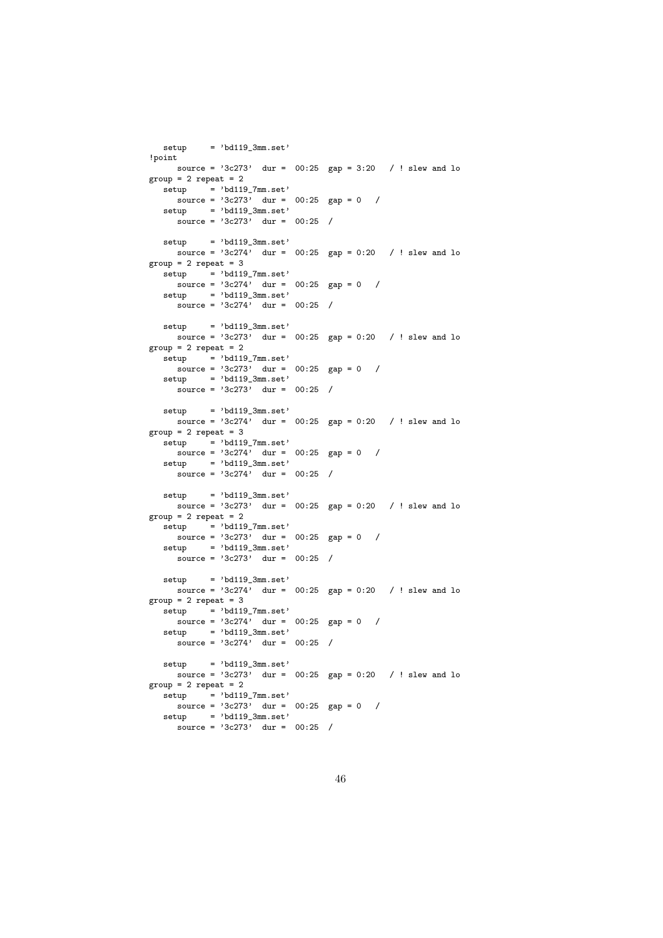```
setup = 'bd119_3mm.set'!point
    source = '3c273' dur = 00:25 gap = 3:20 / ! slew and lo
group = 2 repeat = 2setup = 'bd119_7mm.set'\frac{1}{\text{source}} = \frac{1}{3c273}, dur = 00:25 gap = 0 /
  setup = 'bd119.3mm.set'source = '3c273' dur = 00:25 /
  set up = 'bd119_3mm.set'source = '3c274' dur = 00:25 gap = 0:20 / ! slew and lo
group = 2 repeat = 3setup = 'bd119_7mm.set'source = '3c274' dur = 00:25 gap = 0 /
  setup = 'bd119.3mm.set'\frac{1}{\text{source}} = \frac{1}{3c274}, dur = 00:25 /
  setup = 'bd119.3mm.set'source = 3c273' dur = 00:25 gap = 0:20 / ! slew and lo
group = 2 repeat = 2\text{setup} = 'bd119_7mm.set'
    source = '3c273' dur = 00:25 gap = 0 /
  setup = 'bd119.3mm.set'source = 3c273, dur = 00:25 /
  setun = 'bd119.3mm.set'source = 3c274 dur = 00:25 gap = 0:20 / ! slew and lo
group = 2 repeat = 3setup = 'bd119_7mm.set'source = '3c274' dur = 00:25 gap = 0 /
  set up = 'bd119.3mm.set'\frac{1}{\text{source}} = \frac{1}{3c274}, \quad \text{dur} = 00:25 /
  setup = 'bd119_3mm.set'source = 3c273, dur = 00:25 gap = 0:20 / ! slew and lo
group = 2 repeat = 2setup = 'bd119_7mm.set'
    source = '3c273' dur = 00:25 gap = 0 /
  setup = 'bd119.3mm.set'\frac{1}{\text{source}} = \frac{1}{3c273}, dur = 00:25 /
  setup = 'bd119.3mm.set'source = '3c274' dur = 00:25 gap = 0:20 / ! slew and lo
group = 2 repeat = 3\text{setup} = 'bd119_7mm.set'
    source = '3c274' dur = 00:25 gap = 0 /
  setup = 'bd119.3mm.set'\frac{1}{\text{source}} = \frac{1}{3c274}, dur = 00:25 /
  setup = 'bd119.3mm.set'source = 3c273' dur = 00:25 gap = 0:20 / ! slew and lo
group = 2 repeat = 2\text{setup} = 'bd119_7mm.set'
    source = '3c273' dur = 00:25 gap = 0 /
  setup = 'bd119.3mm.set'source = 3c273, dur = 00:25 /
```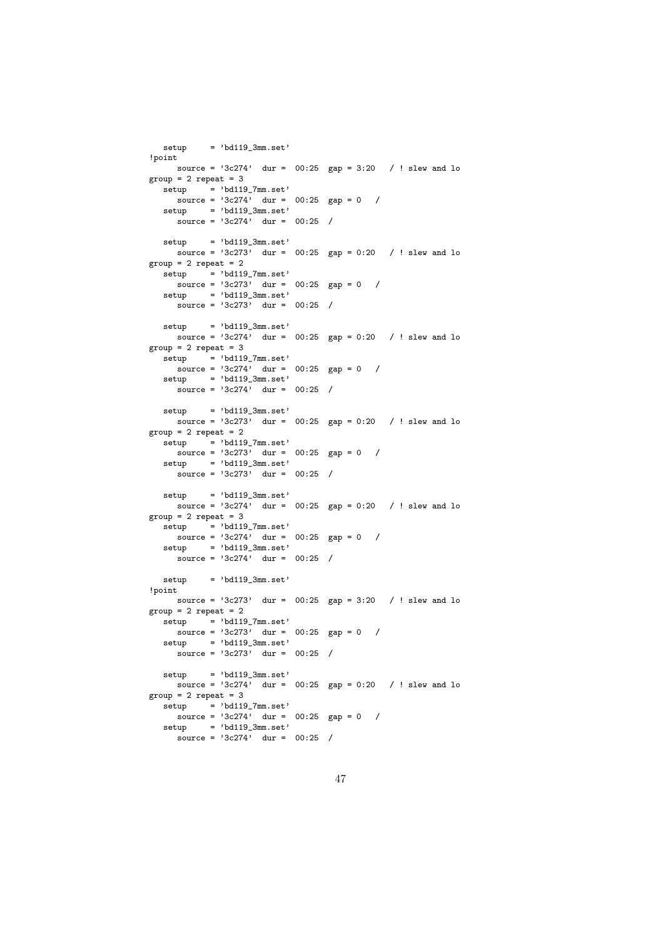```
setup = 'bd119_3mm.set'!point
    source = 3c274' dur = 00:25 gap = 3:20 / ! slew and lo
group = 2 repeat = 3setup = 'bd119_7mm.set'
    \frac{1}{\text{source}} = \frac{1}{3c274}, \quad \text{dur} = 0.25 \quad \text{gap} = 0 /
  setup = 'bd119.3mm.set'source = '3c274' dur = 00:25 /
  setun = 'bd119.3mm.set'source = '3c273' dur = 00:25 gap = 0:20 / ! slew and lo
group = 2 repeat = 2setup = 'bd119_7mm.set'source = '3c273' dur = 00:25 gap = 0 /
  setup = 'bd119.3mm.set'\frac{1}{\text{source}} = \frac{1}{3c273}, dur = 00:25 /
  setup = 'bd119.3mm.set'source = 3c274' dur = 00:25 gap = 0:20 / ! slew and lo
group = 2 repeat = 3\text{setup} = 'bd119_7mm.set'
    source = '3c274' dur = 00:25 gap = 0 /
  setup = 'bd119.3mm.set'source = '3c274' dur = 00:25 /
  setun = 'bd119.3mm.set'source = 3c273 dur = 00:25 gap = 0:20 / ! slew and lo
group = 2 repeat = 2setup = 'bd119_7mm.set'source = '3c273' dur = 00:25 gap = 0 /
  set up = 'bd119.3mm.set'\frac{1}{\text{source}} = \frac{1}{3c273}, dur = 00:25 /
  setup = 'bd119_3mm.set'\frac{1}{\text{source}} = \frac{1}{3c274} dur = 00:25 gap = 0:20 / ! slew and lo
group = 2 repeat = 3setup = 'bd119_7mm.set'
    source = '3c274' dur = 00:25 gap = 0 /
  setup = 'bd119.3mm.set'\frac{1}{\text{source}} = \frac{1}{3c274}, dur = 00:25 /
  set up = 'bd119.3mm.set'!point
   source = 3c273' dur = 00:25 gap = 3:20 / ! slew and lo
group = 2 repeat = 2setup = 'bd119_7mm.set'
    source = '3c273' dur = 00:25 gap = 0 /
  setup = 'bd119_3mm.set'source = '3c273' dur = 00:25 /
  setup = 'bd119_3mm.set'
   source = 3c274' dur = 00:25 gap = 0:20 / ! slew and lo
group = 2 repeat = 3setup = 'bd119_7mm.set'
   source = '3c274' dur = 00:25 gap = 0 /
  setup = 'bd119_3mm.set'source = '3c274' dur = 00:25 /
```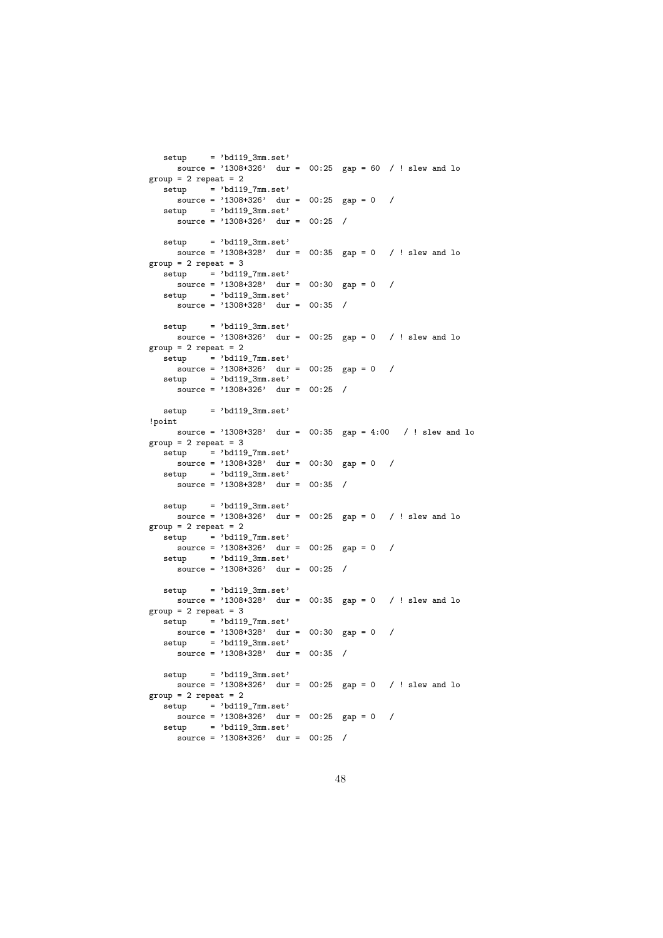```
set up = 'bd119_3mm.set'source = '1308+326' dur = 00:25 gap = 60 / ! slew and lo
group = 2 repeat = 2setup = 'bd119_7mm.set'source = '1308 + 326' dur = 00:25 gap = 0 /
  setup = 'bd119.3mm.set'source = '1308+326' dur = 00:25 /
  set up = 'bd119_3mm.set'source = '1308+328' dur = 00:35 gap = 0 / ! slew and lo
group = 2 repeat = 3setup = 'bd119_7mm.set'source = '1308+328' dur = 00:30 gap = 0 /
  setup = 'bd119.3mm.set'source = '1308+328' dur = 00:35 /
  setup = 'bd119.3mm.set'source = '1308+326' dur = 00:25 gap = 0 / ! slew and lo
group = 2 repeat = 2\text{setup} = 'bd119_7mm.set'
    source = '1308+326' dur = 00:25 gap = 0 /
  setup = 'bd119.3mm.set'source = '1308+326' dur = 00:25 /
  setun = 'bd119.3mm.set'!point
    source = '1308+328' dur = 00:35 gap = 4:00 / ! slew and lo
group = 2 repeat = 3setup = 'bd119_7mm.set'source = '1308+328' dur = 00:30 gap = 0 /
  setup = 'bd119_3mm.set'source = '1308+328' dur = 00:35 /
  setup = 'bd119_3mm.set'
   source = '1308+326' dur = 00:25 gap = 0 / ! slew and lo
group = 2 repeat = 2setup = 'bd119_7mm.set'
   source = '1308+326' dur = 00:25 gap = 0 /
  setup = 'bd119_3mm.set'
    source = '1308+326' dur = 00:25 /
  setup = 'bd119_3mm.set'source = '1308+328' dur = 00:35 gap = 0 / ! slew and lo
group = 2 repeat = 3setup = 'bd119_7mm.set'
    source = '1308+328' dur = 00:30 gap = 0 /
  setup = 'bd119_3mm.set'source = '1308+328' dur = 00:35 /
  setup = 'bd119_3mm.set'
   source = '1308+326' dur = 00:25 gap = 0 / ! slew and lo
group = 2 repeat = 2setup = 'bd119_7mm.set'
   source = '1308+326' dur = 00:25 gap = 0 /
  setup = 'bd119_3mm.set'source = '1308+326' dur = 00:25 /
```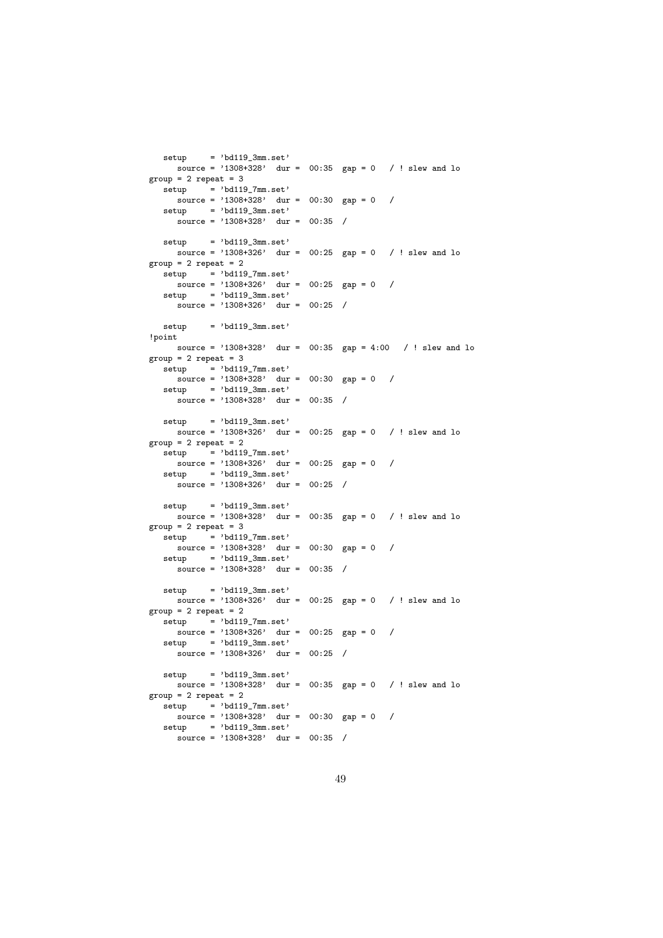```
source = '1308+328' dur = 00:35 gap = 0 / ! slew and lo
group = 2 repeat = 3setup = 'bd119_7mm.set'\frac{1}{\text{source}} = \frac{1308 + 328}{\text{day}} = \frac{00:30}{\text{gap}} = 0 /
  setup = 'bd119_3mm.set'source = '1308+328' dur = 00:35 /
  set up = 'bd119_3mm.set'source = '1308+326' dur = 00:25 gap = 0 / ! slew and lo
group = 2 repeat = 2setup = 'bd119_7mm.set'
    source = '1308+326' dur = 00:25 gap = 0 /
  setup = 'bd119.3mm.set'source = '1308+326' dur = 00:25 /
  setup = 'bd119.3mm.set'!point
   source = '1308+328' dur = 00:35 gap = 4:00 / ! slew and lo
group = 2 repeat = 3setup = 'bd119_7mm.set'
   source = '1308+328' dur = 00:30 gap = 0 /
  setup = 'bd119_3mm.set'
    source = '1308+328' dur = 00:35 /
  setup = 'bd119_3mm.set'source = '1308+326' dur = 00:25 gap = 0 / ! slew and lo
group = 2 repeat = 2setup = 'bd119_7mm.set'source = '1308+326' dur = 00:25 gap = 0 /
  setup = 'bd119_3mm.set'source = '1308+326' dur = 00:25 /
  setup = 'bd119_3mm.set'source = '1308+328' dur = 00:35 gap = 0 / ! slew and lo
group = 2 repeat = 3setup = 'bd119_7mm.set'
    source = '1308+328' dur = 00:30 gap = 0 /
  setup = 'bd119_3mm.set'
    source = '1308+328' dur = 00:35 /
  setup = 'bd119_3mm.set'source = '1308+326' dur = 00:25 gap = 0 / ! slew and lo
group = 2 repeat = 2setup = 'bd119_7mm.set'
    source = '1308+326' dur = 00:25 gap = 0 /
  setup = 'bd119_3mm.set'source = '1308+326' dur = 00:25 /
  setup = 'bd119_3mm.set'
   source = '1308+328' dur = 00:35 gap = 0 / ! slew and lo
group = 2 repeat = 2setup = 'bd119_7mm.set'
   source = '1308+328' dur = 00:30 gap = 0 /
  setup = 'bd119_3mm.set'source = '1308+328' dur = 00:35 /
```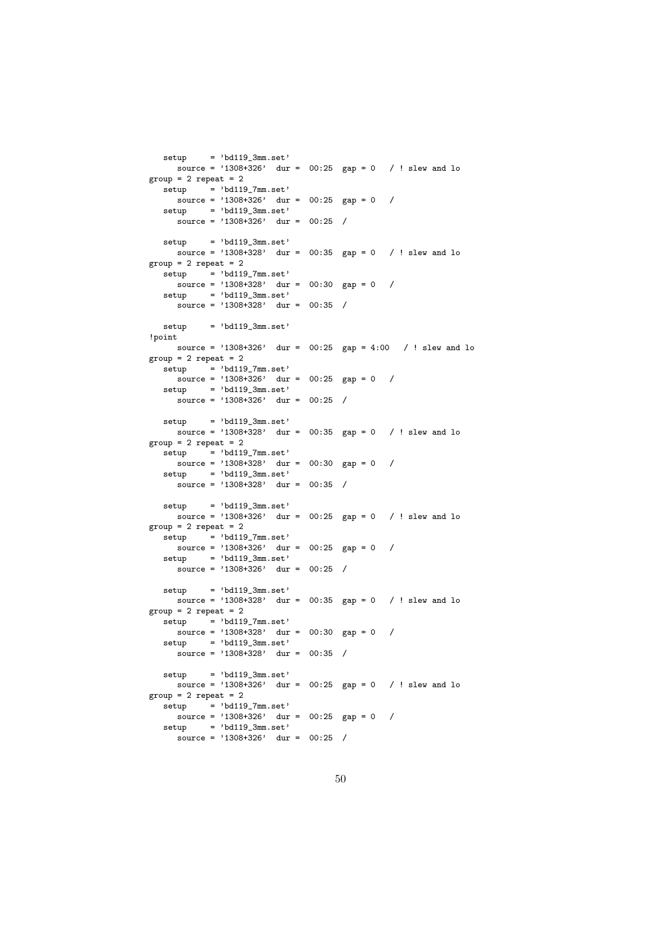```
source = '1308+326' dur = 00:25 gap = 0 / ! slew and lo
group = 2 repeat = 2setup = 'bd119_7mm.set'\frac{1}{\text{source}} = \frac{1308 + 326}{\text{day}} = \frac{00:25}{\text{gap}} = 0 /
  setup = 'bd119_3mm.set'source = '1308+326' dur = 00:25 /
  set up = 'bd119_3mm.set'source = '1308+328' dur = 00:35 gap = 0 / ! slew and lo
group = 2 repeat = 2setup = 'bd119_7mm.set'
    source = '1308+328' dur = 00:30 gap = 0 /
  setup = 'bd119.3mm.set'source = '1308+328' dur = 00:35 /
  setup = 'bd119.3mm.set'!point
   source = '1308+326' dur = 00:25 gap = 4:00 / ! slew and lo
group = 2 repeat = 2setup = 'bd119_7mm.set'
   source = '1308+326' dur = 00:25 gap = 0 /
  setup = 'bd119_3mm.set'
    source = '1308+326' dur = 00:25 /
  setup = 'bd119_3mm.set'source = '1308+328' dur = 00:35 gap = 0 / ! slew and lo
group = 2 repeat = 2setup = 'bd119_7mm.set'source = '1308+328' dur = 00:30 gap = 0 /
  setup = 'bd119_3mm.set'source = '1308+328' dur = 00:35 /
  setup = 'bd119_3mm.set'source = '1308+326' dur = 00:25 gap = 0 / ! slew and lo
group = 2 repeat = 2setup = 'bd119_7mm.set'
    source = '1308+326' dur = 00:25 gap = 0 /
  setup = 'bd119_3mm.set'
    source = '1308+326' dur = 00:25 /
  setup = 'bd119_3mm.set'source = '1308+328' dur = 00:35 gap = 0 / ! slew and lo
group = 2 repeat = 2setup = 'bd119_7mm.set'
    source = '1308+328' dur = 00:30 gap = 0 /
  setup = 'bd119_3mm.set'source = '1308+328' dur = 00:35 /
  setup = 'bd119_3mm.set'
   source = '1308+326' dur = 00:25 gap = 0 / ! slew and lo
group = 2 repeat = 2setup = 'bd119_7mm.set'
   source = '1308+326' dur = 00:25 gap = 0 /
  setup = 'bd119_3mm.set'source = '1308+326' dur = 00:25 /
```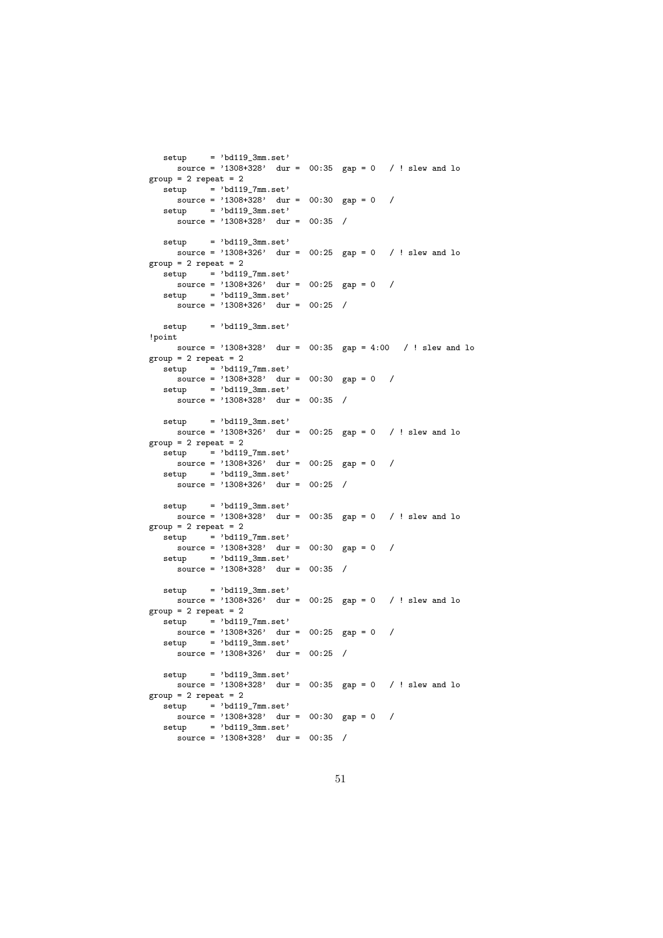```
source = '1308+328' dur = 00:35 gap = 0 / ! slew and lo
group = 2 repeat = 2setup = 'bd119_7mm.set'\frac{1}{\text{source}} = \frac{1308 + 328}{\text{day}} = \frac{00:30}{\text{gap}} = 0 /
  setup = 'bd119_3mm.set'source = '1308+328' dur = 00:35 /
  set up = 'bd119_3mm.set'source = '1308+326' dur = 00:25 gap = 0 / ! slew and lo
group = 2 repeat = 2setup = 'bd119_7mm.set'
    source = '1308+326' dur = 00:25 gap = 0 /
  setup = 'bd119.3mm.set'source = '1308+326' dur = 00:25 /
  setup = 'bd119.3mm.set'!point
   source = '1308+328' dur = 00:35 gap = 4:00 / ! slew and lo
group = 2 repeat = 2setup = 'bd119_7mm.set'
   source = '1308+328' dur = 00:30 gap = 0 /
  setup = 'bd119_3mm.set'
    source = '1308+328' dur = 00:35 /
  setup = 'bd119_3mm.set'\frac{1}{\text{source}} = \frac{1308+326}{300} dur = 00:25 gap = 0 / ! slew and lo
group = 2 repeat = 2setup = 'bd119_7mm.set'source = '1308+326' dur = 00:25 gap = 0 /
  setup = 'bd119_3mm.set'source = '1308+326' dur = 00:25 /
  setup = 'bd119_3mm.set'source = '1308+328' dur = 00:35 gap = 0 / ! slew and lo
group = 2 repeat = 2setup = 'bd119_7mm.set'
    source = '1308+328' dur = 00:30 gap = 0 /
  setup = 'bd119_3mm.set'
    source = '1308+328' dur = 00:35 /
  setup = 'bd119_3mm.set'source = '1308+326' dur = 00:25 gap = 0 / ! slew and lo
group = 2 repeat = 2setup = 'bd119_7mm.set'
    source = '1308+326' dur = 00:25 gap = 0 /
  setup = 'bd119_3mm.set'source = '1308+326' dur = 00:25 /
  setup = 'bd119_3mm.set'
   source = '1308+328' dur = 00:35 gap = 0 / ! slew and lo
group = 2 repeat = 2setup = 'bd119_7mm.set'
   source = '1308+328' dur = 00:30 gap = 0 /
  setup = 'bd119_3mm.set'source = '1308+328' dur = 00:35 /
```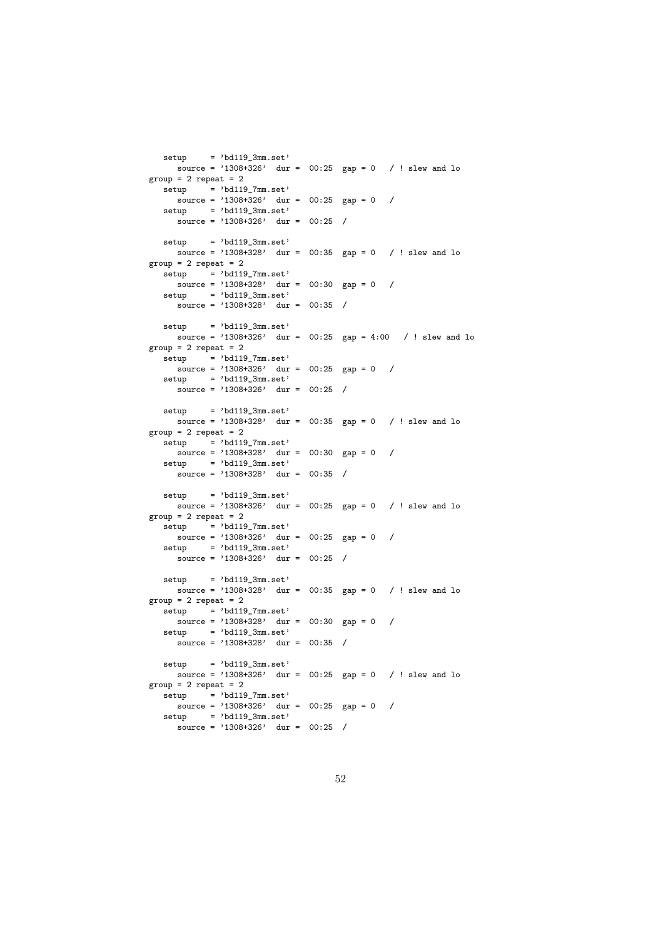```
source = '1308+326' dur = 00:25 gap = 0 / ! slew and lo
group = 2 repeat = 2setup = 'bd119_7mm.set'\frac{1}{\text{source}} = \frac{1308 + 326}{\text{day}} = \frac{00:25}{\text{gap}} = 0 /
  setup = 'bd119.3mm.set'source = '1308+326' dur = 00:25 /
  set up = 'bd119_3mm.set'source = '1308+328' dur = 00:35 gap = 0 / ! slew and lo
group = 2 repeat = 2setup = 'bd119_7mm.set'
    source = '1308+328' dur = 00:30 gap = 0 /
  setup = 'bd119.3mm.set'source = '1308+328' dur = 00:35 /
  setup = 'bd119.3mm.set'source = '1308+326' dur = 00:25 gap = 4:00 / ! slew and lo
group = 2 repeat = 2\text{setup} = 'bd119_7mm.set'
    source = '1308+326' dur = 00:25 gap = 0 /
  setup = 'bd119.3mm.set'\frac{1}{\text{source}} = \frac{1308 + 326}{\text{day}} = 00:25 /
  setun = 'bd119.3mm.set'source = '1308+328' dur = 00:35 gap = 0 / ! slew and lo
group = 2 repeat = 2setup = 'bd119_7mm.set'
    source = '1308+328' dur = 00:30 gap = 0 /
  set up = 'bd119.3mm.set'source = '1308+328' dur = 00:35 /
  setup = 'bd119_3mm.set'source = '1308+326' dur = 00:25 gap = 0 / ! slew and lo
group = 2 repeat = 2setup = 'bd119_7mm.set'
    source = '1308+326' dur = 00:25 gap = 0 /
  setup = 'bd119.3mm.set'source = '1308+326' dur = 00:25 /
  setup = 'bd119.3mm.set'source = '1308+328' dur = 00:35 gap = 0 / ! slew and lo
group = 2 repeat = 2\text{setup} = 'bd119_7mm.set'
    source = '1308+328' dur = 00:30 gap = 0 /
  setup = 'bd119.3mm.set'source = '1308+328' dur = 00:35 /
  setup = 'bd119.3mm.set'source = '1308+326' dur = 00:25 gap = 0 / ! slew and lo
group = 2 repeat = 2\text{setup} = 'bd119_7mm.set'
    source = '1308+326' dur = 00:25 gap = 0 /
  setup = 'bd119.3mm.set'source = '1308+326' dur = 00:25 /
```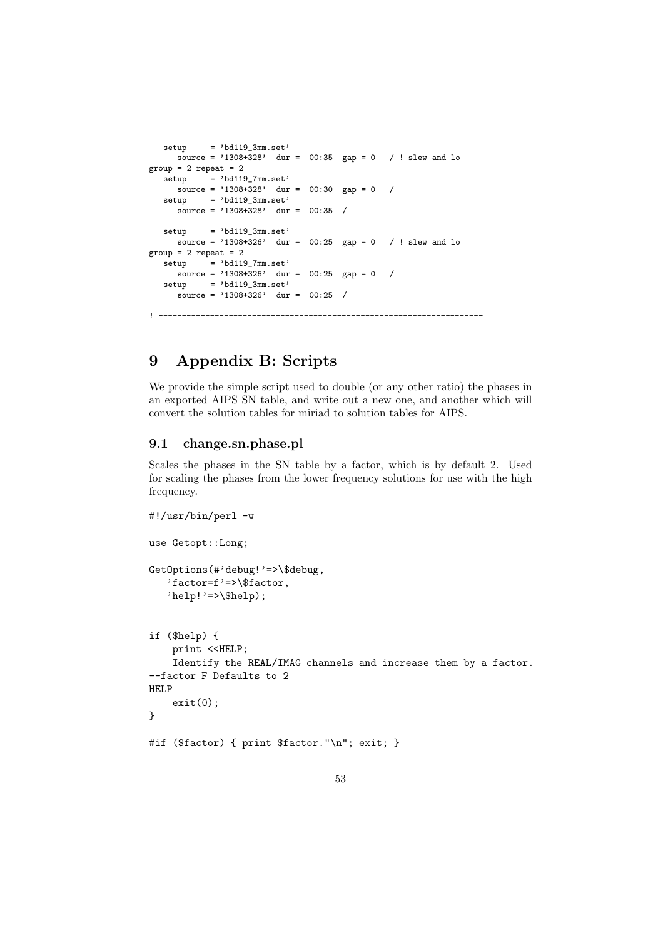```
setup = 'bd119_3mm.set'
     source = '1308+328' dur = 00:35 gap = 0 / ! slew and lo
group = 2 repeat = 2\text{setup} = 'bd119_7mm.set'
     source = '1308+328' dur = 00:30 gap = 0 /
   setup = 'bd119_3mm.set'
     \frac{1}{\text{source}} = \frac{1308 + 328}{\text{day}} = 00:35 /
  setup = 'bd119_3mm.set'source = '1308+326' dur = 00:25 gap = 0 / ! slew and lo
group = 2 repeat = 2\text{setup} = 'bd119_7mm.set'
     source = '1308+326' dur = 00:25 gap = 0 /
   setup = 'bd119_3mm.set'
     \frac{1}{\text{source}} = \frac{1308+326}{\text{day}} = 00:25 /
! ---------------------------------------------------------------------
```
# 9 Appendix B: Scripts

We provide the simple script used to double (or any other ratio) the phases in an exported AIPS SN table, and write out a new one, and another which will convert the solution tables for miriad to solution tables for AIPS.

### 9.1 change.sn.phase.pl

Scales the phases in the SN table by a factor, which is by default 2. Used for scaling the phases from the lower frequency solutions for use with the high frequency.

```
#!/usr/bin/perl -w
use Getopt::Long;
GetOptions(#'debug!'=>\$debug,
   'factor=f'=>\$factor,
   'help! '=>\$help);
if ($help) {
    print <<HELP;
    Identify the REAL/IMAG channels and increase them by a factor.
--factor F Defaults to 2
HELP
    exit(0);}
#if ($factor) { print $factor."\n"; exit; }
```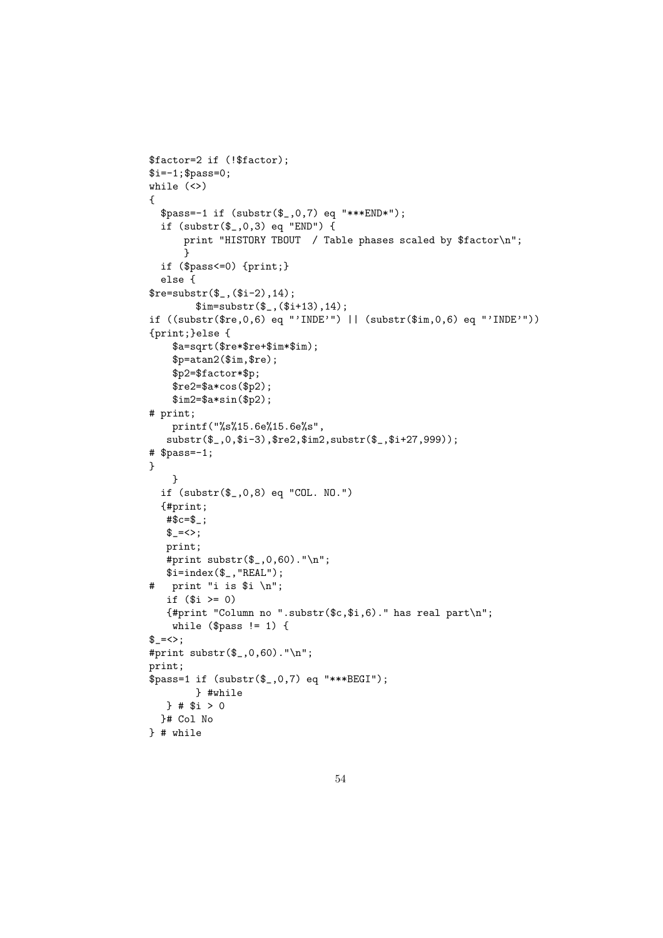```
$factor=2 if (!$factor);
$i=-1; $pass=0;while (<>)
{
  $pass=-1 if (substr($_,0,7) eq "***END*");
  if (substr($_,0,3) eq "END") {
      print "HISTORY TBOUT / Table phases scaled by $factor\n";
      }
  if ($pass<=0) {print;}
  else {
$re=substr($_,($i-2),14);$im=substr($_,($i+13),14);
if ((substr($re,0,6) eq "'INDE'") || (substr($im,0,6) eq "'INDE'"))
{print;}else {
    $a=sqrt($re*$re+$im*$im);
    $p=atan2($im,$re);
    $p2=$factor*$p;
    $re2=$a*cos($p2);
    $im2=$a*sin($p2);
# print;
    printf("%s%15.6e%15.6e%s",
   substr($_,0,$i-3),$re2,$im2,substr($_,$i+27,999));
# $pass=-1;
}
    }
  if (substr($_,0,8) eq "COL. NO.")
  {#print;
   #$c=$_;
   \frac{1}{2} = \left\{ \right.print;
   #print substr(\frac{1}{2}, 0, 60). "\n";
   $i=index($_, "REAL");
# print "i is $i \n";
   if ($i > = 0){#print "Column no ".substr($c,$i,6)." has real part\n";
    while (\$pass != 1) {\frac{1}{2} = \left\{ \right.};
#print substr($_,0,60)."\n";
print;
$pass=1 if (substr($_,0,7) eq "***BEGI");
        } #while
   } # $i > 0
  }# Col No
} # while
```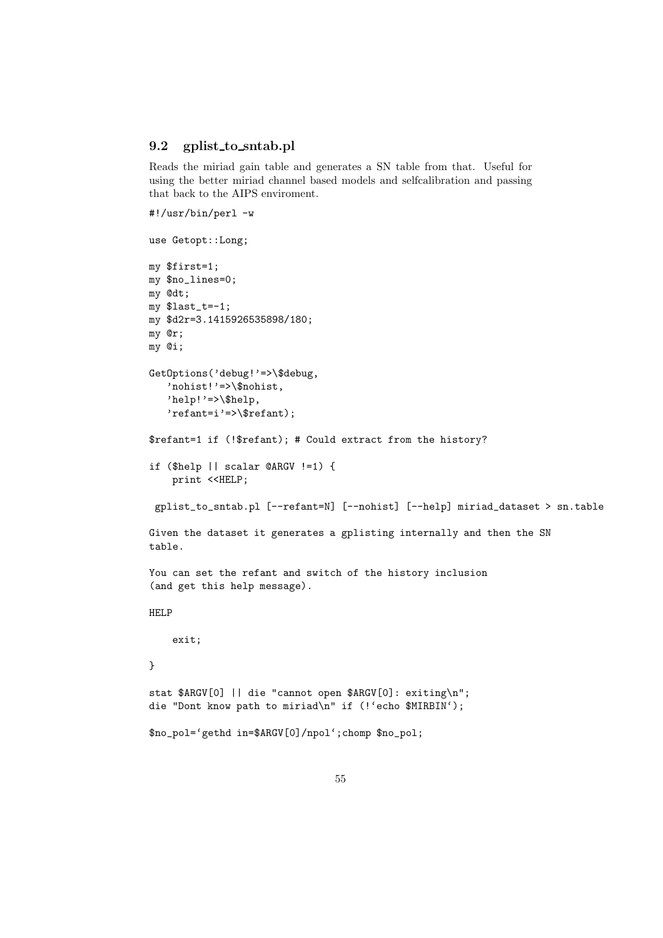### 9.2 gplist to sntab.pl

Reads the miriad gain table and generates a SN table from that. Useful for using the better miriad channel based models and selfcalibration and passing that back to the AIPS enviroment.

```
#!/usr/bin/perl -w
use Getopt::Long;
my $first=1;
my $no_lines=0;
my @dt;
my $last_t=-1;
my $d2r=3.1415926535898/180;
my @r;
my @i;
GetOptions('debug!'=>\$debug,
   'nohist!'=>\$nohist,
   'help!'=>\$help,
   'refant=i'=>\$refant);
$refant=1 if (!$refant); # Could extract from the history?
if ($help || scalar @ARGV !=1) {
```

```
print <<HELP;
```

```
gplist_to_sntab.pl [--refant=N] [--nohist] [--help] miriad_dataset > sn.table
```

```
Given the dataset it generates a gplisting internally and then the SN
table.
```

```
You can set the refant and switch of the history inclusion
(and get this help message).
```
HELP

exit;

```
}
```

```
stat $ARGV[0] || die "cannot open $ARGV[0]: exiting\n";
die "Dont know path to miriad\n" if (!'echo $MIRBIN');
```

```
$no_pol='gethd in=$ARGV[0]/npol';chomp $no_pol;
```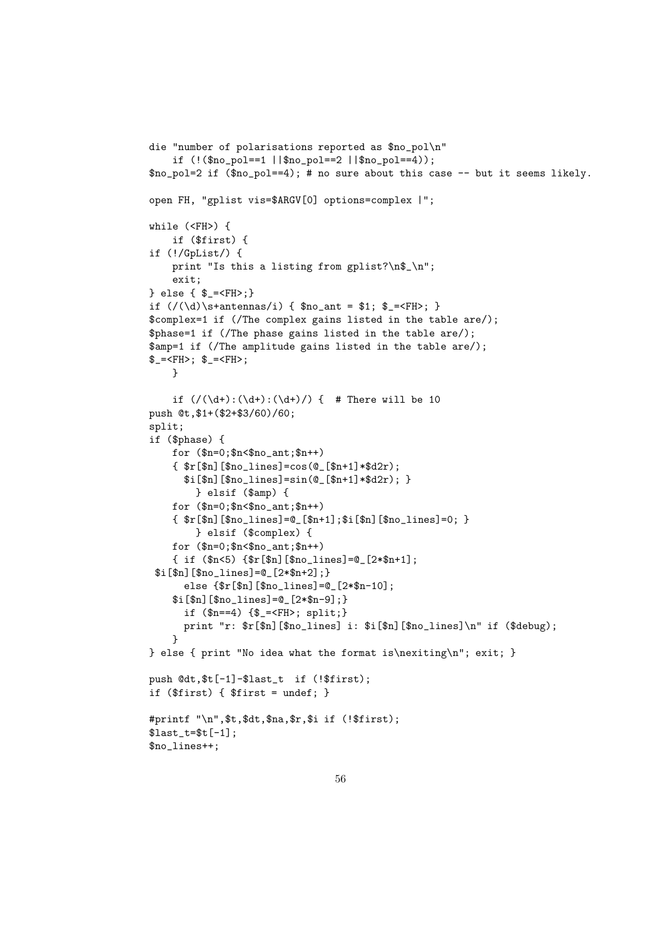```
die "number of polarisations reported as $no_pol\n"
    if (!($no_pol==1 ||$no_pol==2 ||$no_pol==4));
$no_pol=2 if ($no_pol==4); # no sure about this case -- but it seems likely.
open FH, "gplist vis=$ARGV[0] options=complex |";
while (<FH>) {
    if ($first) {
if (!/GpList/) {
    print "Is this a listing from gplist?\n$_\n";
    exit;
} else { $_=<FH>;}
if \left(\frac{1}{d}\right) s+antennas/i) { $no_ant = $1; $_=<FH>; }
$complex=1 if (/The complex gains listed in the table are/);
$phase=1 if (/The phase gains listed in the table are/);
$amp=1 if (/The amplitude gains listed in the table are/);
$=-FH>; $=-FH>;
    }
    if \left(\frac{d+}{d+}:\frac{d+}{d+}\right) { # There will be 10
push @t,$1+($2+$3/60)/60;
split;
if ($phase) {
    for ($n=0;$n<$no_ant;$n++)
    \{ \f[r[fn][fn_0_1] \neq 0] = cos(0_{r[fn+1]} * d2r);
      $i[$n][$no_lines]=sin(@_[$n+1]*$d2r); }
        } elsif ($amp) {
    for ($n=0;$n<$no_ant;$n++)
    \{ $r[\$n][\$no lines]=@[\$n+1]:$i[\$n][\$no lines]=0; }
        } elsif ($complex) {
    for ($n=0;$n<$no_ant;$n++)
    \{ \text{ if } (\$n\leq 5) \ \{\$r[\$n] [\$no_{{\text{lines}}} = \emptyset_{2} \ \{2*\$n+1\};$i[$n][$no_lines]=@_[2*$n+2];}
      else {$r[$n][$no_lines]=@_[2*$n-10];
    $i[$n][$no_lines]=@_[2*$n-9];}
      if ($n==4) {$_=<FH>; split;}
      print "r: $r[$n][$no_lines] i: $i[$n][$no_lines]\n" if ($debug);
    }
} else { print "No idea what the format is\nexiting\n"; exit; }
push @dt,$t[-1]-$last_t if (!$first);
if ($first) { $first = undef; }
#printf "\n",$t,$dt,$na,$r,$i if (!$first);
$last_t=\t=[-1];$no_lines++;
```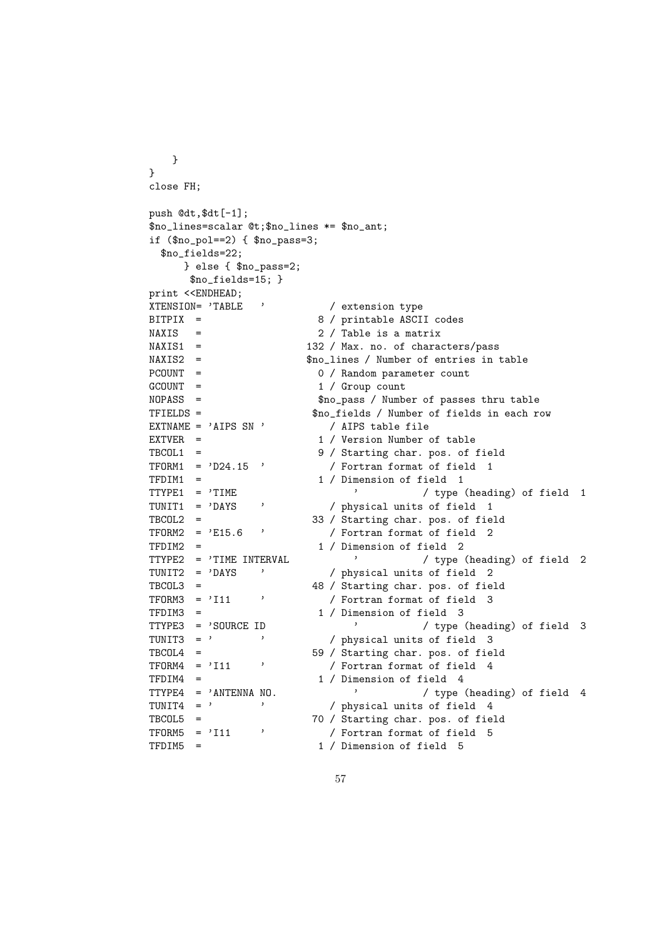```
}
}
close FH;
push @dt,$dt[-1];
$no_lines=scalar @t;$no_lines *= $no_ant;
if ($no\_pol==2) { $no\_pass=3$};$no_fields=22;
     } else { $no_pass=2;
      $no_fields=15; }
print <<ENDHEAD;
XTENSION= 'TABLE ' / extension type
BITPIX = 8 / printable ASCII codes
NAXIS = 2 / Table is a matrixNAXIS1 = 132 / Max. no. of characters/passNAXIS2 = $no_lines / Number of entries in table
\begin{array}{lll} {\rm PCOUNT} & = & \qquad \qquad & 0 \ \ / \ {\rm Random \ parameter \ count} \\ {\rm GCOUNT} & = & \qquad \qquad & 1 \ \ / \ {\rm Group \ count} \end{array}1 / Group count
NOPASS = $no_pass / Number of passes thru table
TFIELDS = $no_fields / Number of fields in each row
EXTNAME = 'AIPS SN ' / AIPS table file
EXTVER = 1 / Version Number of table
TBCOL1 = 9 / Starting char. pos. of field
TFORM1 = 'D24.15' / Fortran format of field 1TFDIM1 = 1 / Dimension of field 1
TTYPE1 = 'TIME \begin{array}{ccc} \n\cdot & \cdot & \cdot \\
\text{TDIV} & \cdot & \cdot \\
\text{TDIV} & \cdot & \cdot \\
\end{array} / physical units of field 1
                           / physical units of field 1
TBCOL2 = 33 / Starting char. pos. of field
TFORM2 = 'E15.6 ' / Fortran format of field 2
TFDIM2 = 1 / Dimension of field 2
TTYPE2 = 'TIME INTERVAL ' / type (heading) of field 2
TUNIT2 = 'DAYS ' / physical units of field 2
TBCOL3 = 48 / Starting char. pos. of field
               <sup>3</sup> / Fortran format of field 3
TFDIM3 = 1 / Dimension of field 3
TTYPE3 = 'SOURCE ID / type (heading) of field 3
TUNIT3 = ' ' / physical units of field 3
TBCOL4 = 59 / Starting char. pos. of field
TFORM4 = 'I11 ' / Fortran format of field 4
TFDIM4 = 1 / Dimension of field 4
TTYPE4 = 'ANTENNA NO.<br>
TUNIT4 = ' ' / physical units of field 4
           of the contract of the contract of \int physical units of field 4
TBCOL5 = 70 / Starting char. pos. of field
               <sup>3</sup> / Fortran format of field 5
TFDIM5 = 1 / Dimension of field 5
```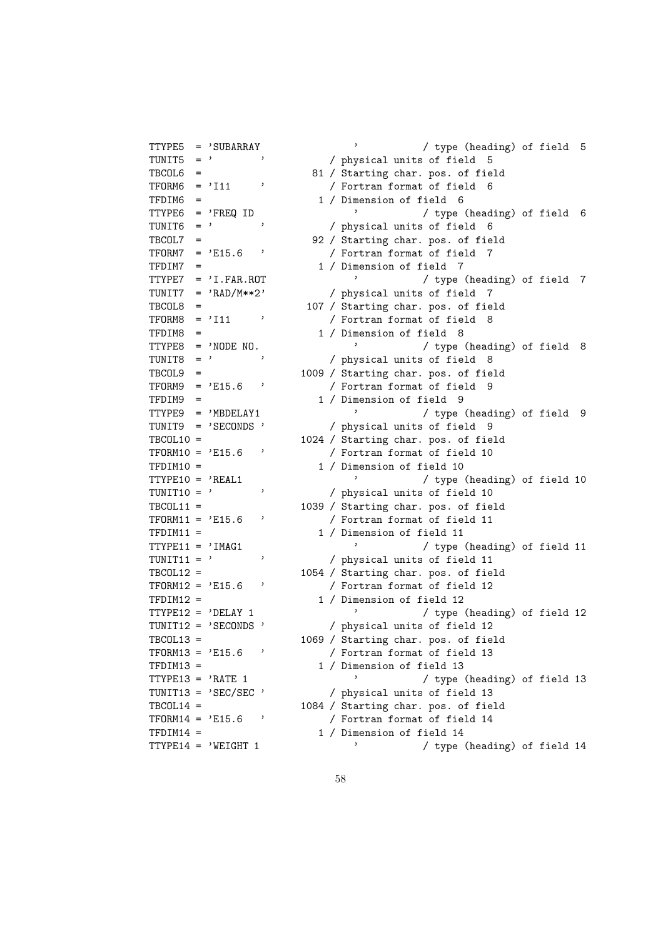| TTYPE5             | $=$                            | 'SUBARRAY             |              |
|--------------------|--------------------------------|-----------------------|--------------|
| TUNIT5             | $=$                            | ,                     | ,            |
| $TBCOL6 =$         |                                |                       |              |
| $TFORM6 =$         |                                | '111                  | ,            |
| TFDIM6             | =                              |                       |              |
| TTYPE6             |                                | $=$ 'FREQ ID          |              |
| TUNIT6             | $=$                            | ,                     | ,            |
| TBCOL7             | $=$                            |                       |              |
| TFORM7             | $=$                            | 'E15.6                | ,            |
| TFDIM7             | $=$                            |                       |              |
| TTYPE7             |                                | $=$ 'I.FAR.ROT        |              |
| TUNIT7 =           |                                | 'RAD/M**2'            |              |
| $TBCOLS =$         |                                |                       |              |
| $TFORM8 =$         |                                | '111                  | ,            |
| TFDIM8 =           |                                |                       |              |
|                    |                                | $TTYPES = 'NODE NO$ . |              |
| TUNIT8 =           |                                | ,                     | <sup>,</sup> |
| $TBCOL9 =$         |                                |                       |              |
| TFORM9 =           |                                | 'E15.6                | ,            |
| TFDIM9 =           |                                |                       |              |
|                    |                                | $ITYPE9 = 'MBDELAY1$  |              |
| TUNIT9 =           |                                | 'SECONDS              | ,            |
| $TBCOL10 =$        |                                |                       |              |
| $TFORM10 =$        |                                | 'E15.6                | ,            |
| $TFDIM10 =$        |                                |                       |              |
| $ITYPE10 = 'REAL1$ |                                |                       |              |
| TUNIT10 =          |                                | ,                     | ,            |
| $TBCOL11 =$        |                                |                       |              |
| $TFORM11 =$        |                                | 'E15.6                | ,            |
| $TFDIM11 =$        |                                |                       |              |
| $TYPE11 = 'IMAG1$  |                                |                       |              |
| $TUNIT11 =$        |                                | ,                     | ,            |
| $TBCOL12 =$        |                                |                       |              |
| $TFORM12 = 'E15.6$ |                                |                       | ,            |
| $TFDIM12 =$        |                                |                       |              |
|                    |                                | $TYPE12 = 'DELAY 1$   |              |
| $TUNIT12 =$        |                                | 'SECONDS'             |              |
| TBCOL13            | $=$                            |                       |              |
| TFORM13 =          |                                | 'E15.6                | ,            |
| TFDIM13            |                                |                       |              |
| TTYPE13 =          |                                | 'RATE 1               |              |
| TUNIT13            | $=$                            | 'SEC/SEC              | ,            |
| TBCOL14            | $\qquad \qquad =\qquad \qquad$ |                       |              |
| TFORM14            | $=$                            | 'E15.6                | ,            |
| TFDIM14            | =                              |                       |              |
| TTYPE14            | $=$                            | 'WEIGHT 1             |              |

/ type (heading) of field 5 / physical units of field 5 81 / Starting char. pos. of field / Fortran format of field 6 1 / Dimension of field 6 ' / type (heading) of field 6  $/$  physical units of field 6 92 / Starting char. pos. of field / Fortran format of field 7 1 / Dimension of field 7  $\prime$  / type (heading) of field 7 / physical units of field 7 107 / Starting char. pos. of field / Fortran format of field 8 1 / Dimension of field 8 ' / type (heading) of field 8 / physical units of field 8 1009 / Starting char. pos. of field / Fortran format of field 9 1 / Dimension of field 9 ' / type (heading) of field 9 / physical units of field 9 1024 / Starting char. pos. of field / Fortran format of field 10 1 / Dimension of field 10 ' / type (heading) of field 10 / physical units of field 10 1039 / Starting char. pos. of field / Fortran format of field 11 1 / Dimension of field 11 / type (heading) of field 11 / physical units of field 11 1054 / Starting char. pos. of field / Fortran format of field 12 1 / Dimension of field 12  $'$  / type (heading) of field 12 / physical units of field 12 1069 / Starting char. pos. of field / Fortran format of field 13 1 / Dimension of field 13 ' / type (heading) of field 13 / physical units of field 13 1084 / Starting char. pos. of field / Fortran format of field 14 1 / Dimension of field 14 / type (heading) of field  $14$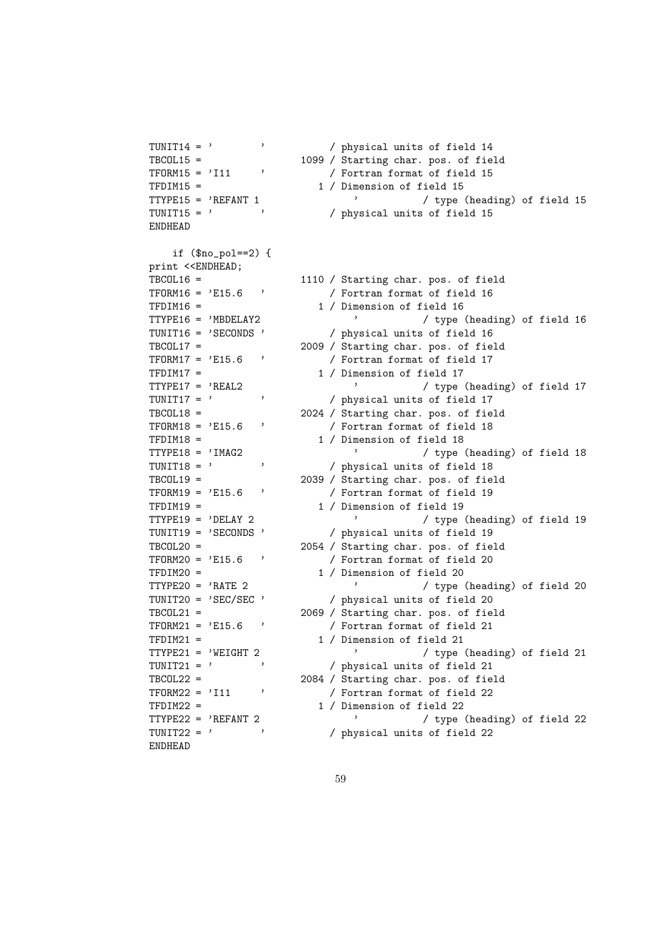```
TUNIT14 = ' ' ' / physical units of field 14
TBCOL15 = 1099 / Starting char. pos. of field
TFORM15 = 'I11 ' / Fortran format of field 15
TFDIM15 = 1 / Dimension of field 15
TTYPE15 = 'REFANT 1 ' / type (heading) of field 15
TUNIT15 = ' ' ' / physical units of field 15
ENDHEAD
   if (\text{fno pole}=2) {
print <<ENDHEAD;
TBCOL16 = 1110 / Starting char. pos. of field
TFORM16 = 'E15.6 ' / Fortran format of field 16
TFDIM16 = 1 / Dimension of field 16<br>TTYPE16 = 'MBDELAY2 / tvpe
                           ' / type (heading) of field 16
TUNIT16 = 'SECONDS ' / physical units of field 16
TBCOL17 = 2009 / Starting char. pos. of field
TFORM17 = 'E15.6' / Fortran format of field 17
TFDIM17 = 1 / Dimension of field 17TTYPE17 = 'REAL2 ' / type (heading) of field 17
TUNIT17 = ' ' / physical units of field 17
TBCOL18 = 2024 / Starting char. pos. of field
TFORM18 = 'E15.6 ' / Fortran format of field 18
TFDIM18 = 1 / Dimension of field 18
TTYPE18 = 'IMAG2 ' / type (heading) of field 18
TUNIT18 = ' ' / physical units of field 18
TBCOL19 = 2039 / Starting char. pos. of field
TFORM19 = 'E15.6' / Fortran format of field 19
TFDIM19 = 1 / Dimension of field 19
TTYPE19 = 'DELAY 2 ' / type (heading) of field 19
TUNIT19 = 'SECONDS ' / physical units of field 19
TBCOL20 = 2054 / Starting char. pos. of field
TFORM20 = 'E15.6' / Fortran format of field 20
\begin{array}{cccc}\n\text{TFDIM20} = & 1 & / \text{ Dimension of field 20} \\
\text{TTYPE20} = & 'RATE & 2 & \end{array}' / type (heading) of field 20
TUNIT20 = 'SEC/SEC ' / physical units of field 20
TBCOL21 = 2069 / Starting char. pos. of field
TFORM21 = 'E15.6 ' / Fortran format of field 21
TFDIM21 = 1 / Dimension of field 21
TTYPE21 = 'WEIGHT 2 / type (heading) of field 21
TUNIT21 = ' ' / physical units of field 21
TBCOL22 = 2084 / Starting char. pos. of field
TFORM22 = 'I11 ' / Fortran format of field 22TFDIM22 = 1 / Dimension of field 22
TTYPE22 = 'REFANT 2 ' / type (heading) of field 22
TUNIT22 = ' \prime ) physical units of field 22
ENDHEAD
```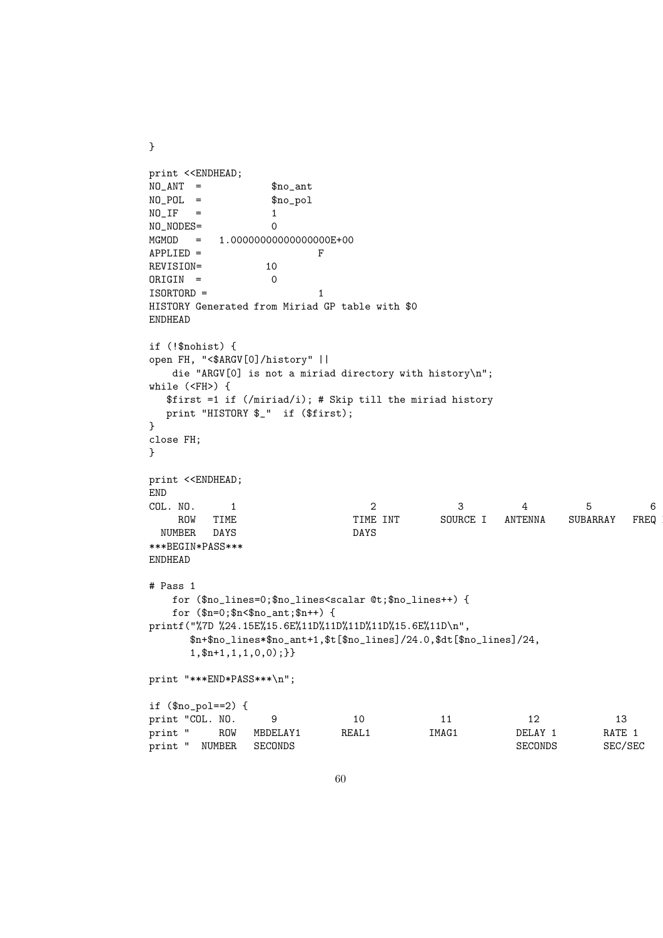```
print <<ENDHEAD;
NO_ANT = $no\_antNO_POL = $no_pol
NO_I IF = 1
NO_NODES= 0
MGMOD = 1.00000000000000000E+00
APPLIED = FREVISION= 10
ORIGIN = 0ISORTORD = 1HISTORY Generated from Miriad GP table with $0
ENDHEAD
if (!$nohist) {
open FH, "<$ARGV[0]/history" ||
   die "ARGV[0] is not a miriad directory with history\n";
while (<FH>) {
  $first =1 if (/miriad/i); # Skip till the miriad history
  print "HISTORY $_" if ($first);
}
close FH;
}
print <<ENDHEAD;
END
COL. NO. 1 2 3 4 5 6
    ROW TIME TIME INT SOURCE I ANTENNA SUBARRAY FREQ ID
 NUMBER DAYS DAYS
***BEGIN*PASS***
ENDHEAD
# Pass 1
   for ($no_lines=0;$no_lines<scalar @t;$no_lines++) {
   for ($n=0;$n<$no_ant;$n++) {
printf("%7D %24.15E%15.6E%11D%11D%11D%11D%15.6E%11D\n",
     $n+$no_lines*$no_ant+1,$t[$no_lines]/24.0,$dt[$no_lines]/24,
      1,$n+1,1,1,0,0);}}
print "***END*PASS***\n";
if ($no_pol==2) {
print "COL. NO. 9 10 11 12 13<br>print " ROW MBDELAY1 REAL1 IMAG1 DELAY 1 RATE
print " ROW MBDELAY1 REAL1 IMAG1 DELAY 1 RATE 1
print " NUMBER SECONDS SECONDS SECONDS SECONDS SECONDS SECONDS SECONDS SECONDS SECONDS SECONDS SECONDS SECONDS
```
}